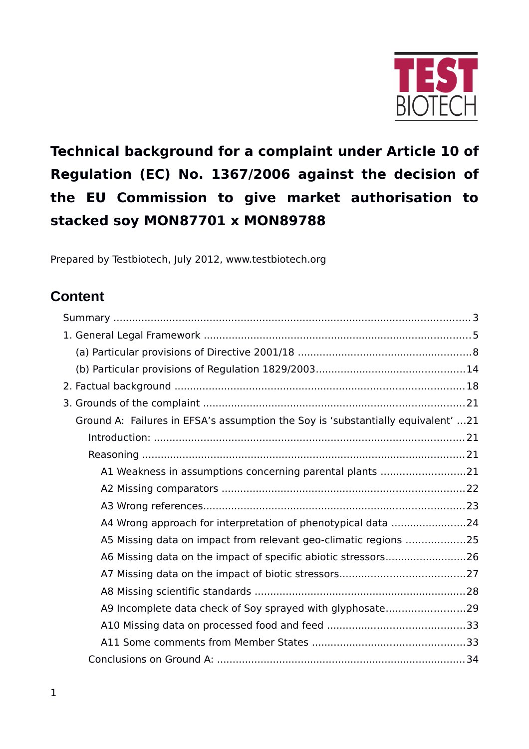

# **Technical background for a complaint under Article 10 of Regulation (EC) No. 1367/2006 against the decision of the EU Commission to give market authorisation to stacked soy MON87701 x MON89788**

Prepared by Testbiotech, July 2012, www.testbiotech.org

# **Content**

| Ground A: Failures in EFSA's assumption the Soy is 'substantially equivalent' 21 |  |
|----------------------------------------------------------------------------------|--|
|                                                                                  |  |
|                                                                                  |  |
| A1 Weakness in assumptions concerning parental plants 21                         |  |
|                                                                                  |  |
|                                                                                  |  |
| A4 Wrong approach for interpretation of phenotypical data 24                     |  |
| A5 Missing data on impact from relevant geo-climatic regions 25                  |  |
| A6 Missing data on the impact of specific abiotic stressors26                    |  |
|                                                                                  |  |
|                                                                                  |  |
| A9 Incomplete data check of Soy sprayed with glyphosate29                        |  |
|                                                                                  |  |
|                                                                                  |  |
|                                                                                  |  |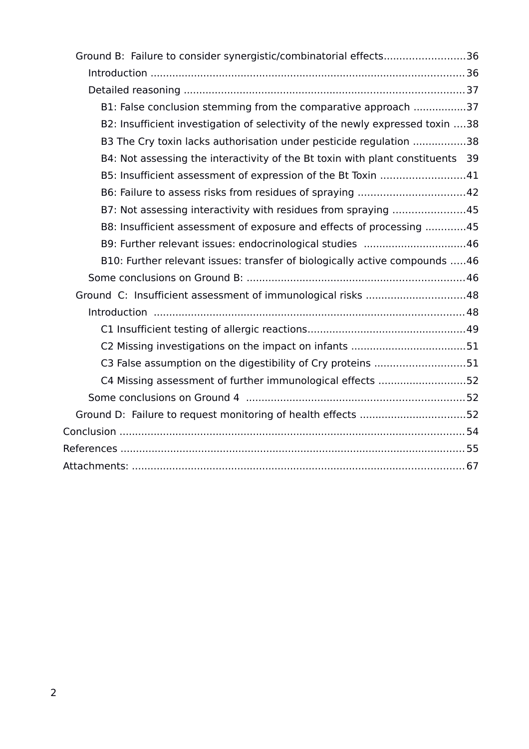| Ground B: Failure to consider synergistic/combinatorial effects36              |  |
|--------------------------------------------------------------------------------|--|
|                                                                                |  |
|                                                                                |  |
| B1: False conclusion stemming from the comparative approach 37                 |  |
| B2: Insufficient investigation of selectivity of the newly expressed toxin 38  |  |
| B3 The Cry toxin lacks authorisation under pesticide regulation 38             |  |
| B4: Not assessing the interactivity of the Bt toxin with plant constituents 39 |  |
| B5: Insufficient assessment of expression of the Bt Toxin 41                   |  |
|                                                                                |  |
| B7: Not assessing interactivity with residues from spraying 45                 |  |
| B8: Insufficient assessment of exposure and effects of processing 45           |  |
| B9: Further relevant issues: endocrinological studies 46                       |  |
| B10: Further relevant issues: transfer of biologically active compounds 46     |  |
|                                                                                |  |
| Ground C: Insufficient assessment of immunological risks 48                    |  |
|                                                                                |  |
|                                                                                |  |
|                                                                                |  |
| C3 False assumption on the digestibility of Cry proteins 51                    |  |
| C4 Missing assessment of further immunological effects 52                      |  |
|                                                                                |  |
| Ground D: Failure to request monitoring of health effects 52                   |  |
|                                                                                |  |
|                                                                                |  |
|                                                                                |  |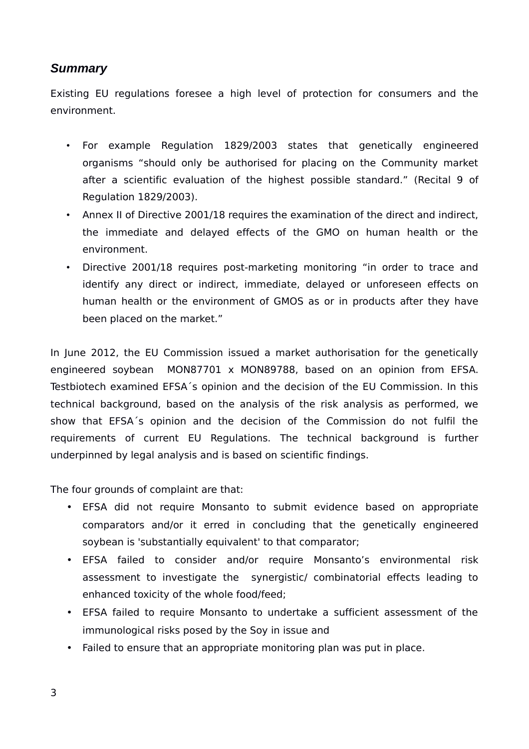# <span id="page-2-0"></span>*Summary*

Existing EU regulations foresee a high level of protection for consumers and the environment.

- For example Regulation 1829/2003 states that genetically engineered organisms "should only be authorised for placing on the Community market after a scientific evaluation of the highest possible standard." (Recital 9 of Regulation 1829/2003).
- Annex II of Directive 2001/18 requires the examination of the direct and indirect, the immediate and delayed effects of the GMO on human health or the environment.
- Directive 2001/18 requires post-marketing monitoring "in order to trace and identify any direct or indirect, immediate, delayed or unforeseen effects on human health or the environment of GMOS as or in products after they have been placed on the market."

In June 2012, the EU Commission issued a market authorisation for the genetically engineered soybean MON87701 x MON89788, based on an opinion from EFSA. Testbiotech examined EFSA´s opinion and the decision of the EU Commission. In this technical background, based on the analysis of the risk analysis as performed, we show that EFSA´s opinion and the decision of the Commission do not fulfil the requirements of current EU Regulations. The technical background is further underpinned by legal analysis and is based on scientific findings.

The four grounds of complaint are that:

- EFSA did not require Monsanto to submit evidence based on appropriate comparators and/or it erred in concluding that the genetically engineered soybean is 'substantially equivalent' to that comparator;
- EFSA failed to consider and/or require Monsanto's environmental risk assessment to investigate the synergistic/ combinatorial effects leading to enhanced toxicity of the whole food/feed;
- EFSA failed to require Monsanto to undertake a sufficient assessment of the immunological risks posed by the Soy in issue and
- Failed to ensure that an appropriate monitoring plan was put in place.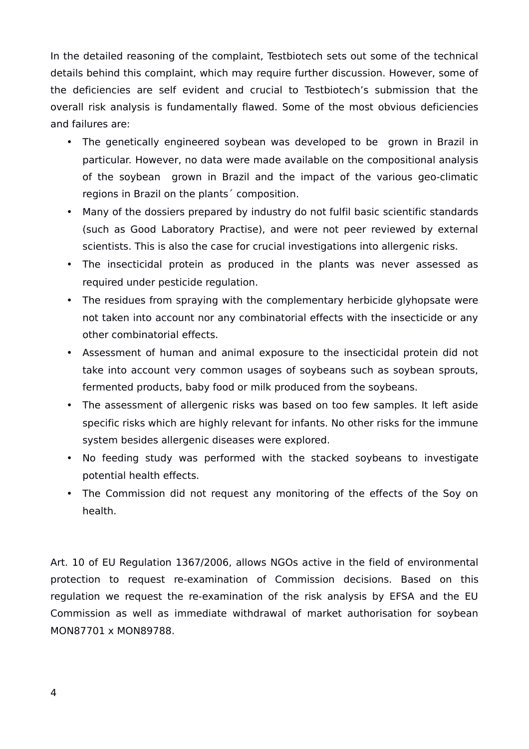In the detailed reasoning of the complaint, Testbiotech sets out some of the technical details behind this complaint, which may require further discussion. However, some of the deficiencies are self evident and crucial to Testbiotech's submission that the overall risk analysis is fundamentally flawed. Some of the most obvious deficiencies and failures are:

- The genetically engineered soybean was developed to be grown in Brazil in particular. However, no data were made available on the compositional analysis of the soybean grown in Brazil and the impact of the various geo-climatic regions in Brazil on the plants´ composition.
- Many of the dossiers prepared by industry do not fulfil basic scientific standards (such as Good Laboratory Practise), and were not peer reviewed by external scientists. This is also the case for crucial investigations into allergenic risks.
- The insecticidal protein as produced in the plants was never assessed as required under pesticide regulation.
- The residues from spraying with the complementary herbicide glyhopsate were not taken into account nor any combinatorial effects with the insecticide or any other combinatorial effects.
- Assessment of human and animal exposure to the insecticidal protein did not take into account very common usages of soybeans such as soybean sprouts, fermented products, baby food or milk produced from the soybeans.
- The assessment of allergenic risks was based on too few samples. It left aside specific risks which are highly relevant for infants. No other risks for the immune system besides allergenic diseases were explored.
- No feeding study was performed with the stacked soybeans to investigate potential health effects.
- The Commission did not request any monitoring of the effects of the Soy on health.

Art. 10 of EU Regulation 1367/2006, allows NGOs active in the field of environmental protection to request re-examination of Commission decisions. Based on this regulation we request the re-examination of the risk analysis by EFSA and the EU Commission as well as immediate withdrawal of market authorisation for soybean MON87701 x MON89788.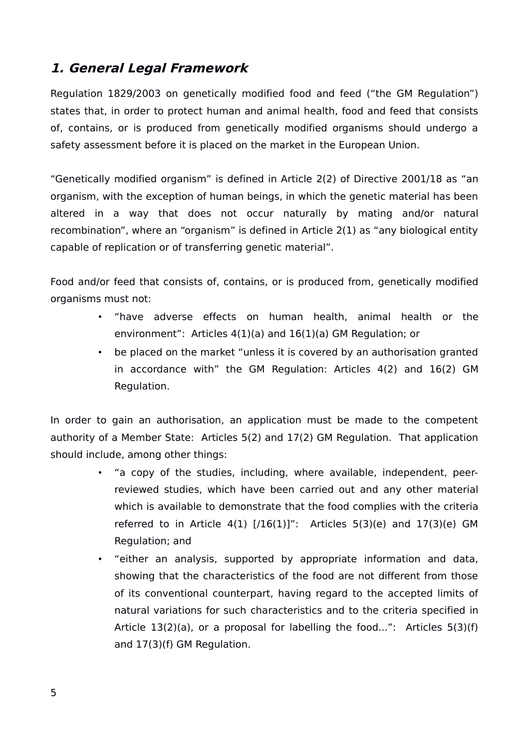# <span id="page-4-0"></span>**1. General Legal Framework**

Regulation 1829/2003 on genetically modified food and feed ("the GM Regulation") states that, in order to protect human and animal health, food and feed that consists of, contains, or is produced from genetically modified organisms should undergo a safety assessment before it is placed on the market in the European Union.

"Genetically modified organism" is defined in Article 2(2) of Directive 2001/18 as "an organism, with the exception of human beings, in which the genetic material has been altered in a way that does not occur naturally by mating and/or natural recombination", where an "organism" is defined in Article 2(1) as "any biological entity capable of replication or of transferring genetic material".

Food and/or feed that consists of, contains, or is produced from, genetically modified organisms must not:

- "have adverse effects on human health, animal health or the environment": Articles 4(1)(a) and 16(1)(a) GM Regulation; or
- be placed on the market "unless it is covered by an authorisation granted in accordance with" the GM Regulation: Articles 4(2) and 16(2) GM Regulation.

In order to gain an authorisation, an application must be made to the competent authority of a Member State: Articles 5(2) and 17(2) GM Regulation. That application should include, among other things:

- "a copy of the studies, including, where available, independent, peerreviewed studies, which have been carried out and any other material which is available to demonstrate that the food complies with the criteria referred to in Article  $4(1)$   $[/16(1)]$ ": Articles 5(3)(e) and 17(3)(e) GM Regulation; and
- "either an analysis, supported by appropriate information and data, showing that the characteristics of the food are not different from those of its conventional counterpart, having regard to the accepted limits of natural variations for such characteristics and to the criteria specified in Article 13(2)(a), or a proposal for labelling the food...": Articles 5(3)(f) and 17(3)(f) GM Regulation.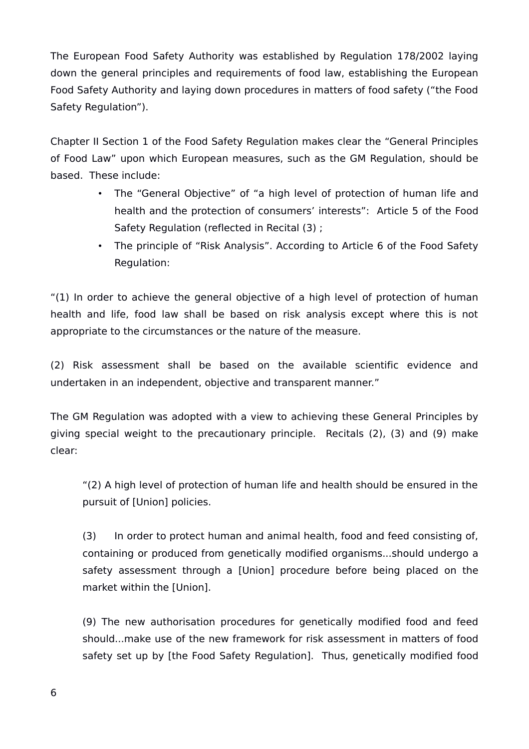The European Food Safety Authority was established by Regulation 178/2002 laying down the general principles and requirements of food law, establishing the European Food Safety Authority and laying down procedures in matters of food safety ("the Food Safety Regulation").

Chapter II Section 1 of the Food Safety Regulation makes clear the "General Principles of Food Law" upon which European measures, such as the GM Regulation, should be based. These include:

- The "General Objective" of "a high level of protection of human life and health and the protection of consumers' interests": Article 5 of the Food Safety Regulation (reflected in Recital (3) ;
- The principle of "Risk Analysis". According to Article 6 of the Food Safety Regulation:

"(1) In order to achieve the general objective of a high level of protection of human health and life, food law shall be based on risk analysis except where this is not appropriate to the circumstances or the nature of the measure.

(2) Risk assessment shall be based on the available scientific evidence and undertaken in an independent, objective and transparent manner."

The GM Regulation was adopted with a view to achieving these General Principles by giving special weight to the precautionary principle. Recitals (2), (3) and (9) make clear:

"(2) A high level of protection of human life and health should be ensured in the pursuit of [Union] policies.

(3) In order to protect human and animal health, food and feed consisting of, containing or produced from genetically modified organisms...should undergo a safety assessment through a [Union] procedure before being placed on the market within the [Union].

(9) The new authorisation procedures for genetically modified food and feed should...make use of the new framework for risk assessment in matters of food safety set up by [the Food Safety Regulation]. Thus, genetically modified food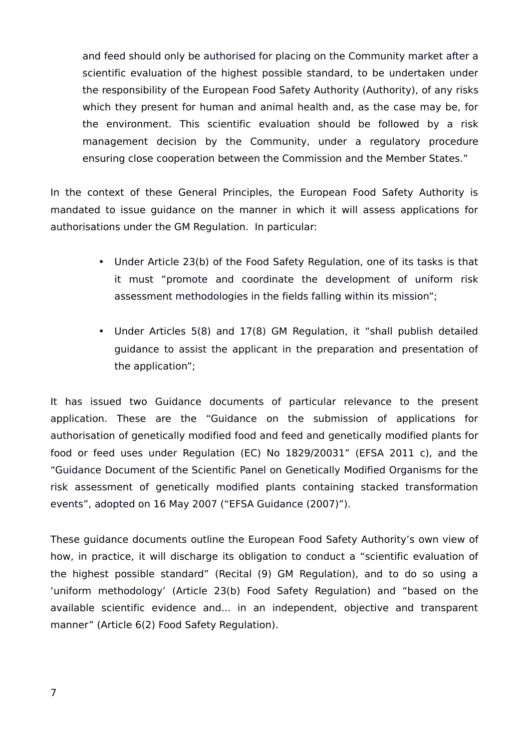and feed should only be authorised for placing on the Community market after a scientific evaluation of the highest possible standard, to be undertaken under the responsibility of the European Food Safety Authority (Authority), of any risks which they present for human and animal health and, as the case may be, for the environment. This scientific evaluation should be followed by a risk management decision by the Community, under a regulatory procedure ensuring close cooperation between the Commission and the Member States."

In the context of these General Principles, the European Food Safety Authority is mandated to issue guidance on the manner in which it will assess applications for authorisations under the GM Regulation. In particular:

- Under Article 23(b) of the Food Safety Regulation, one of its tasks is that it must "promote and coordinate the development of uniform risk assessment methodologies in the fields falling within its mission";
- Under Articles 5(8) and 17(8) GM Regulation, it "shall publish detailed guidance to assist the applicant in the preparation and presentation of the application";

It has issued two Guidance documents of particular relevance to the present application. These are the "Guidance on the submission of applications for authorisation of genetically modified food and feed and genetically modified plants for food or feed uses under Regulation (EC) No 1829/20031" (EFSA 2011 c), and the "Guidance Document of the Scientific Panel on Genetically Modified Organisms for the risk assessment of genetically modified plants containing stacked transformation events", adopted on 16 May 2007 ("EFSA Guidance (2007)").

These guidance documents outline the European Food Safety Authority's own view of how, in practice, it will discharge its obligation to conduct a "scientific evaluation of the highest possible standard" (Recital (9) GM Regulation), and to do so using a 'uniform methodology' (Article 23(b) Food Safety Regulation) and "based on the available scientific evidence and... in an independent, objective and transparent manner" (Article 6(2) Food Safety Regulation).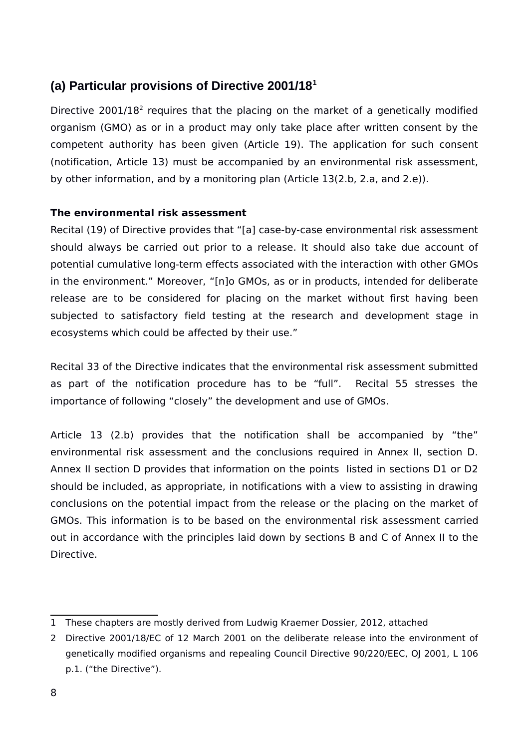# <span id="page-7-0"></span>**(a) Particular provisions of Directive 2001/18[1](#page-7-1)**

Directive [2](#page-7-2)001/18<sup>2</sup> requires that the placing on the market of a genetically modified organism (GMO) as or in a product may only take place after written consent by the competent authority has been given (Article 19). The application for such consent (notification, Article 13) must be accompanied by an environmental risk assessment, by other information, and by a monitoring plan (Article 13(2.b, 2.a, and 2.e)).

## **The environmental risk assessment**

Recital (19) of Directive provides that "[a] case-by-case environmental risk assessment should always be carried out prior to a release. It should also take due account of potential cumulative long-term effects associated with the interaction with other GMOs in the environment." Moreover, "[n]o GMOs, as or in products, intended for deliberate release are to be considered for placing on the market without first having been subjected to satisfactory field testing at the research and development stage in ecosystems which could be affected by their use."

Recital 33 of the Directive indicates that the environmental risk assessment submitted as part of the notification procedure has to be "full". Recital 55 stresses the importance of following "closely" the development and use of GMOs.

Article 13 (2.b) provides that the notification shall be accompanied by "the" environmental risk assessment and the conclusions required in Annex II, section D. Annex II section D provides that information on the points listed in sections D1 or D2 should be included, as appropriate, in notifications with a view to assisting in drawing conclusions on the potential impact from the release or the placing on the market of GMOs. This information is to be based on the environmental risk assessment carried out in accordance with the principles laid down by sections B and C of Annex II to the Directive.

<span id="page-7-1"></span><sup>1</sup> These chapters are mostly derived from Ludwig Kraemer Dossier, 2012, attached

<span id="page-7-2"></span><sup>2</sup> Directive 2001/18/EC of 12 March 2001 on the deliberate release into the environment of genetically modified organisms and repealing Council Directive 90/220/EEC, OJ 2001, L 106 p.1. ("the Directive").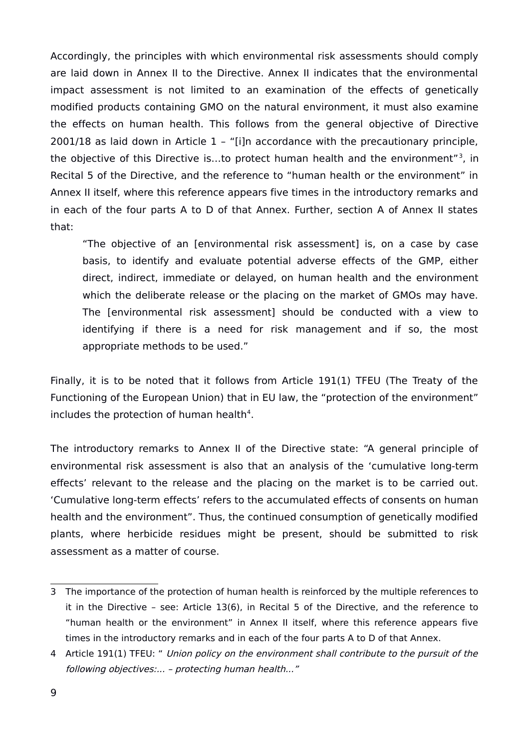Accordingly, the principles with which environmental risk assessments should comply are laid down in Annex II to the Directive. Annex II indicates that the environmental impact assessment is not limited to an examination of the effects of genetically modified products containing GMO on the natural environment, it must also examine the effects on human health. This follows from the general objective of Directive 2001/18 as laid down in Article 1 – "[i]n accordance with the precautionary principle, the objective of this Directive is...to protect human health and the environment"<sup>[3](#page-8-0)</sup>, in Recital 5 of the Directive, and the reference to "human health or the environment" in Annex II itself, where this reference appears five times in the introductory remarks and in each of the four parts A to D of that Annex. Further, section A of Annex II states that:

"The objective of an [environmental risk assessment] is, on a case by case basis, to identify and evaluate potential adverse effects of the GMP, either direct, indirect, immediate or delayed, on human health and the environment which the deliberate release or the placing on the market of GMOs may have. The [environmental risk assessment] should be conducted with a view to identifying if there is a need for risk management and if so, the most appropriate methods to be used."

Finally, it is to be noted that it follows from Article 191(1) TFEU (The Treaty of the Functioning of the European Union) that in EU law, the "protection of the environment" includes the protection of human health<sup>[4](#page-8-1)</sup>.

The introductory remarks to Annex II of the Directive state: "A general principle of environmental risk assessment is also that an analysis of the 'cumulative long-term effects' relevant to the release and the placing on the market is to be carried out. 'Cumulative long-term effects' refers to the accumulated effects of consents on human health and the environment". Thus, the continued consumption of genetically modified plants, where herbicide residues might be present, should be submitted to risk assessment as a matter of course.

<span id="page-8-0"></span><sup>3</sup> The importance of the protection of human health is reinforced by the multiple references to it in the Directive – see: Article 13(6), in Recital 5 of the Directive, and the reference to "human health or the environment" in Annex II itself, where this reference appears five times in the introductory remarks and in each of the four parts A to D of that Annex.

<span id="page-8-1"></span><sup>4</sup> Article 191(1) TFEU: " Union policy on the environment shall contribute to the pursuit of the following objectives:... – protecting human health..."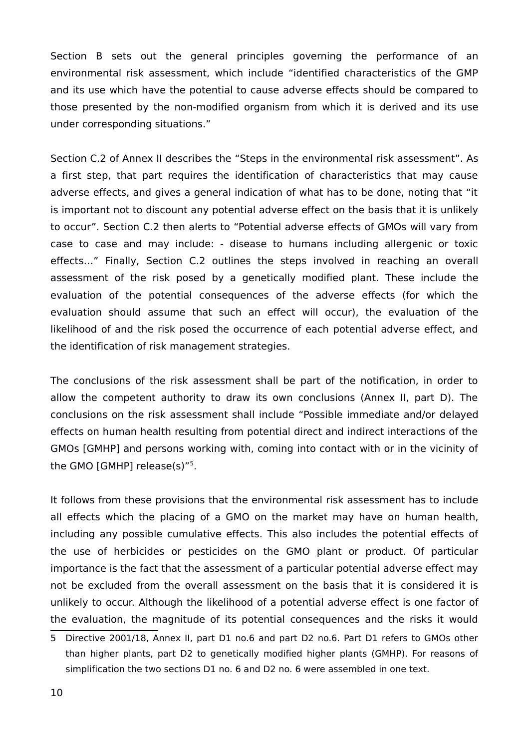Section B sets out the general principles governing the performance of an environmental risk assessment, which include "identified characteristics of the GMP and its use which have the potential to cause adverse effects should be compared to those presented by the non-modified organism from which it is derived and its use under corresponding situations."

Section C.2 of Annex II describes the "Steps in the environmental risk assessment". As a first step, that part requires the identification of characteristics that may cause adverse effects, and gives a general indication of what has to be done, noting that "it is important not to discount any potential adverse effect on the basis that it is unlikely to occur". Section C.2 then alerts to "Potential adverse effects of GMOs will vary from case to case and may include: - disease to humans including allergenic or toxic effects…" Finally, Section C.2 outlines the steps involved in reaching an overall assessment of the risk posed by a genetically modified plant. These include the evaluation of the potential consequences of the adverse effects (for which the evaluation should assume that such an effect will occur), the evaluation of the likelihood of and the risk posed the occurrence of each potential adverse effect, and the identification of risk management strategies.

The conclusions of the risk assessment shall be part of the notification, in order to allow the competent authority to draw its own conclusions (Annex II, part D). The conclusions on the risk assessment shall include "Possible immediate and/or delayed effects on human health resulting from potential direct and indirect interactions of the GMOs [GMHP] and persons working with, coming into contact with or in the vicinity of the GMO [GMHP] release(s)"[5](#page-9-0) .

It follows from these provisions that the environmental risk assessment has to include all effects which the placing of a GMO on the market may have on human health, including any possible cumulative effects. This also includes the potential effects of the use of herbicides or pesticides on the GMO plant or product. Of particular importance is the fact that the assessment of a particular potential adverse effect may not be excluded from the overall assessment on the basis that it is considered it is unlikely to occur. Although the likelihood of a potential adverse effect is one factor of the evaluation, the magnitude of its potential consequences and the risks it would

<span id="page-9-0"></span><sup>5</sup> Directive 2001/18, Annex II, part D1 no.6 and part D2 no.6. Part D1 refers to GMOs other than higher plants, part D2 to genetically modified higher plants (GMHP). For reasons of simplification the two sections D1 no. 6 and D2 no. 6 were assembled in one text.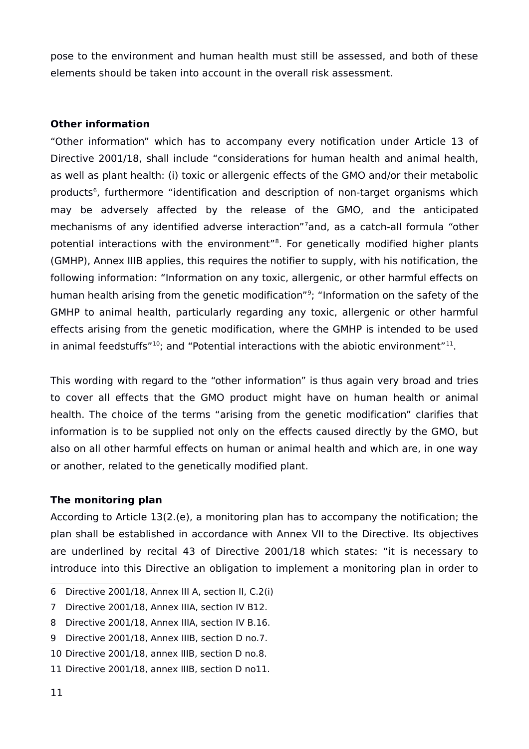pose to the environment and human health must still be assessed, and both of these elements should be taken into account in the overall risk assessment.

#### **Other information**

"Other information" which has to accompany every notification under Article 13 of Directive 2001/18, shall include "considerations for human health and animal health, as well as plant health: (i) toxic or allergenic effects of the GMO and/or their metabolic products<sup>[6](#page-10-0)</sup>, furthermore "identification and description of non-target organisms which may be adversely affected by the release of the GMO, and the anticipated mechanisms of any identified adverse interaction"[7](#page-10-1)and, as a catch-all formula "other potential interactions with the environment"<sup>[8](#page-10-2)</sup>. For genetically modified higher plants (GMHP), Annex IIIB applies, this requires the notifier to supply, with his notification, the following information: "Information on any toxic, allergenic, or other harmful effects on human health arising from the genetic modification"<sup>[9](#page-10-3)</sup>; "Information on the safety of the GMHP to animal health, particularly regarding any toxic, allergenic or other harmful effects arising from the genetic modification, where the GMHP is intended to be used in animal feedstuffs" $^{10}$  $^{10}$  $^{10}$ ; and "Potential interactions with the abiotic environment" $^{11}$  $^{11}$  $^{11}$ .

This wording with regard to the "other information" is thus again very broad and tries to cover all effects that the GMO product might have on human health or animal health. The choice of the terms "arising from the genetic modification" clarifies that information is to be supplied not only on the effects caused directly by the GMO, but also on all other harmful effects on human or animal health and which are, in one way or another, related to the genetically modified plant.

#### **The monitoring plan**

According to Article 13(2.(e), a monitoring plan has to accompany the notification; the plan shall be established in accordance with Annex VII to the Directive. Its objectives are underlined by recital 43 of Directive 2001/18 which states: "it is necessary to introduce into this Directive an obligation to implement a monitoring plan in order to

<span id="page-10-0"></span><sup>6</sup> Directive 2001/18, Annex III A, section II, C.2(i)

<span id="page-10-1"></span><sup>7</sup> Directive 2001/18, Annex IIIA, section IV B12.

<span id="page-10-2"></span><sup>8</sup> Directive 2001/18, Annex IIIA, section IV B.16.

<span id="page-10-3"></span><sup>9</sup> Directive 2001/18, Annex IIIB, section D no.7.

<span id="page-10-4"></span><sup>10</sup> Directive 2001/18, annex IIIB, section D no.8.

<span id="page-10-5"></span><sup>11</sup> Directive 2001/18, annex IIIB, section D no11.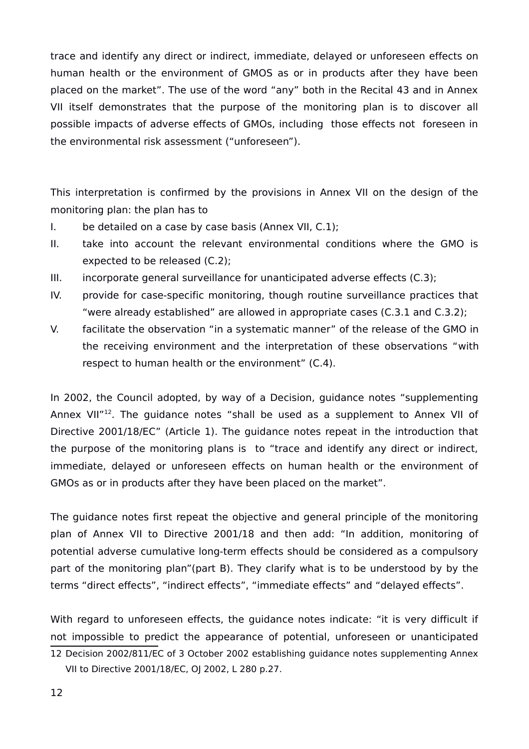trace and identify any direct or indirect, immediate, delayed or unforeseen effects on human health or the environment of GMOS as or in products after they have been placed on the market". The use of the word "any" both in the Recital 43 and in Annex VII itself demonstrates that the purpose of the monitoring plan is to discover all possible impacts of adverse effects of GMOs, including those effects not foreseen in the environmental risk assessment ("unforeseen").

This interpretation is confirmed by the provisions in Annex VII on the design of the monitoring plan: the plan has to

- I. be detailed on a case by case basis (Annex VII, C.1);
- II. take into account the relevant environmental conditions where the GMO is expected to be released (C.2);
- III. incorporate general surveillance for unanticipated adverse effects (C.3);
- IV. provide for case-specific monitoring, though routine surveillance practices that "were already established" are allowed in appropriate cases (C.3.1 and C.3.2);
- V. facilitate the observation "in a systematic manner" of the release of the GMO in the receiving environment and the interpretation of these observations "with respect to human health or the environment" (C.4).

In 2002, the Council adopted, by way of a Decision, guidance notes "supplementing Annex VII"<sup>[12](#page-11-0)</sup>. The guidance notes "shall be used as a supplement to Annex VII of Directive 2001/18/EC" (Article 1). The guidance notes repeat in the introduction that the purpose of the monitoring plans is to "trace and identify any direct or indirect, immediate, delayed or unforeseen effects on human health or the environment of GMOs as or in products after they have been placed on the market".

The guidance notes first repeat the objective and general principle of the monitoring plan of Annex VII to Directive 2001/18 and then add: "In addition, monitoring of potential adverse cumulative long-term effects should be considered as a compulsory part of the monitoring plan"(part B). They clarify what is to be understood by by the terms "direct effects", "indirect effects", "immediate effects" and "delayed effects".

With regard to unforeseen effects, the guidance notes indicate: "it is very difficult if not impossible to predict the appearance of potential, unforeseen or unanticipated

<span id="page-11-0"></span><sup>12</sup> Decision 2002/811/EC of 3 October 2002 establishing guidance notes supplementing Annex VII to Directive 2001/18/EC, OJ 2002, L 280 p.27.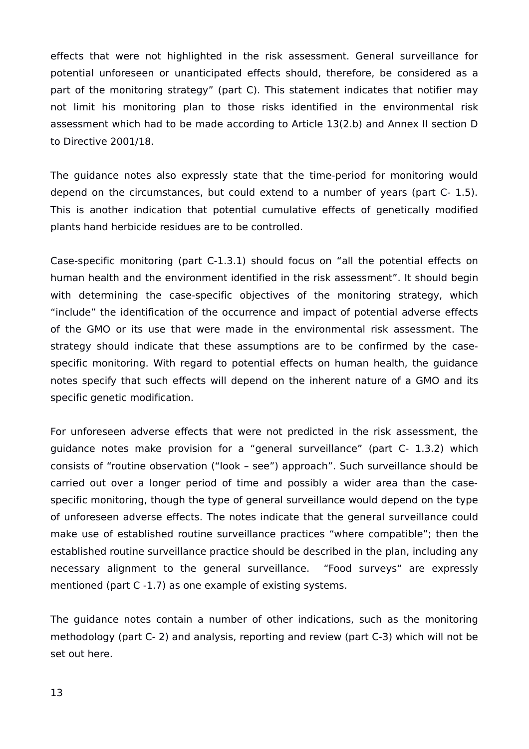effects that were not highlighted in the risk assessment. General surveillance for potential unforeseen or unanticipated effects should, therefore, be considered as a part of the monitoring strategy" (part C). This statement indicates that notifier may not limit his monitoring plan to those risks identified in the environmental risk assessment which had to be made according to Article 13(2.b) and Annex II section D to Directive 2001/18.

The guidance notes also expressly state that the time-period for monitoring would depend on the circumstances, but could extend to a number of years (part C- 1.5). This is another indication that potential cumulative effects of genetically modified plants hand herbicide residues are to be controlled.

Case-specific monitoring (part C-1.3.1) should focus on "all the potential effects on human health and the environment identified in the risk assessment". It should begin with determining the case-specific objectives of the monitoring strategy, which "include" the identification of the occurrence and impact of potential adverse effects of the GMO or its use that were made in the environmental risk assessment. The strategy should indicate that these assumptions are to be confirmed by the casespecific monitoring. With regard to potential effects on human health, the guidance notes specify that such effects will depend on the inherent nature of a GMO and its specific genetic modification.

For unforeseen adverse effects that were not predicted in the risk assessment, the guidance notes make provision for a "general surveillance" (part C- 1.3.2) which consists of "routine observation ("look – see") approach". Such surveillance should be carried out over a longer period of time and possibly a wider area than the casespecific monitoring, though the type of general surveillance would depend on the type of unforeseen adverse effects. The notes indicate that the general surveillance could make use of established routine surveillance practices "where compatible"; then the established routine surveillance practice should be described in the plan, including any necessary alignment to the general surveillance. "Food surveys" are expressly mentioned (part C -1.7) as one example of existing systems.

The guidance notes contain a number of other indications, such as the monitoring methodology (part C- 2) and analysis, reporting and review (part C-3) which will not be set out here.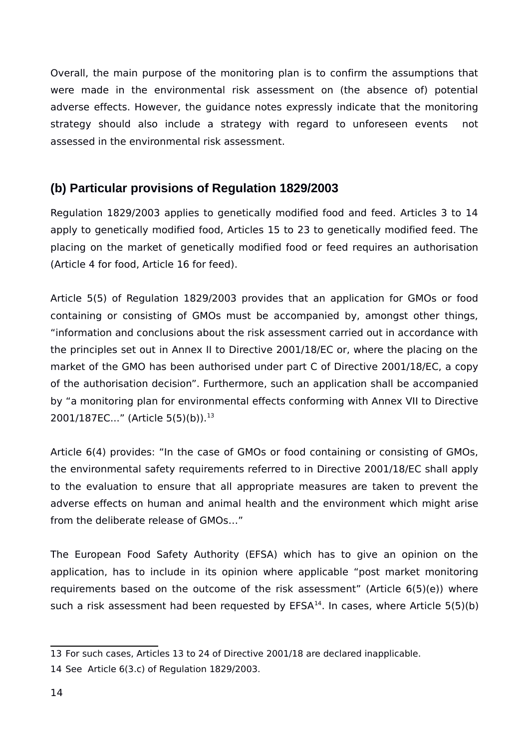Overall, the main purpose of the monitoring plan is to confirm the assumptions that were made in the environmental risk assessment on (the absence of) potential adverse effects. However, the guidance notes expressly indicate that the monitoring strategy should also include a strategy with regard to unforeseen events not assessed in the environmental risk assessment.

# <span id="page-13-0"></span>**(b) Particular provisions of Regulation 1829/2003**

Regulation 1829/2003 applies to genetically modified food and feed. Articles 3 to 14 apply to genetically modified food, Articles 15 to 23 to genetically modified feed. The placing on the market of genetically modified food or feed requires an authorisation (Article 4 for food, Article 16 for feed).

Article 5(5) of Regulation 1829/2003 provides that an application for GMOs or food containing or consisting of GMOs must be accompanied by, amongst other things, "information and conclusions about the risk assessment carried out in accordance with the principles set out in Annex II to Directive 2001/18/EC or, where the placing on the market of the GMO has been authorised under part C of Directive 2001/18/EC, a copy of the authorisation decision". Furthermore, such an application shall be accompanied by "a monitoring plan for environmental effects conforming with Annex VII to Directive 2001/187EC..." (Article 5(5)(b)).<sup>[13](#page-13-1)</sup>

Article 6(4) provides: "In the case of GMOs or food containing or consisting of GMOs, the environmental safety requirements referred to in Directive 2001/18/EC shall apply to the evaluation to ensure that all appropriate measures are taken to prevent the adverse effects on human and animal health and the environment which might arise from the deliberate release of GMOs…"

The European Food Safety Authority (EFSA) which has to give an opinion on the application, has to include in its opinion where applicable "post market monitoring requirements based on the outcome of the risk assessment" (Article 6(5)(e)) where such a risk assessment had been requested by  $EFSA<sup>14</sup>$  $EFSA<sup>14</sup>$  $EFSA<sup>14</sup>$ . In cases, where Article  $5(5)(b)$ 

<span id="page-13-1"></span><sup>13</sup> For such cases, Articles 13 to 24 of Directive 2001/18 are declared inapplicable.

<span id="page-13-2"></span><sup>14</sup> See Article 6(3.c) of Regulation 1829/2003.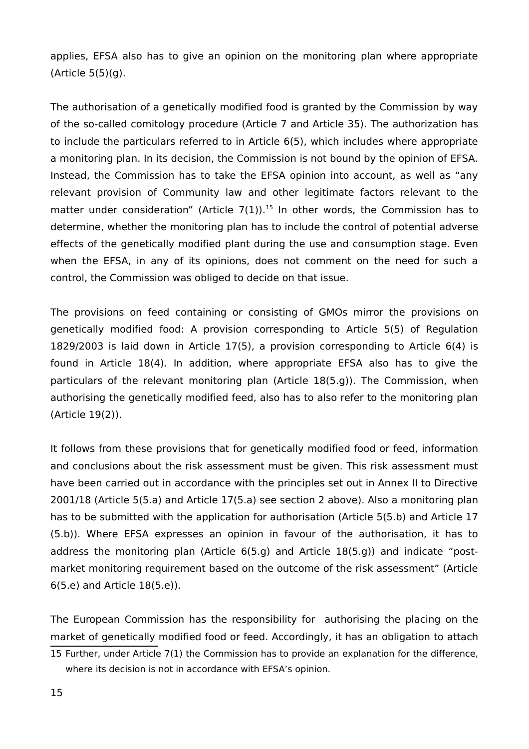applies, EFSA also has to give an opinion on the monitoring plan where appropriate (Article 5(5)(g).

The authorisation of a genetically modified food is granted by the Commission by way of the so-called comitology procedure (Article 7 and Article 35). The authorization has to include the particulars referred to in Article 6(5), which includes where appropriate a monitoring plan. In its decision, the Commission is not bound by the opinion of EFSA. Instead, the Commission has to take the EFSA opinion into account, as well as "any relevant provision of Community law and other legitimate factors relevant to the matter under consideration" (Article  $7(1)$ ).<sup>[15](#page-14-0)</sup> In other words, the Commission has to determine, whether the monitoring plan has to include the control of potential adverse effects of the genetically modified plant during the use and consumption stage. Even when the EFSA, in any of its opinions, does not comment on the need for such a control, the Commission was obliged to decide on that issue.

The provisions on feed containing or consisting of GMOs mirror the provisions on genetically modified food: A provision corresponding to Article 5(5) of Regulation 1829/2003 is laid down in Article 17(5), a provision corresponding to Article 6(4) is found in Article 18(4). In addition, where appropriate EFSA also has to give the particulars of the relevant monitoring plan (Article 18(5.g)). The Commission, when authorising the genetically modified feed, also has to also refer to the monitoring plan (Article 19(2)).

It follows from these provisions that for genetically modified food or feed, information and conclusions about the risk assessment must be given. This risk assessment must have been carried out in accordance with the principles set out in Annex II to Directive 2001/18 (Article 5(5.a) and Article 17(5.a) see section 2 above). Also a monitoring plan has to be submitted with the application for authorisation (Article 5(5.b) and Article 17 (5.b)). Where EFSA expresses an opinion in favour of the authorisation, it has to address the monitoring plan (Article 6(5.g) and Article 18(5.g)) and indicate "postmarket monitoring requirement based on the outcome of the risk assessment" (Article 6(5.e) and Article 18(5.e)).

The European Commission has the responsibility for authorising the placing on the market of genetically modified food or feed. Accordingly, it has an obligation to attach

<span id="page-14-0"></span><sup>15</sup> Further, under Article 7(1) the Commission has to provide an explanation for the difference, where its decision is not in accordance with EFSA's opinion.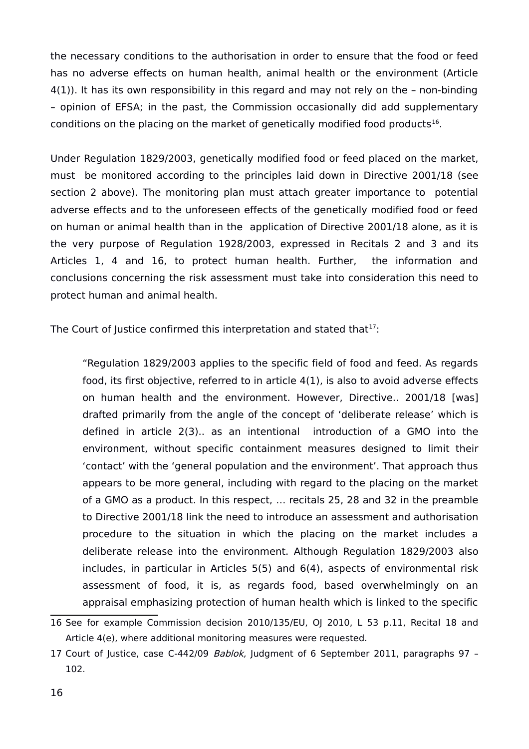the necessary conditions to the authorisation in order to ensure that the food or feed has no adverse effects on human health, animal health or the environment (Article 4(1)). It has its own responsibility in this regard and may not rely on the – non-binding – opinion of EFSA; in the past, the Commission occasionally did add supplementary conditions on the placing on the market of genetically modified food products<sup>[16](#page-15-0)</sup>.

Under Regulation 1829/2003, genetically modified food or feed placed on the market, must be monitored according to the principles laid down in Directive 2001/18 (see section 2 above). The monitoring plan must attach greater importance to potential adverse effects and to the unforeseen effects of the genetically modified food or feed on human or animal health than in the application of Directive 2001/18 alone, as it is the very purpose of Regulation 1928/2003, expressed in Recitals 2 and 3 and its Articles 1, 4 and 16, to protect human health. Further, the information and conclusions concerning the risk assessment must take into consideration this need to protect human and animal health.

The Court of Justice confirmed this interpretation and stated that  $17$ :

"Regulation 1829/2003 applies to the specific field of food and feed. As regards food, its first objective, referred to in article 4(1), is also to avoid adverse effects on human health and the environment. However, Directive.. 2001/18 [was] drafted primarily from the angle of the concept of 'deliberate release' which is defined in article 2(3).. as an intentional introduction of a GMO into the environment, without specific containment measures designed to limit their 'contact' with the 'general population and the environment'. That approach thus appears to be more general, including with regard to the placing on the market of a GMO as a product. In this respect, … recitals 25, 28 and 32 in the preamble to Directive 2001/18 link the need to introduce an assessment and authorisation procedure to the situation in which the placing on the market includes a deliberate release into the environment. Although Regulation 1829/2003 also includes, in particular in Articles 5(5) and 6(4), aspects of environmental risk assessment of food, it is, as regards food, based overwhelmingly on an appraisal emphasizing protection of human health which is linked to the specific

<span id="page-15-0"></span><sup>16</sup> See for example Commission decision 2010/135/EU, OJ 2010, L 53 p.11, Recital 18 and Article 4(e), where additional monitoring measures were requested.

<span id="page-15-1"></span><sup>17</sup> Court of Justice, case C-442/09 Bablok, Judgment of 6 September 2011, paragraphs 97 -102.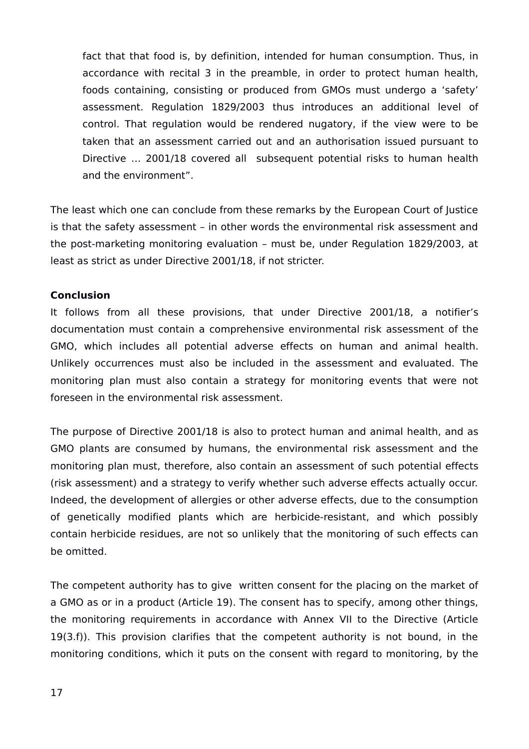fact that that food is, by definition, intended for human consumption. Thus, in accordance with recital 3 in the preamble, in order to protect human health, foods containing, consisting or produced from GMOs must undergo a 'safety' assessment. Regulation 1829/2003 thus introduces an additional level of control. That regulation would be rendered nugatory, if the view were to be taken that an assessment carried out and an authorisation issued pursuant to Directive … 2001/18 covered all subsequent potential risks to human health and the environment".

The least which one can conclude from these remarks by the European Court of Justice is that the safety assessment – in other words the environmental risk assessment and the post-marketing monitoring evaluation – must be, under Regulation 1829/2003, at least as strict as under Directive 2001/18, if not stricter.

### **Conclusion**

It follows from all these provisions, that under Directive 2001/18, a notifier's documentation must contain a comprehensive environmental risk assessment of the GMO, which includes all potential adverse effects on human and animal health. Unlikely occurrences must also be included in the assessment and evaluated. The monitoring plan must also contain a strategy for monitoring events that were not foreseen in the environmental risk assessment.

The purpose of Directive 2001/18 is also to protect human and animal health, and as GMO plants are consumed by humans, the environmental risk assessment and the monitoring plan must, therefore, also contain an assessment of such potential effects (risk assessment) and a strategy to verify whether such adverse effects actually occur. Indeed, the development of allergies or other adverse effects, due to the consumption of genetically modified plants which are herbicide-resistant, and which possibly contain herbicide residues, are not so unlikely that the monitoring of such effects can be omitted.

The competent authority has to give written consent for the placing on the market of a GMO as or in a product (Article 19). The consent has to specify, among other things, the monitoring requirements in accordance with Annex VII to the Directive (Article 19(3.f)). This provision clarifies that the competent authority is not bound, in the monitoring conditions, which it puts on the consent with regard to monitoring, by the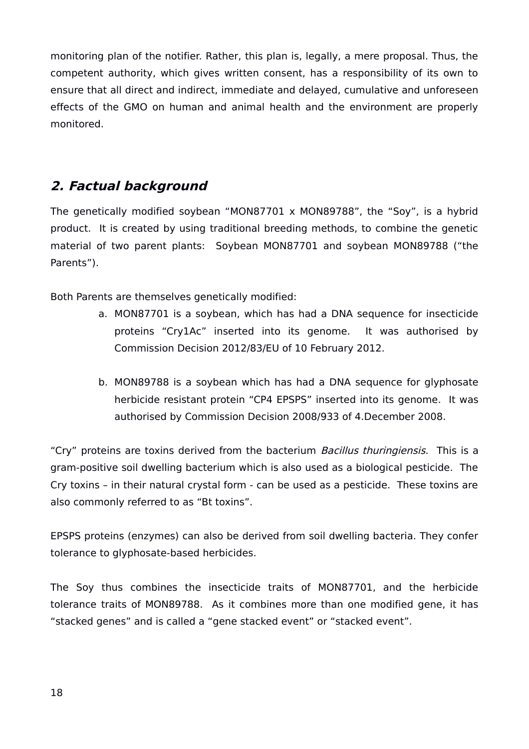monitoring plan of the notifier. Rather, this plan is, legally, a mere proposal. Thus, the competent authority, which gives written consent, has a responsibility of its own to ensure that all direct and indirect, immediate and delayed, cumulative and unforeseen effects of the GMO on human and animal health and the environment are properly monitored.

# <span id="page-17-0"></span>**2. Factual background**

The genetically modified soybean "MON87701 x MON89788", the "Soy", is a hybrid product. It is created by using traditional breeding methods, to combine the genetic material of two parent plants: Soybean MON87701 and soybean MON89788 ("the Parents").

Both Parents are themselves genetically modified:

- a. MON87701 is a soybean, which has had a DNA sequence for insecticide proteins "Cry1Ac" inserted into its genome. It was authorised by Commission Decision 2012/83/EU of 10 February 2012.
- b. MON89788 is a soybean which has had a DNA sequence for glyphosate herbicide resistant protein "CP4 EPSPS" inserted into its genome. It was authorised by Commission Decision 2008/933 of 4.December 2008.

"Cry" proteins are toxins derived from the bacterium Bacillus thuringiensis. This is a gram-positive soil dwelling bacterium which is also used as a biological pesticide. The Cry toxins – in their natural crystal form - can be used as a pesticide. These toxins are also commonly referred to as "Bt toxins".

EPSPS proteins (enzymes) can also be derived from soil dwelling bacteria. They confer tolerance to glyphosate-based herbicides.

The Soy thus combines the insecticide traits of MON87701, and the herbicide tolerance traits of MON89788. As it combines more than one modified gene, it has "stacked genes" and is called a "gene stacked event" or "stacked event".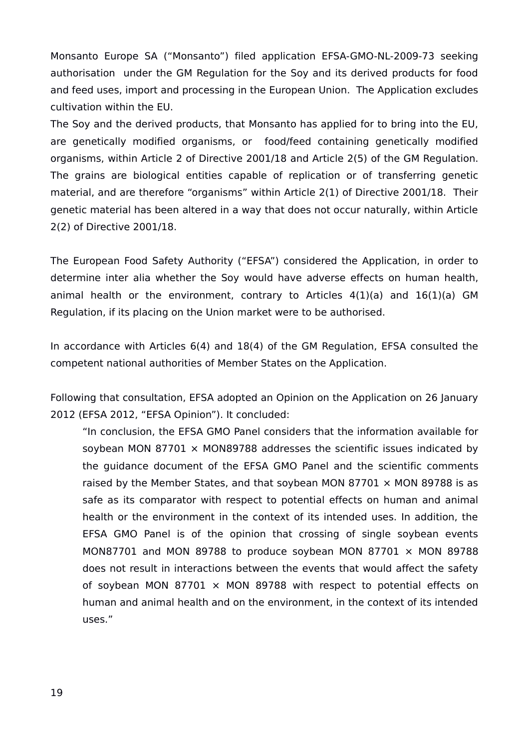Monsanto Europe SA ("Monsanto") filed application EFSA-GMO-NL-2009-73 seeking authorisation under the GM Regulation for the Soy and its derived products for food and feed uses, import and processing in the European Union. The Application excludes cultivation within the EU.

The Soy and the derived products, that Monsanto has applied for to bring into the EU, are genetically modified organisms, or food/feed containing genetically modified organisms, within Article 2 of Directive 2001/18 and Article 2(5) of the GM Regulation. The grains are biological entities capable of replication or of transferring genetic material, and are therefore "organisms" within Article 2(1) of Directive 2001/18. Their genetic material has been altered in a way that does not occur naturally, within Article 2(2) of Directive 2001/18.

The European Food Safety Authority ("EFSA") considered the Application, in order to determine inter alia whether the Soy would have adverse effects on human health, animal health or the environment, contrary to Articles  $4(1)(a)$  and  $16(1)(a)$  GM Regulation, if its placing on the Union market were to be authorised.

In accordance with Articles 6(4) and 18(4) of the GM Regulation, EFSA consulted the competent national authorities of Member States on the Application.

Following that consultation, EFSA adopted an Opinion on the Application on 26 January 2012 (EFSA 2012, "EFSA Opinion"). It concluded:

"In conclusion, the EFSA GMO Panel considers that the information available for soybean MON 87701  $\times$  MON89788 addresses the scientific issues indicated by the guidance document of the EFSA GMO Panel and the scientific comments raised by the Member States, and that soybean MON 87701  $\times$  MON 89788 is as safe as its comparator with respect to potential effects on human and animal health or the environment in the context of its intended uses. In addition, the EFSA GMO Panel is of the opinion that crossing of single soybean events MON87701 and MON 89788 to produce soybean MON 87701  $\times$  MON 89788 does not result in interactions between the events that would affect the safety of soybean MON 87701  $\times$  MON 89788 with respect to potential effects on human and animal health and on the environment, in the context of its intended uses."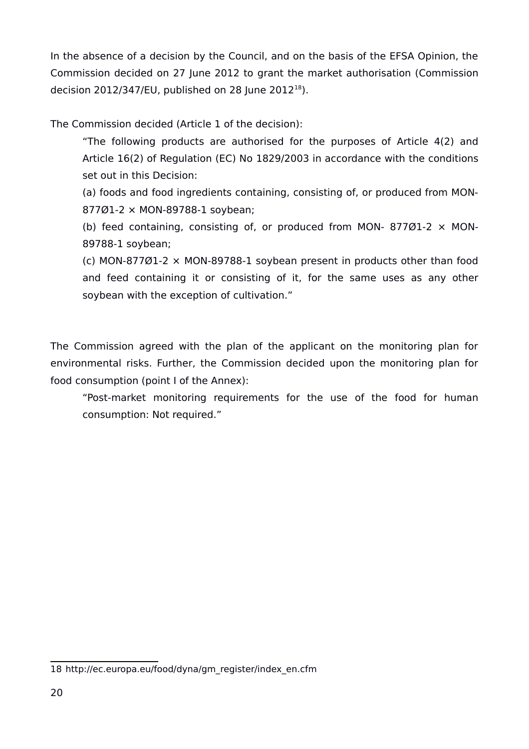In the absence of a decision by the Council, and on the basis of the EFSA Opinion, the Commission decided on 27 June 2012 to grant the market authorisation (Commission decision 2012/347/EU, published on 28 June 2012 $^{18}$  $^{18}$  $^{18}$ ).

The Commission decided (Article 1 of the decision):

"The following products are authorised for the purposes of Article 4(2) and Article 16(2) of Regulation (EC) No 1829/2003 in accordance with the conditions set out in this Decision:

(a) foods and food ingredients containing, consisting of, or produced from MON-877Ø1-2 × MON-89788-1 soybean;

(b) feed containing, consisting of, or produced from MON- 877Ø1-2  $\times$  MON-89788-1 soybean;

(c) MON-877Ø1-2 × MON-89788-1 soybean present in products other than food and feed containing it or consisting of it, for the same uses as any other soybean with the exception of cultivation."

The Commission agreed with the plan of the applicant on the monitoring plan for environmental risks. Further, the Commission decided upon the monitoring plan for food consumption (point I of the Annex):

"Post-market monitoring requirements for the use of the food for human consumption: Not required."

<span id="page-19-0"></span><sup>18</sup> http://ec.europa.eu/food/dyna/gm\_register/index\_en.cfm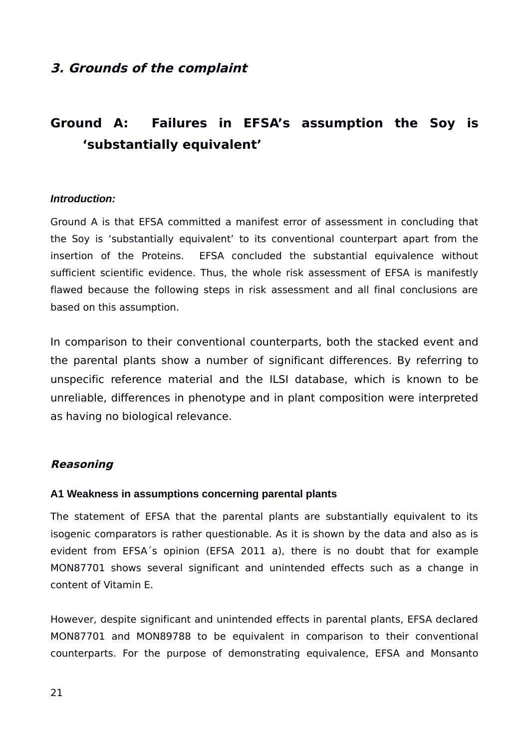# <span id="page-20-4"></span>**3. Grounds of the complaint**

# <span id="page-20-3"></span>**Ground A: Failures in EFSA's assumption the Soy is 'substantially equivalent'**

#### <span id="page-20-2"></span>*Introduction:*

Ground A is that EFSA committed a manifest error of assessment in concluding that the Soy is 'substantially equivalent' to its conventional counterpart apart from the insertion of the Proteins. EFSA concluded the substantial equivalence without sufficient scientific evidence. Thus, the whole risk assessment of EFSA is manifestly flawed because the following steps in risk assessment and all final conclusions are based on this assumption.

In comparison to their conventional counterparts, both the stacked event and the parental plants show a number of significant differences. By referring to unspecific reference material and the ILSI database, which is known to be unreliable, differences in phenotype and in plant composition were interpreted as having no biological relevance.

#### <span id="page-20-1"></span>**Reasoning**

#### <span id="page-20-0"></span>**A1 Weakness in assumptions concerning parental plants**

The statement of EFSA that the parental plants are substantially equivalent to its isogenic comparators is rather questionable. As it is shown by the data and also as is evident from EFSA´s opinion (EFSA 2011 a), there is no doubt that for example MON87701 shows several significant and unintended effects such as a change in content of Vitamin E.

However, despite significant and unintended effects in parental plants, EFSA declared MON87701 and MON89788 to be equivalent in comparison to their conventional counterparts. For the purpose of demonstrating equivalence, EFSA and Monsanto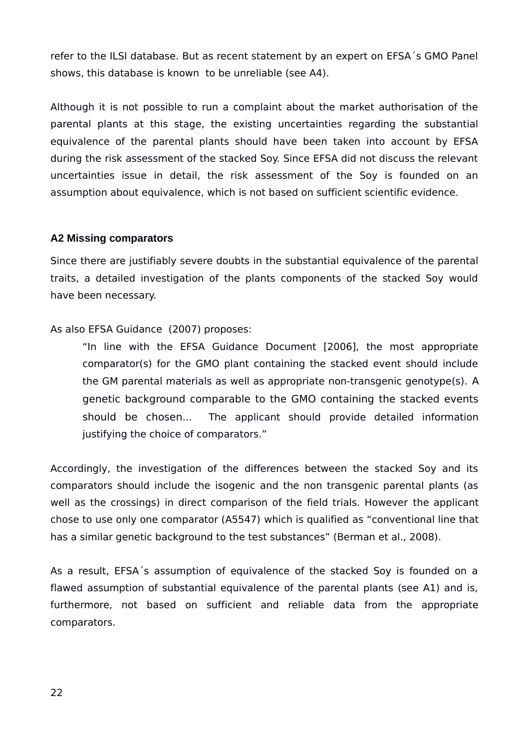refer to the ILSI database. But as recent statement by an expert on EFSA´s GMO Panel shows, this database is known to be unreliable (see A4).

Although it is not possible to run a complaint about the market authorisation of the parental plants at this stage, the existing uncertainties regarding the substantial equivalence of the parental plants should have been taken into account by EFSA during the risk assessment of the stacked Soy. Since EFSA did not discuss the relevant uncertainties issue in detail, the risk assessment of the Soy is founded on an assumption about equivalence, which is not based on sufficient scientific evidence.

### <span id="page-21-0"></span>**A2 Missing comparators**

Since there are justifiably severe doubts in the substantial equivalence of the parental traits, a detailed investigation of the plants components of the stacked Soy would have been necessary.

### As also EFSA Guidance (2007) proposes:

"In line with the EFSA Guidance Document [2006], the most appropriate comparator(s) for the GMO plant containing the stacked event should include the GM parental materials as well as appropriate non-transgenic genotype(s). A genetic background comparable to the GMO containing the stacked events should be chosen... The applicant should provide detailed information justifying the choice of comparators."

Accordingly, the investigation of the differences between the stacked Soy and its comparators should include the isogenic and the non transgenic parental plants (as well as the crossings) in direct comparison of the field trials. However the applicant chose to use only one comparator (A5547) which is qualified as "conventional line that has a similar genetic background to the test substances" (Berman et al., 2008).

As a result, EFSA´s assumption of equivalence of the stacked Soy is founded on a flawed assumption of substantial equivalence of the parental plants (see A1) and is, furthermore, not based on sufficient and reliable data from the appropriate comparators.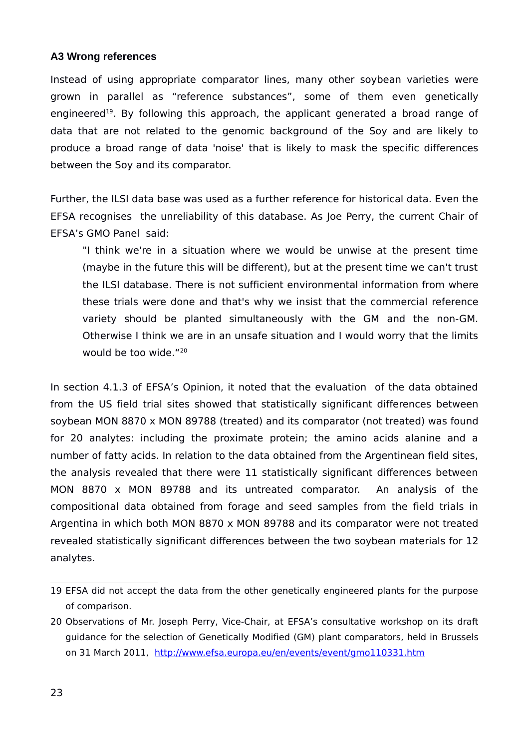#### <span id="page-22-0"></span>**A3 Wrong references**

Instead of using appropriate comparator lines, many other soybean varieties were grown in parallel as "reference substances", some of them even genetically engineered<sup>[19](#page-22-1)</sup>. By following this approach, the applicant generated a broad range of data that are not related to the genomic background of the Soy and are likely to produce a broad range of data 'noise' that is likely to mask the specific differences between the Soy and its comparator.

Further, the ILSI data base was used as a further reference for historical data. Even the EFSA recognises the unreliability of this database. As Joe Perry, the current Chair of EFSA's GMO Panel said:

"I think we're in a situation where we would be unwise at the present time (maybe in the future this will be different), but at the present time we can't trust the ILSI database. There is not sufficient environmental information from where these trials were done and that's why we insist that the commercial reference variety should be planted simultaneously with the GM and the non-GM. Otherwise I think we are in an unsafe situation and I would worry that the limits would be too wide."[20](#page-22-2)

In section 4.1.3 of EFSA's Opinion, it noted that the evaluation of the data obtained from the US field trial sites showed that statistically significant differences between soybean MON 8870 x MON 89788 (treated) and its comparator (not treated) was found for 20 analytes: including the proximate protein; the amino acids alanine and a number of fatty acids. In relation to the data obtained from the Argentinean field sites, the analysis revealed that there were 11 statistically significant differences between MON 8870 x MON 89788 and its untreated comparator. An analysis of the compositional data obtained from forage and seed samples from the field trials in Argentina in which both MON 8870 x MON 89788 and its comparator were not treated revealed statistically significant differences between the two soybean materials for 12 analytes.

<span id="page-22-1"></span><sup>19</sup> EFSA did not accept the data from the other genetically engineered plants for the purpose of comparison.

<span id="page-22-2"></span><sup>20</sup> Observations of Mr. Joseph Perry, Vice-Chair, at EFSA's consultative workshop on its draft guidance for the selection of Genetically Modified (GM) plant comparators, held in Brussels on 31 March 2011, <http://www.efsa.europa.eu/en/events/event/gmo110331.htm>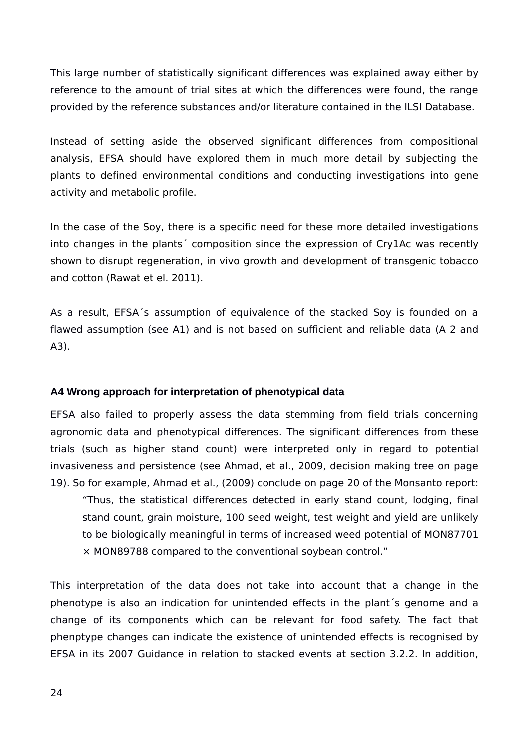This large number of statistically significant differences was explained away either by reference to the amount of trial sites at which the differences were found, the range provided by the reference substances and/or literature contained in the ILSI Database.

Instead of setting aside the observed significant differences from compositional analysis, EFSA should have explored them in much more detail by subjecting the plants to defined environmental conditions and conducting investigations into gene activity and metabolic profile.

In the case of the Soy, there is a specific need for these more detailed investigations into changes in the plants´ composition since the expression of Cry1Ac was recently shown to disrupt regeneration, in vivo growth and development of transgenic tobacco and cotton (Rawat et el. 2011).

As a result, EFSA´s assumption of equivalence of the stacked Soy is founded on a flawed assumption (see A1) and is not based on sufficient and reliable data (A 2 and A3).

#### <span id="page-23-0"></span>**A4 Wrong approach for interpretation of phenotypical data**

EFSA also failed to properly assess the data stemming from field trials concerning agronomic data and phenotypical differences. The significant differences from these trials (such as higher stand count) were interpreted only in regard to potential invasiveness and persistence (see Ahmad, et al., 2009, decision making tree on page 19). So for example, Ahmad et al., (2009) conclude on page 20 of the Monsanto report:

"Thus, the statistical differences detected in early stand count, lodging, final stand count, grain moisture, 100 seed weight, test weight and yield are unlikely to be biologically meaningful in terms of increased weed potential of MON87701 × MON89788 compared to the conventional soybean control."

This interpretation of the data does not take into account that a change in the phenotype is also an indication for unintended effects in the plant´s genome and a change of its components which can be relevant for food safety. The fact that phenptype changes can indicate the existence of unintended effects is recognised by EFSA in its 2007 Guidance in relation to stacked events at section 3.2.2. In addition,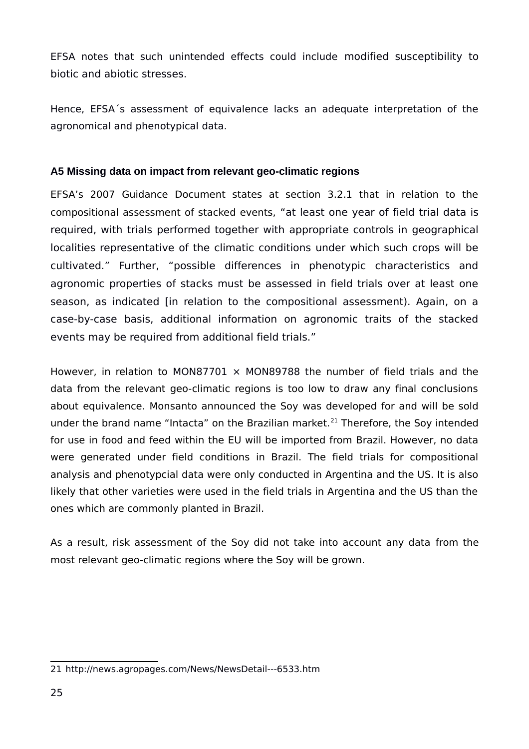EFSA notes that such unintended effects could include modified susceptibility to biotic and abiotic stresses.

Hence, EFSA´s assessment of equivalence lacks an adequate interpretation of the agronomical and phenotypical data.

# <span id="page-24-0"></span>**A5 Missing data on impact from relevant geo-climatic regions**

EFSA's 2007 Guidance Document states at section 3.2.1 that in relation to the compositional assessment of stacked events, "at least one year of field trial data is required, with trials performed together with appropriate controls in geographical localities representative of the climatic conditions under which such crops will be cultivated." Further, "possible differences in phenotypic characteristics and agronomic properties of stacks must be assessed in field trials over at least one season, as indicated [in relation to the compositional assessment). Again, on a case-by-case basis, additional information on agronomic traits of the stacked events may be required from additional field trials."

However, in relation to MON87701  $\times$  MON89788 the number of field trials and the data from the relevant geo-climatic regions is too low to draw any final conclusions about equivalence. Monsanto announced the Soy was developed for and will be sold under the brand name "Intacta" on the Brazilian market.<sup>[21](#page-24-1)</sup> Therefore, the Soy intended for use in food and feed within the EU will be imported from Brazil. However, no data were generated under field conditions in Brazil. The field trials for compositional analysis and phenotypcial data were only conducted in Argentina and the US. It is also likely that other varieties were used in the field trials in Argentina and the US than the ones which are commonly planted in Brazil.

As a result, risk assessment of the Soy did not take into account any data from the most relevant geo-climatic regions where the Soy will be grown.

<span id="page-24-1"></span><sup>21</sup> http://news.agropages.com/News/NewsDetail---6533.htm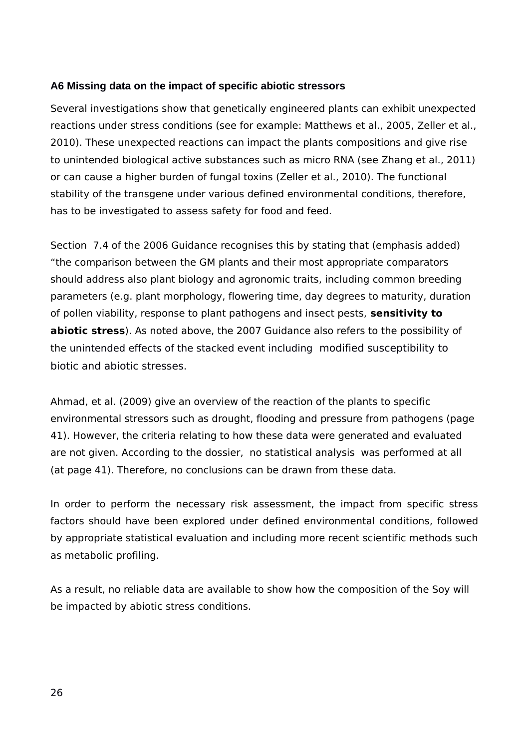## <span id="page-25-0"></span>**A6 Missing data on the impact of specific abiotic stressors**

Several investigations show that genetically engineered plants can exhibit unexpected reactions under stress conditions (see for example: Matthews et al., 2005, Zeller et al., 2010). These unexpected reactions can impact the plants compositions and give rise to unintended biological active substances such as micro RNA (see Zhang et al., 2011) or can cause a higher burden of fungal toxins (Zeller et al., 2010). The functional stability of the transgene under various defined environmental conditions, therefore, has to be investigated to assess safety for food and feed.

Section 7.4 of the 2006 Guidance recognises this by stating that (emphasis added) "the comparison between the GM plants and their most appropriate comparators should address also plant biology and agronomic traits, including common breeding parameters (e.g. plant morphology, flowering time, day degrees to maturity, duration of pollen viability, response to plant pathogens and insect pests, **sensitivity to abiotic stress**). As noted above, the 2007 Guidance also refers to the possibility of the unintended effects of the stacked event including modified susceptibility to biotic and abiotic stresses.

Ahmad, et al. (2009) give an overview of the reaction of the plants to specific environmental stressors such as drought, flooding and pressure from pathogens (page 41). However, the criteria relating to how these data were generated and evaluated are not given. According to the dossier, no statistical analysis was performed at all (at page 41). Therefore, no conclusions can be drawn from these data.

In order to perform the necessary risk assessment, the impact from specific stress factors should have been explored under defined environmental conditions, followed by appropriate statistical evaluation and including more recent scientific methods such as metabolic profiling.

As a result, no reliable data are available to show how the composition of the Soy will be impacted by abiotic stress conditions.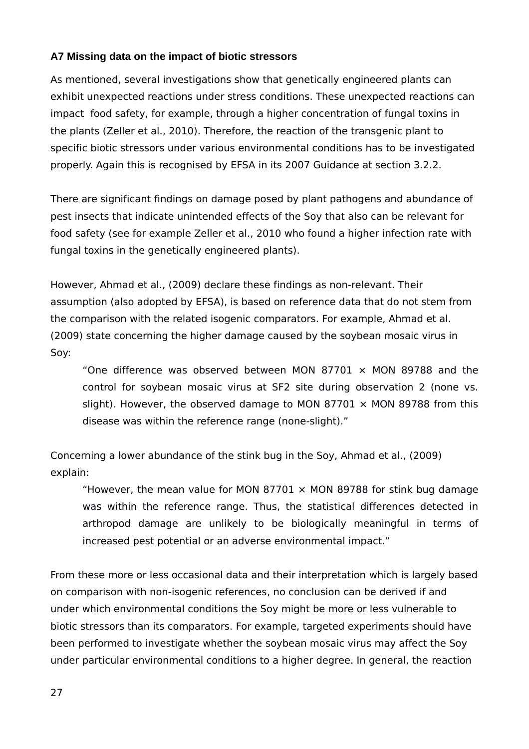# <span id="page-26-0"></span>**A7 Missing data on the impact of biotic stressors**

As mentioned, several investigations show that genetically engineered plants can exhibit unexpected reactions under stress conditions. These unexpected reactions can impact food safety, for example, through a higher concentration of fungal toxins in the plants (Zeller et al., 2010). Therefore, the reaction of the transgenic plant to specific biotic stressors under various environmental conditions has to be investigated properly. Again this is recognised by EFSA in its 2007 Guidance at section 3.2.2.

There are significant findings on damage posed by plant pathogens and abundance of pest insects that indicate unintended effects of the Soy that also can be relevant for food safety (see for example Zeller et al., 2010 who found a higher infection rate with fungal toxins in the genetically engineered plants).

However, Ahmad et al., (2009) declare these findings as non-relevant. Their assumption (also adopted by EFSA), is based on reference data that do not stem from the comparison with the related isogenic comparators. For example, Ahmad et al. (2009) state concerning the higher damage caused by the soybean mosaic virus in Soy:

"One difference was observed between MON 87701  $\times$  MON 89788 and the control for soybean mosaic virus at SF2 site during observation 2 (none vs. slight). However, the observed damage to MON 87701  $\times$  MON 89788 from this disease was within the reference range (none-slight)."

Concerning a lower abundance of the stink bug in the Soy, Ahmad et al., (2009) explain:

"However, the mean value for MON 87701  $\times$  MON 89788 for stink bug damage was within the reference range. Thus, the statistical differences detected in arthropod damage are unlikely to be biologically meaningful in terms of increased pest potential or an adverse environmental impact."

From these more or less occasional data and their interpretation which is largely based on comparison with non-isogenic references, no conclusion can be derived if and under which environmental conditions the Soy might be more or less vulnerable to biotic stressors than its comparators. For example, targeted experiments should have been performed to investigate whether the soybean mosaic virus may affect the Soy under particular environmental conditions to a higher degree. In general, the reaction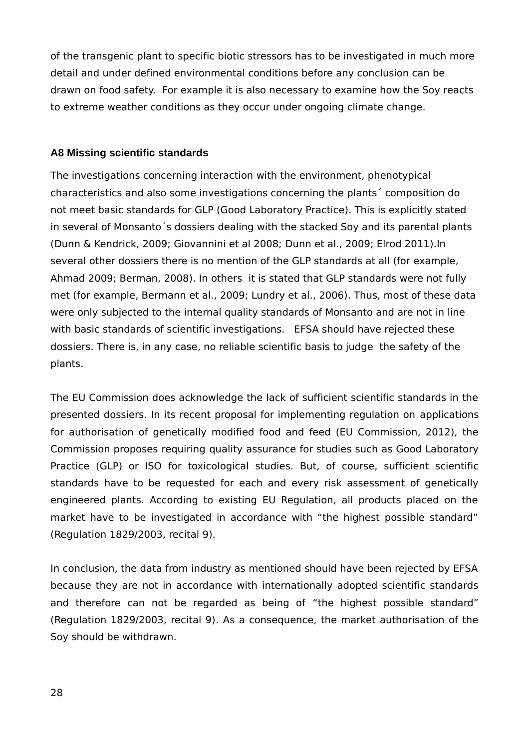of the transgenic plant to specific biotic stressors has to be investigated in much more detail and under defined environmental conditions before any conclusion can be drawn on food safety. For example it is also necessary to examine how the Soy reacts to extreme weather conditions as they occur under ongoing climate change.

### <span id="page-27-0"></span>**A8 Missing scientific standards**

The investigations concerning interaction with the environment, phenotypical characteristics and also some investigations concerning the plants´ composition do not meet basic standards for GLP (Good Laboratory Practice). This is explicitly stated in several of Monsanto´s dossiers dealing with the stacked Soy and its parental plants (Dunn & Kendrick, 2009; Giovannini et al 2008; Dunn et al., 2009; Elrod 2011).In several other dossiers there is no mention of the GLP standards at all (for example, Ahmad 2009; Berman, 2008). In others it is stated that GLP standards were not fully met (for example, Bermann et al., 2009; Lundry et al., 2006). Thus, most of these data were only subjected to the internal quality standards of Monsanto and are not in line with basic standards of scientific investigations. EFSA should have rejected these dossiers. There is, in any case, no reliable scientific basis to judge the safety of the plants.

The EU Commission does acknowledge the lack of sufficient scientific standards in the presented dossiers. In its recent proposal for implementing regulation on applications for authorisation of genetically modified food and feed (EU Commission, 2012), the Commission proposes requiring quality assurance for studies such as Good Laboratory Practice (GLP) or ISO for toxicological studies. But, of course, sufficient scientific standards have to be requested for each and every risk assessment of genetically engineered plants. According to existing EU Regulation, all products placed on the market have to be investigated in accordance with "the highest possible standard" (Regulation 1829/2003, recital 9).

In conclusion, the data from industry as mentioned should have been rejected by EFSA because they are not in accordance with internationally adopted scientific standards and therefore can not be regarded as being of "the highest possible standard" (Regulation 1829/2003, recital 9). As a consequence, the market authorisation of the Soy should be withdrawn.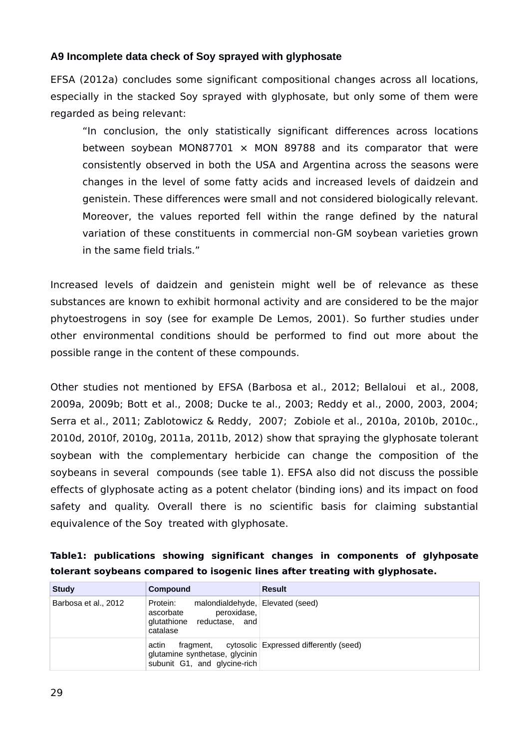### <span id="page-28-0"></span>**A9 Incomplete data check of Soy sprayed with glyphosate**

EFSA (2012a) concludes some significant compositional changes across all locations, especially in the stacked Soy sprayed with glyphosate, but only some of them were regarded as being relevant:

"In conclusion, the only statistically significant differences across locations between soybean MON87701  $\times$  MON 89788 and its comparator that were consistently observed in both the USA and Argentina across the seasons were changes in the level of some fatty acids and increased levels of daidzein and genistein. These differences were small and not considered biologically relevant. Moreover, the values reported fell within the range defined by the natural variation of these constituents in commercial non-GM soybean varieties grown in the same field trials."

Increased levels of daidzein and genistein might well be of relevance as these substances are known to exhibit hormonal activity and are considered to be the major phytoestrogens in soy (see for example De Lemos, 2001). So further studies under other environmental conditions should be performed to find out more about the possible range in the content of these compounds.

Other studies not mentioned by EFSA (Barbosa et al., 2012; Bellaloui et al., 2008, 2009a, 2009b; Bott et al., 2008; Ducke te al., 2003; Reddy et al., 2000, 2003, 2004; Serra et al., 2011; Zablotowicz & Reddy, 2007; Zobiole et al., 2010a, 2010b, 2010c., 2010d, 2010f, 2010g, 2011a, 2011b, 2012) show that spraying the glyphosate tolerant soybean with the complementary herbicide can change the composition of the soybeans in several compounds (see table 1). EFSA also did not discuss the possible effects of glyphosate acting as a potent chelator (binding ions) and its impact on food safety and quality. Overall there is no scientific basis for claiming substantial equivalence of the Soy treated with glyphosate.

|                                                                              |  |  |  |  |  | Table1: publications showing significant changes in components of glyhposate |  |  |
|------------------------------------------------------------------------------|--|--|--|--|--|------------------------------------------------------------------------------|--|--|
| tolerant soybeans compared to isogenic lines after treating with glyphosate. |  |  |  |  |  |                                                                              |  |  |

| <b>Study</b>         | Compound                                                                                                           | <b>Result</b>                                    |
|----------------------|--------------------------------------------------------------------------------------------------------------------|--------------------------------------------------|
| Barbosa et al., 2012 | malondialdehyde, Elevated (seed)<br>Protein:<br>peroxidase,<br>ascorbate<br>glutathione reductase, and<br>catalase |                                                  |
|                      | actin<br>glutamine synthetase, glycinin<br>subunit G1, and glycine-rich                                            | fragment, cytosolic Expressed differently (seed) |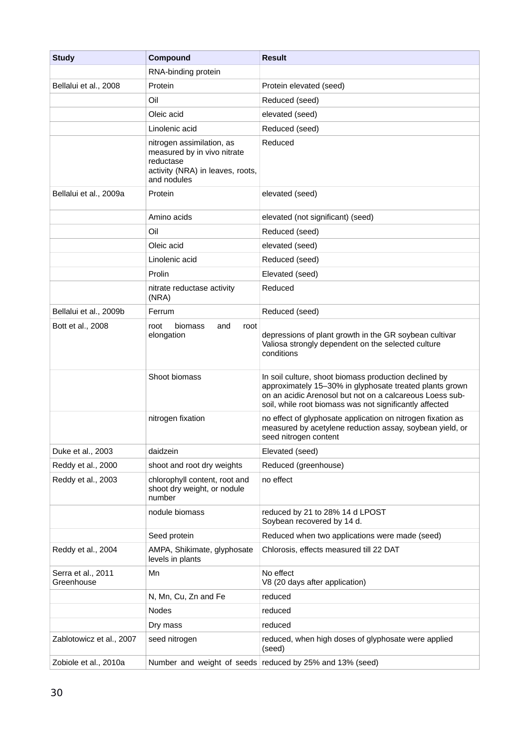| <b>Study</b>                     | Compound                                                                                                                 | <b>Result</b>                                                                                                                                                                                                                           |  |  |  |
|----------------------------------|--------------------------------------------------------------------------------------------------------------------------|-----------------------------------------------------------------------------------------------------------------------------------------------------------------------------------------------------------------------------------------|--|--|--|
|                                  | RNA-binding protein                                                                                                      |                                                                                                                                                                                                                                         |  |  |  |
| Bellalui et al., 2008            | Protein                                                                                                                  | Protein elevated (seed)                                                                                                                                                                                                                 |  |  |  |
|                                  | Oil                                                                                                                      | Reduced (seed)                                                                                                                                                                                                                          |  |  |  |
|                                  | Oleic acid                                                                                                               | elevated (seed)                                                                                                                                                                                                                         |  |  |  |
|                                  | Linolenic acid                                                                                                           | Reduced (seed)                                                                                                                                                                                                                          |  |  |  |
|                                  | nitrogen assimilation, as<br>measured by in vivo nitrate<br>reductase<br>activity (NRA) in leaves, roots,<br>and nodules | Reduced                                                                                                                                                                                                                                 |  |  |  |
| Bellalui et al., 2009a           | Protein                                                                                                                  | elevated (seed)                                                                                                                                                                                                                         |  |  |  |
|                                  | Amino acids                                                                                                              | elevated (not significant) (seed)                                                                                                                                                                                                       |  |  |  |
|                                  | Oil                                                                                                                      | Reduced (seed)                                                                                                                                                                                                                          |  |  |  |
|                                  | Oleic acid                                                                                                               | elevated (seed)                                                                                                                                                                                                                         |  |  |  |
|                                  | Linolenic acid                                                                                                           | Reduced (seed)                                                                                                                                                                                                                          |  |  |  |
|                                  | Prolin                                                                                                                   | Elevated (seed)                                                                                                                                                                                                                         |  |  |  |
|                                  | nitrate reductase activity<br>(NRA)                                                                                      | Reduced                                                                                                                                                                                                                                 |  |  |  |
| Bellalui et al., 2009b           | Ferrum                                                                                                                   | Reduced (seed)                                                                                                                                                                                                                          |  |  |  |
| Bott et al., 2008                | biomass<br>and<br>root<br>root<br>elongation                                                                             | depressions of plant growth in the GR soybean cultivar<br>Valiosa strongly dependent on the selected culture<br>conditions                                                                                                              |  |  |  |
|                                  | Shoot biomass                                                                                                            | In soil culture, shoot biomass production declined by<br>approximately 15-30% in glyphosate treated plants grown<br>on an acidic Arenosol but not on a calcareous Loess sub-<br>soil, while root biomass was not significantly affected |  |  |  |
|                                  | nitrogen fixation                                                                                                        | no effect of glyphosate application on nitrogen fixation as<br>measured by acetylene reduction assay, soybean yield, or<br>seed nitrogen content                                                                                        |  |  |  |
| Duke et al., 2003                | daidzein                                                                                                                 | Elevated (seed)                                                                                                                                                                                                                         |  |  |  |
| Reddy et al., 2000               | shoot and root dry weights                                                                                               | Reduced (greenhouse)                                                                                                                                                                                                                    |  |  |  |
| Reddy et al., 2003               | chlorophyll content, root and<br>shoot dry weight, or nodule<br>number                                                   | no effect                                                                                                                                                                                                                               |  |  |  |
|                                  | nodule biomass                                                                                                           | reduced by 21 to 28% 14 d LPOST<br>Soybean recovered by 14 d.                                                                                                                                                                           |  |  |  |
|                                  | Seed protein                                                                                                             | Reduced when two applications were made (seed)                                                                                                                                                                                          |  |  |  |
| Reddy et al., 2004               | AMPA, Shikimate, glyphosate<br>levels in plants                                                                          | Chlorosis, effects measured till 22 DAT                                                                                                                                                                                                 |  |  |  |
| Serra et al., 2011<br>Greenhouse | Mn                                                                                                                       | No effect<br>V8 (20 days after application)                                                                                                                                                                                             |  |  |  |
|                                  | N, Mn, Cu, Zn and Fe                                                                                                     | reduced                                                                                                                                                                                                                                 |  |  |  |
|                                  | Nodes                                                                                                                    | reduced                                                                                                                                                                                                                                 |  |  |  |
|                                  | Dry mass                                                                                                                 | reduced                                                                                                                                                                                                                                 |  |  |  |
| Zablotowicz et al., 2007         | seed nitrogen                                                                                                            | reduced, when high doses of glyphosate were applied<br>(seed)                                                                                                                                                                           |  |  |  |
| Zobiole et al., 2010a            | Number and weight of seeds                                                                                               | reduced by 25% and 13% (seed)                                                                                                                                                                                                           |  |  |  |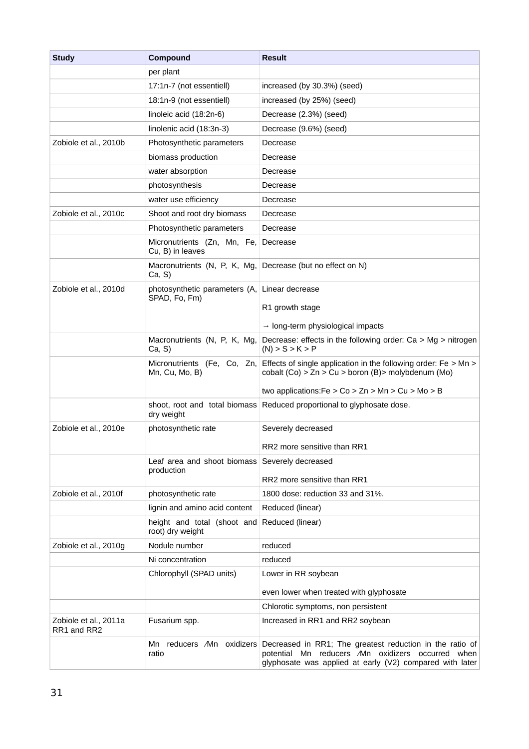| <b>Study</b>                         | Compound                                        | <b>Result</b>                                                                                                                                                             |  |  |  |
|--------------------------------------|-------------------------------------------------|---------------------------------------------------------------------------------------------------------------------------------------------------------------------------|--|--|--|
|                                      | per plant                                       |                                                                                                                                                                           |  |  |  |
|                                      | 17:1n-7 (not essentiell)                        | increased (by 30.3%) (seed)                                                                                                                                               |  |  |  |
|                                      | 18:1n-9 (not essentiell)                        | increased (by 25%) (seed)                                                                                                                                                 |  |  |  |
|                                      | linoleic acid (18:2n-6)                         | Decrease (2.3%) (seed)                                                                                                                                                    |  |  |  |
|                                      | linolenic acid (18:3n-3)                        | Decrease (9.6%) (seed)                                                                                                                                                    |  |  |  |
| Zobiole et al., 2010b                | Photosynthetic parameters                       | Decrease                                                                                                                                                                  |  |  |  |
|                                      | biomass production                              | Decrease                                                                                                                                                                  |  |  |  |
|                                      | water absorption                                | Decrease                                                                                                                                                                  |  |  |  |
|                                      | photosynthesis                                  | Decrease                                                                                                                                                                  |  |  |  |
|                                      | water use efficiency                            | Decrease                                                                                                                                                                  |  |  |  |
| Zobiole et al., 2010c                | Shoot and root dry biomass                      | Decrease                                                                                                                                                                  |  |  |  |
|                                      | Photosynthetic parameters                       | Decrease                                                                                                                                                                  |  |  |  |
|                                      | Micronutrients (Zn, Mn, Fe,<br>Cu, B) in leaves | Decrease                                                                                                                                                                  |  |  |  |
|                                      | Macronutrients (N, P, K, Mg,<br>Ca, S           | Decrease (but no effect on N)                                                                                                                                             |  |  |  |
| Zobiole et al., 2010d                | photosynthetic parameters (A,                   | Linear decrease                                                                                                                                                           |  |  |  |
|                                      | SPAD, Fo, Fm)                                   | R1 growth stage                                                                                                                                                           |  |  |  |
|                                      |                                                 | $\rightarrow$ long-term physiological impacts                                                                                                                             |  |  |  |
|                                      | Macronutrients (N, P, K, Mg,<br>Ca, S           | Decrease: effects in the following order: $Ca > Mg > nitrogen$<br>$(N)$ > S > K > P                                                                                       |  |  |  |
|                                      | Micronutrients (Fe, Co, Zn,<br>Mn, Cu, Mo, B)   | Effects of single application in the following order: $Fe > Mn >$<br>cobalt $(Co) > Zn > Cu > boron(B) > molybdenum(Mo)$                                                  |  |  |  |
|                                      |                                                 | two applications: Fe $>$ Co $>$ Zn $>$ Mn $>$ Cu $>$ Mo $>$ B                                                                                                             |  |  |  |
|                                      | dry weight                                      | shoot, root and total biomass Reduced proportional to glyphosate dose.                                                                                                    |  |  |  |
| Zobiole et al., 2010e                | photosynthetic rate                             | Severely decreased                                                                                                                                                        |  |  |  |
|                                      |                                                 | RR2 more sensitive than RR1                                                                                                                                               |  |  |  |
|                                      | Leaf area and shoot biomass<br>production       | Severely decreased                                                                                                                                                        |  |  |  |
|                                      |                                                 | RR2 more sensitive than RR1                                                                                                                                               |  |  |  |
| Zobiole et al., 2010f                | photosynthetic rate                             | 1800 dose: reduction 33 and 31%.                                                                                                                                          |  |  |  |
|                                      | lignin and amino acid content                   | Reduced (linear)                                                                                                                                                          |  |  |  |
|                                      | height and total (shoot and<br>root) dry weight | Reduced (linear)                                                                                                                                                          |  |  |  |
| Zobiole et al., 2010g                | Nodule number                                   | reduced                                                                                                                                                                   |  |  |  |
|                                      | Ni concentration                                | reduced                                                                                                                                                                   |  |  |  |
|                                      | Chlorophyll (SPAD units)                        | Lower in RR soybean                                                                                                                                                       |  |  |  |
|                                      |                                                 | even lower when treated with glyphosate                                                                                                                                   |  |  |  |
|                                      |                                                 | Chlorotic symptoms, non persistent                                                                                                                                        |  |  |  |
| Zobiole et al., 2011a<br>RR1 and RR2 | Fusarium spp.                                   | Increased in RR1 and RR2 soybean                                                                                                                                          |  |  |  |
|                                      | Mn reducers /Mn oxidizers<br>ratio              | Decreased in RR1; The greatest reduction in the ratio of<br>potential Mn reducers /Mn oxidizers occurred when<br>glyphosate was applied at early (V2) compared with later |  |  |  |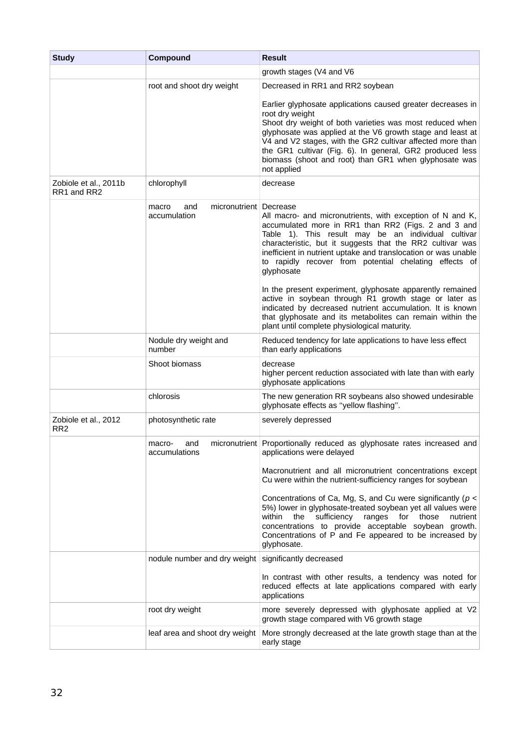| <b>Study</b>                            | Compound                                                 | <b>Result</b>                                                                                                                                                                                                                                                                                                                                                                                                                                                                                                                                                                                                                                                                  |  |  |  |
|-----------------------------------------|----------------------------------------------------------|--------------------------------------------------------------------------------------------------------------------------------------------------------------------------------------------------------------------------------------------------------------------------------------------------------------------------------------------------------------------------------------------------------------------------------------------------------------------------------------------------------------------------------------------------------------------------------------------------------------------------------------------------------------------------------|--|--|--|
|                                         |                                                          | growth stages (V4 and V6                                                                                                                                                                                                                                                                                                                                                                                                                                                                                                                                                                                                                                                       |  |  |  |
|                                         | root and shoot dry weight                                | Decreased in RR1 and RR2 soybean                                                                                                                                                                                                                                                                                                                                                                                                                                                                                                                                                                                                                                               |  |  |  |
|                                         |                                                          | Earlier glyphosate applications caused greater decreases in<br>root dry weight<br>Shoot dry weight of both varieties was most reduced when<br>glyphosate was applied at the V6 growth stage and least at<br>V4 and V2 stages, with the GR2 cultivar affected more than<br>the GR1 cultivar (Fig. 6). In general, GR2 produced less<br>biomass (shoot and root) than GR1 when glyphosate was<br>not applied                                                                                                                                                                                                                                                                     |  |  |  |
| Zobiole et al., 2011b<br>RR1 and RR2    | chlorophyll                                              | decrease                                                                                                                                                                                                                                                                                                                                                                                                                                                                                                                                                                                                                                                                       |  |  |  |
|                                         | micronutrient   Decrease<br>macro<br>and<br>accumulation | All macro- and micronutrients, with exception of N and K,<br>accumulated more in RR1 than RR2 (Figs. 2 and 3 and<br>Table 1). This result may be an individual cultivar<br>characteristic, but it suggests that the RR2 cultivar was<br>inefficient in nutrient uptake and translocation or was unable<br>to rapidly recover from potential chelating effects of<br>glyphosate<br>In the present experiment, glyphosate apparently remained<br>active in soybean through R1 growth stage or later as<br>indicated by decreased nutrient accumulation. It is known<br>that glyphosate and its metabolites can remain within the<br>plant until complete physiological maturity. |  |  |  |
|                                         | Nodule dry weight and                                    | Reduced tendency for late applications to have less effect                                                                                                                                                                                                                                                                                                                                                                                                                                                                                                                                                                                                                     |  |  |  |
|                                         | number<br>Shoot biomass                                  | than early applications<br>decrease<br>higher percent reduction associated with late than with early<br>glyphosate applications                                                                                                                                                                                                                                                                                                                                                                                                                                                                                                                                                |  |  |  |
|                                         | chlorosis                                                | The new generation RR soybeans also showed undesirable<br>glyphosate effects as "yellow flashing".                                                                                                                                                                                                                                                                                                                                                                                                                                                                                                                                                                             |  |  |  |
| Zobiole et al., 2012<br>RR <sub>2</sub> | photosynthetic rate                                      | severely depressed                                                                                                                                                                                                                                                                                                                                                                                                                                                                                                                                                                                                                                                             |  |  |  |
|                                         | and<br>macro-<br>accumulations                           | micronutrient Proportionally reduced as glyphosate rates increased and<br>applications were delayed                                                                                                                                                                                                                                                                                                                                                                                                                                                                                                                                                                            |  |  |  |
|                                         |                                                          | Macronutrient and all micronutrient concentrations except<br>Cu were within the nutrient-sufficiency ranges for soybean                                                                                                                                                                                                                                                                                                                                                                                                                                                                                                                                                        |  |  |  |
|                                         |                                                          | Concentrations of Ca, Mg, S, and Cu were significantly ( $p <$<br>5%) lower in glyphosate-treated soybean yet all values were<br>sufficiency ranges for those<br>within<br>the<br>nutrient<br>concentrations to provide acceptable soybean growth.<br>Concentrations of P and Fe appeared to be increased by<br>glyphosate.                                                                                                                                                                                                                                                                                                                                                    |  |  |  |
|                                         | nodule number and dry weight                             | significantly decreased                                                                                                                                                                                                                                                                                                                                                                                                                                                                                                                                                                                                                                                        |  |  |  |
|                                         |                                                          | In contrast with other results, a tendency was noted for<br>reduced effects at late applications compared with early<br>applications                                                                                                                                                                                                                                                                                                                                                                                                                                                                                                                                           |  |  |  |
|                                         | root dry weight                                          | more severely depressed with glyphosate applied at V2<br>growth stage compared with V6 growth stage                                                                                                                                                                                                                                                                                                                                                                                                                                                                                                                                                                            |  |  |  |
|                                         | leaf area and shoot dry weight                           | More strongly decreased at the late growth stage than at the<br>early stage                                                                                                                                                                                                                                                                                                                                                                                                                                                                                                                                                                                                    |  |  |  |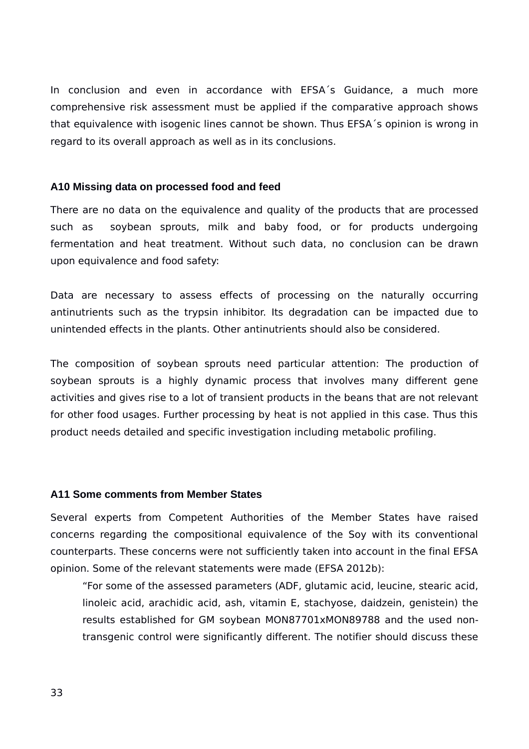In conclusion and even in accordance with EFSA´s Guidance, a much more comprehensive risk assessment must be applied if the comparative approach shows that equivalence with isogenic lines cannot be shown. Thus EFSA´s opinion is wrong in regard to its overall approach as well as in its conclusions.

#### <span id="page-32-1"></span>**A10 Missing data on processed food and feed**

There are no data on the equivalence and quality of the products that are processed such as soybean sprouts, milk and baby food, or for products undergoing fermentation and heat treatment. Without such data, no conclusion can be drawn upon equivalence and food safety:

Data are necessary to assess effects of processing on the naturally occurring antinutrients such as the trypsin inhibitor. Its degradation can be impacted due to unintended effects in the plants. Other antinutrients should also be considered.

The composition of soybean sprouts need particular attention: The production of soybean sprouts is a highly dynamic process that involves many different gene activities and gives rise to a lot of transient products in the beans that are not relevant for other food usages. Further processing by heat is not applied in this case. Thus this product needs detailed and specific investigation including metabolic profiling.

#### <span id="page-32-0"></span>**A11 Some comments from Member States**

Several experts from Competent Authorities of the Member States have raised concerns regarding the compositional equivalence of the Soy with its conventional counterparts. These concerns were not sufficiently taken into account in the final EFSA opinion. Some of the relevant statements were made (EFSA 2012b):

"For some of the assessed parameters (ADF, glutamic acid, leucine, stearic acid, linoleic acid, arachidic acid, ash, vitamin E, stachyose, daidzein, genistein) the results established for GM soybean MON87701xMON89788 and the used nontransgenic control were significantly different. The notifier should discuss these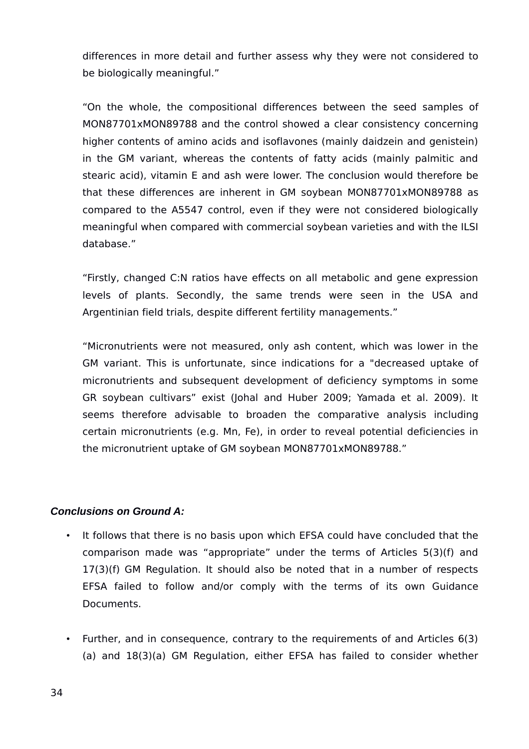differences in more detail and further assess why they were not considered to be biologically meaningful."

"On the whole, the compositional differences between the seed samples of MON87701xMON89788 and the control showed a clear consistency concerning higher contents of amino acids and isoflavones (mainly daidzein and genistein) in the GM variant, whereas the contents of fatty acids (mainly palmitic and stearic acid), vitamin E and ash were lower. The conclusion would therefore be that these differences are inherent in GM soybean MON87701xMON89788 as compared to the A5547 control, even if they were not considered biologically meaningful when compared with commercial soybean varieties and with the ILSI database."

"Firstly, changed C:N ratios have effects on all metabolic and gene expression levels of plants. Secondly, the same trends were seen in the USA and Argentinian field trials, despite different fertility managements."

"Micronutrients were not measured, only ash content, which was lower in the GM variant. This is unfortunate, since indications for a "decreased uptake of micronutrients and subsequent development of deficiency symptoms in some GR soybean cultivars" exist (Johal and Huber 2009; Yamada et al. 2009). It seems therefore advisable to broaden the comparative analysis including certain micronutrients (e.g. Mn, Fe), in order to reveal potential deficiencies in the micronutrient uptake of GM soybean MON87701xMON89788."

#### <span id="page-33-0"></span>*Conclusions on Ground A:*

- It follows that there is no basis upon which EFSA could have concluded that the comparison made was "appropriate" under the terms of Articles 5(3)(f) and 17(3)(f) GM Regulation. It should also be noted that in a number of respects EFSA failed to follow and/or comply with the terms of its own Guidance Documents.
- Further, and in consequence, contrary to the requirements of and Articles 6(3) (a) and 18(3)(a) GM Regulation, either EFSA has failed to consider whether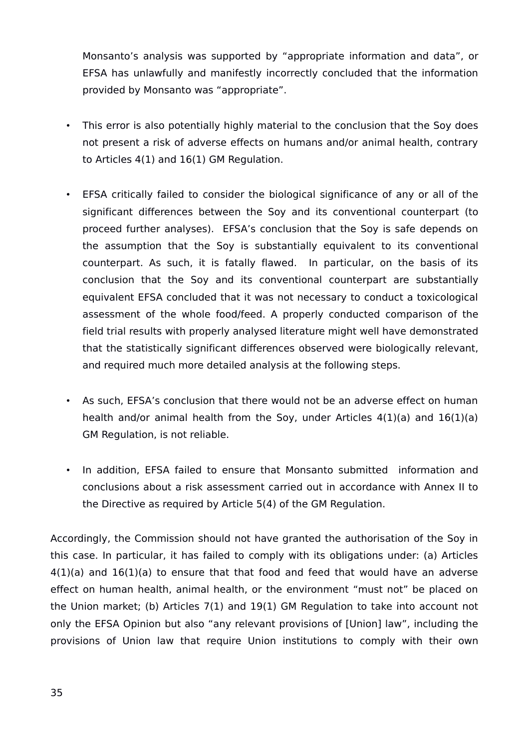Monsanto's analysis was supported by "appropriate information and data", or EFSA has unlawfully and manifestly incorrectly concluded that the information provided by Monsanto was "appropriate".

- This error is also potentially highly material to the conclusion that the Soy does not present a risk of adverse effects on humans and/or animal health, contrary to Articles 4(1) and 16(1) GM Regulation.
- EFSA critically failed to consider the biological significance of any or all of the significant differences between the Soy and its conventional counterpart (to proceed further analyses). EFSA's conclusion that the Soy is safe depends on the assumption that the Soy is substantially equivalent to its conventional counterpart. As such, it is fatally flawed. In particular, on the basis of its conclusion that the Soy and its conventional counterpart are substantially equivalent EFSA concluded that it was not necessary to conduct a toxicological assessment of the whole food/feed. A properly conducted comparison of the field trial results with properly analysed literature might well have demonstrated that the statistically significant differences observed were biologically relevant, and required much more detailed analysis at the following steps.
- As such, EFSA's conclusion that there would not be an adverse effect on human health and/or animal health from the Soy, under Articles 4(1)(a) and 16(1)(a) GM Regulation, is not reliable.
- In addition, EFSA failed to ensure that Monsanto submitted information and conclusions about a risk assessment carried out in accordance with Annex II to the Directive as required by Article 5(4) of the GM Regulation.

Accordingly, the Commission should not have granted the authorisation of the Soy in this case. In particular, it has failed to comply with its obligations under: (a) Articles  $4(1)(a)$  and  $16(1)(a)$  to ensure that that food and feed that would have an adverse effect on human health, animal health, or the environment "must not" be placed on the Union market; (b) Articles 7(1) and 19(1) GM Regulation to take into account not only the EFSA Opinion but also "any relevant provisions of [Union] law", including the provisions of Union law that require Union institutions to comply with their own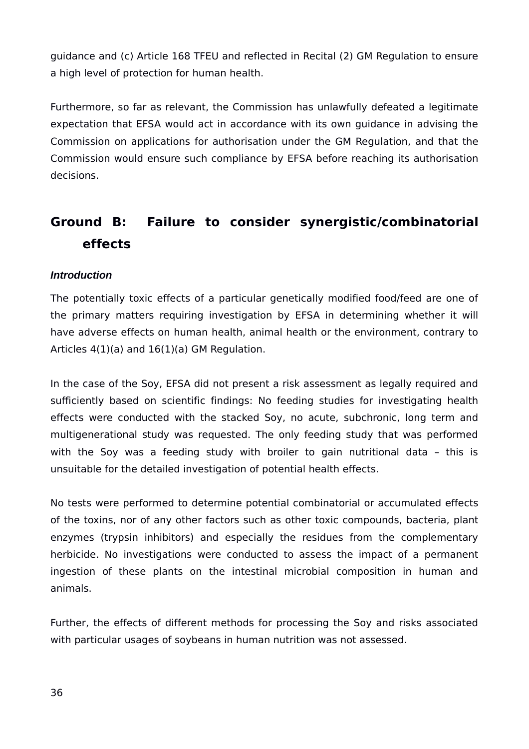guidance and (c) Article 168 TFEU and reflected in Recital (2) GM Regulation to ensure a high level of protection for human health.

Furthermore, so far as relevant, the Commission has unlawfully defeated a legitimate expectation that EFSA would act in accordance with its own guidance in advising the Commission on applications for authorisation under the GM Regulation, and that the Commission would ensure such compliance by EFSA before reaching its authorisation decisions.

# <span id="page-35-1"></span>**Ground B: Failure to consider synergistic/combinatorial effects**

## <span id="page-35-0"></span>*Introduction*

The potentially toxic effects of a particular genetically modified food/feed are one of the primary matters requiring investigation by EFSA in determining whether it will have adverse effects on human health, animal health or the environment, contrary to Articles 4(1)(a) and 16(1)(a) GM Regulation.

In the case of the Soy, EFSA did not present a risk assessment as legally required and sufficiently based on scientific findings: No feeding studies for investigating health effects were conducted with the stacked Soy, no acute, subchronic, long term and multigenerational study was requested. The only feeding study that was performed with the Soy was a feeding study with broiler to gain nutritional data - this is unsuitable for the detailed investigation of potential health effects.

No tests were performed to determine potential combinatorial or accumulated effects of the toxins, nor of any other factors such as other toxic compounds, bacteria, plant enzymes (trypsin inhibitors) and especially the residues from the complementary herbicide. No investigations were conducted to assess the impact of a permanent ingestion of these plants on the intestinal microbial composition in human and animals.

Further, the effects of different methods for processing the Soy and risks associated with particular usages of soybeans in human nutrition was not assessed.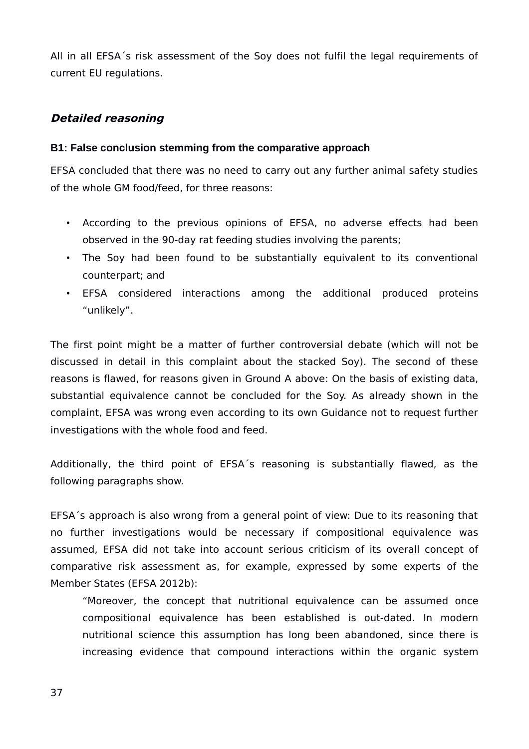All in all EFSA´s risk assessment of the Soy does not fulfil the legal requirements of current EU regulations.

# <span id="page-36-1"></span>**Detailed reasoning**

#### <span id="page-36-0"></span>**B1: False conclusion stemming from the comparative approach**

EFSA concluded that there was no need to carry out any further animal safety studies of the whole GM food/feed, for three reasons:

- According to the previous opinions of EFSA, no adverse effects had been observed in the 90-day rat feeding studies involving the parents;
- The Soy had been found to be substantially equivalent to its conventional counterpart; and
- EFSA considered interactions among the additional produced proteins "unlikely".

The first point might be a matter of further controversial debate (which will not be discussed in detail in this complaint about the stacked Soy). The second of these reasons is flawed, for reasons given in Ground A above: On the basis of existing data, substantial equivalence cannot be concluded for the Soy. As already shown in the complaint, EFSA was wrong even according to its own Guidance not to request further investigations with the whole food and feed.

Additionally, the third point of EFSA´s reasoning is substantially flawed, as the following paragraphs show.

EFSA´s approach is also wrong from a general point of view: Due to its reasoning that no further investigations would be necessary if compositional equivalence was assumed, EFSA did not take into account serious criticism of its overall concept of comparative risk assessment as, for example, expressed by some experts of the Member States (EFSA 2012b):

"Moreover, the concept that nutritional equivalence can be assumed once compositional equivalence has been established is out-dated. In modern nutritional science this assumption has long been abandoned, since there is increasing evidence that compound interactions within the organic system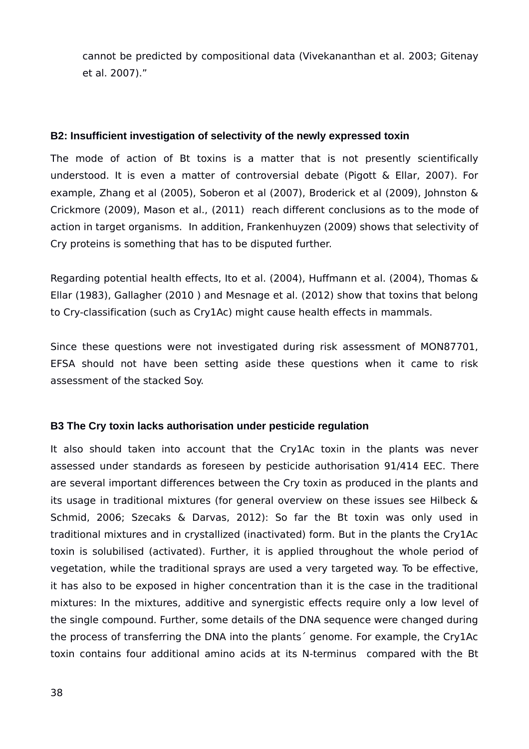cannot be predicted by compositional data (Vivekananthan et al. 2003; Gitenay et al. 2007)."

#### <span id="page-37-1"></span>**B2: Insufficient investigation of selectivity of the newly expressed toxin**

The mode of action of Bt toxins is a matter that is not presently scientifically understood. It is even a matter of controversial debate (Pigott & Ellar, 2007). For example, Zhang et al (2005), Soberon et al (2007), Broderick et al (2009), Johnston & Crickmore (2009), Mason et al., (2011) reach different conclusions as to the mode of action in target organisms. In addition, Frankenhuyzen (2009) shows that selectivity of Cry proteins is something that has to be disputed further.

Regarding potential health effects, Ito et al. (2004), Huffmann et al. (2004), Thomas & Ellar (1983), Gallagher (2010 ) and Mesnage et al. (2012) show that toxins that belong to Cry-classification (such as Cry1Ac) might cause health effects in mammals.

Since these questions were not investigated during risk assessment of MON87701, EFSA should not have been setting aside these questions when it came to risk assessment of the stacked Soy.

## <span id="page-37-0"></span>**B3 The Cry toxin lacks authorisation under pesticide regulation**

It also should taken into account that the Cry1Ac toxin in the plants was never assessed under standards as foreseen by pesticide authorisation 91/414 EEC. There are several important differences between the Cry toxin as produced in the plants and its usage in traditional mixtures (for general overview on these issues see Hilbeck & Schmid, 2006; Szecaks & Darvas, 2012): So far the Bt toxin was only used in traditional mixtures and in crystallized (inactivated) form. But in the plants the Cry1Ac toxin is solubilised (activated). Further, it is applied throughout the whole period of vegetation, while the traditional sprays are used a very targeted way. To be effective, it has also to be exposed in higher concentration than it is the case in the traditional mixtures: In the mixtures, additive and synergistic effects require only a low level of the single compound. Further, some details of the DNA sequence were changed during the process of transferring the DNA into the plants´ genome. For example, the Cry1Ac toxin contains four additional amino acids at its N-terminus compared with the Bt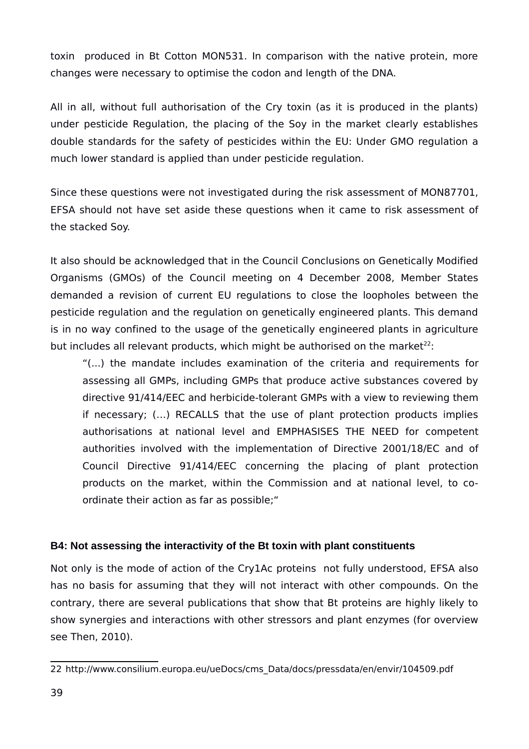toxin produced in Bt Cotton MON531. In comparison with the native protein, more changes were necessary to optimise the codon and length of the DNA.

All in all, without full authorisation of the Cry toxin (as it is produced in the plants) under pesticide Regulation, the placing of the Soy in the market clearly establishes double standards for the safety of pesticides within the EU: Under GMO regulation a much lower standard is applied than under pesticide regulation.

Since these questions were not investigated during the risk assessment of MON87701, EFSA should not have set aside these questions when it came to risk assessment of the stacked Soy.

It also should be acknowledged that in the Council Conclusions on Genetically Modified Organisms (GMOs) of the Council meeting on 4 December 2008, Member States demanded a revision of current EU regulations to close the loopholes between the pesticide regulation and the regulation on genetically engineered plants. This demand is in no way confined to the usage of the genetically engineered plants in agriculture but includes all relevant products, which might be authorised on the market $22$ :

"(...) the mandate includes examination of the criteria and requirements for assessing all GMPs, including GMPs that produce active substances covered by directive 91/414/EEC and herbicide-tolerant GMPs with a view to reviewing them if necessary; (…) RECALLS that the use of plant protection products implies authorisations at national level and EMPHASISES THE NEED for competent authorities involved with the implementation of Directive 2001/18/EC and of Council Directive 91/414/EEC concerning the placing of plant protection products on the market, within the Commission and at national level, to coordinate their action as far as possible;"

## <span id="page-38-0"></span>**B4: Not assessing the interactivity of the Bt toxin with plant constituents**

Not only is the mode of action of the Cry1Ac proteins not fully understood, EFSA also has no basis for assuming that they will not interact with other compounds. On the contrary, there are several publications that show that Bt proteins are highly likely to show synergies and interactions with other stressors and plant enzymes (for overview see Then, 2010).

<span id="page-38-1"></span><sup>22</sup> http://www.consilium.europa.eu/ueDocs/cms\_Data/docs/pressdata/en/envir/104509.pdf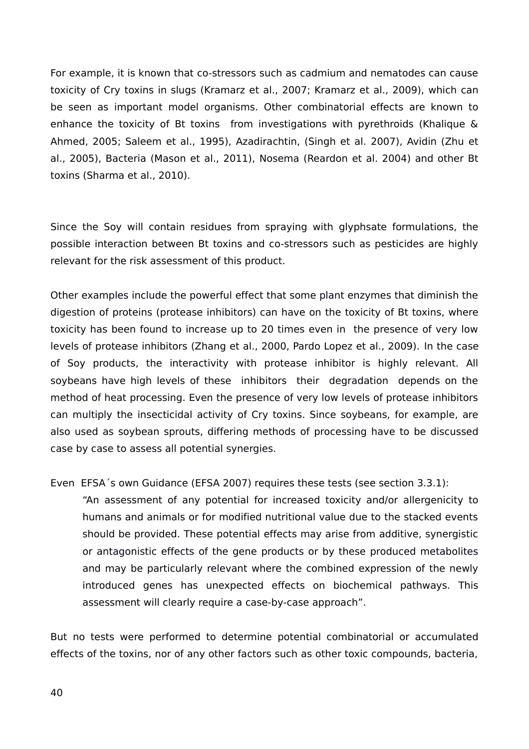For example, it is known that co-stressors such as cadmium and nematodes can cause toxicity of Cry toxins in slugs (Kramarz et al., 2007; Kramarz et al., 2009), which can be seen as important model organisms. Other combinatorial effects are known to enhance the toxicity of Bt toxins from investigations with pyrethroids (Khalique & Ahmed, 2005; Saleem et al., 1995), Azadirachtin, (Singh et al. 2007), Avidin (Zhu et al., 2005), Bacteria (Mason et al., 2011), Nosema (Reardon et al. 2004) and other Bt toxins (Sharma et al., 2010).

Since the Soy will contain residues from spraying with glyphsate formulations, the possible interaction between Bt toxins and co-stressors such as pesticides are highly relevant for the risk assessment of this product.

Other examples include the powerful effect that some plant enzymes that diminish the digestion of proteins (protease inhibitors) can have on the toxicity of Bt toxins, where toxicity has been found to increase up to 20 times even in the presence of very low levels of protease inhibitors (Zhang et al., 2000, Pardo Lopez et al., 2009). In the case of Soy products, the interactivity with protease inhibitor is highly relevant. All soybeans have high levels of these inhibitors their degradation depends on the method of heat processing. Even the presence of very low levels of protease inhibitors can multiply the insecticidal activity of Cry toxins. Since soybeans, for example, are also used as soybean sprouts, differing methods of processing have to be discussed case by case to assess all potential synergies.

Even EFSA´s own Guidance (EFSA 2007) requires these tests (see section 3.3.1):

"An assessment of any potential for increased toxicity and/or allergenicity to humans and animals or for modified nutritional value due to the stacked events should be provided. These potential effects may arise from additive, synergistic or antagonistic effects of the gene products or by these produced metabolites and may be particularly relevant where the combined expression of the newly introduced genes has unexpected effects on biochemical pathways. This assessment will clearly require a case-by-case approach".

But no tests were performed to determine potential combinatorial or accumulated effects of the toxins, nor of any other factors such as other toxic compounds, bacteria,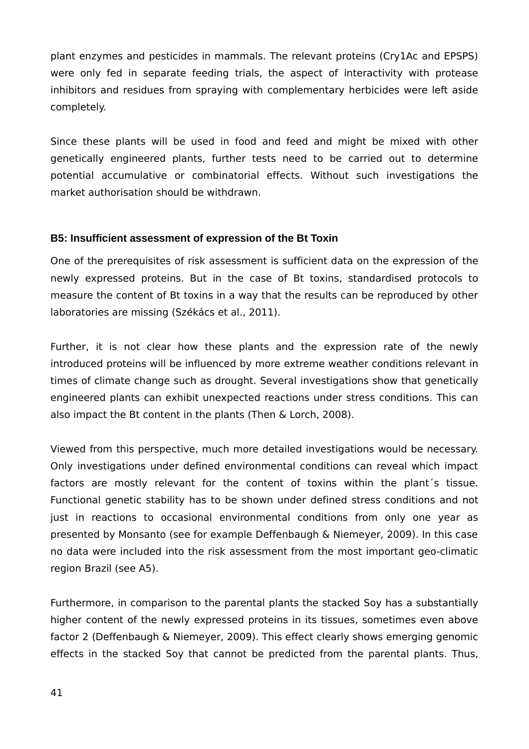plant enzymes and pesticides in mammals. The relevant proteins (Cry1Ac and EPSPS) were only fed in separate feeding trials, the aspect of interactivity with protease inhibitors and residues from spraying with complementary herbicides were left aside completely.

Since these plants will be used in food and feed and might be mixed with other genetically engineered plants, further tests need to be carried out to determine potential accumulative or combinatorial effects. Without such investigations the market authorisation should be withdrawn.

### <span id="page-40-0"></span>**B5: Insufficient assessment of expression of the Bt Toxin**

One of the prerequisites of risk assessment is sufficient data on the expression of the newly expressed proteins. But in the case of Bt toxins, standardised protocols to measure the content of Bt toxins in a way that the results can be reproduced by other laboratories are missing (Székács et al., 2011).

Further, it is not clear how these plants and the expression rate of the newly introduced proteins will be influenced by more extreme weather conditions relevant in times of climate change such as drought. Several investigations show that genetically engineered plants can exhibit unexpected reactions under stress conditions. This can also impact the Bt content in the plants (Then & Lorch, 2008).

Viewed from this perspective, much more detailed investigations would be necessary. Only investigations under defined environmental conditions can reveal which impact factors are mostly relevant for the content of toxins within the plant´s tissue. Functional genetic stability has to be shown under defined stress conditions and not just in reactions to occasional environmental conditions from only one year as presented by Monsanto (see for example Deffenbaugh & Niemeyer, 2009). In this case no data were included into the risk assessment from the most important geo-climatic region Brazil (see A5).

Furthermore, in comparison to the parental plants the stacked Soy has a substantially higher content of the newly expressed proteins in its tissues, sometimes even above factor 2 (Deffenbaugh & Niemeyer, 2009). This effect clearly shows emerging genomic effects in the stacked Soy that cannot be predicted from the parental plants. Thus,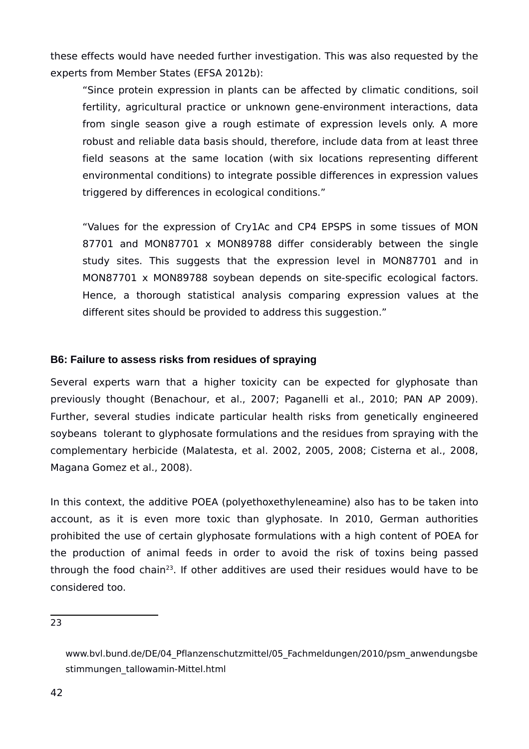these effects would have needed further investigation. This was also requested by the experts from Member States (EFSA 2012b):

"Since protein expression in plants can be affected by climatic conditions, soil fertility, agricultural practice or unknown gene-environment interactions, data from single season give a rough estimate of expression levels only. A more robust and reliable data basis should, therefore, include data from at least three field seasons at the same location (with six locations representing different environmental conditions) to integrate possible differences in expression values triggered by differences in ecological conditions."

"Values for the expression of Cry1Ac and CP4 EPSPS in some tissues of MON 87701 and MON87701 x MON89788 differ considerably between the single study sites. This suggests that the expression level in MON87701 and in MON87701 x MON89788 soybean depends on site-specific ecological factors. Hence, a thorough statistical analysis comparing expression values at the different sites should be provided to address this suggestion."

### <span id="page-41-0"></span>**B6: Failure to assess risks from residues of spraying**

Several experts warn that a higher toxicity can be expected for glyphosate than previously thought (Benachour, et al., 2007; Paganelli et al., 2010; PAN AP 2009). Further, several studies indicate particular health risks from genetically engineered soybeans tolerant to glyphosate formulations and the residues from spraying with the complementary herbicide (Malatesta, et al. 2002, 2005, 2008; Cisterna et al., 2008, Magana Gomez et al., 2008).

In this context, the additive POEA (polyethoxethyleneamine) also has to be taken into account, as it is even more toxic than glyphosate. In 2010, German authorities prohibited the use of certain glyphosate formulations with a high content of POEA for the production of animal feeds in order to avoid the risk of toxins being passed through the food chain<sup>[23](#page-41-1)</sup>. If other additives are used their residues would have to be considered too.

<span id="page-41-1"></span>23

www.bvl.bund.de/DE/04\_Pflanzenschutzmittel/05\_Fachmeldungen/2010/psm\_anwendungsbe stimmungen\_tallowamin-Mittel.html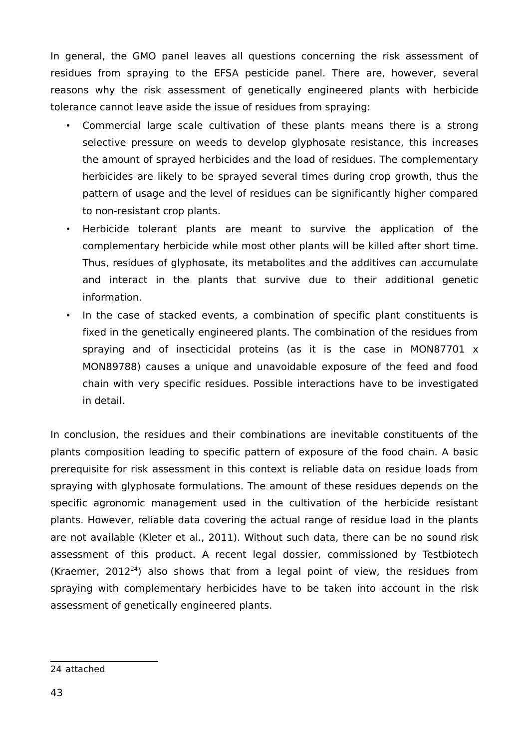In general, the GMO panel leaves all questions concerning the risk assessment of residues from spraying to the EFSA pesticide panel. There are, however, several reasons why the risk assessment of genetically engineered plants with herbicide tolerance cannot leave aside the issue of residues from spraying:

- Commercial large scale cultivation of these plants means there is a strong selective pressure on weeds to develop glyphosate resistance, this increases the amount of sprayed herbicides and the load of residues. The complementary herbicides are likely to be sprayed several times during crop growth, thus the pattern of usage and the level of residues can be significantly higher compared to non-resistant crop plants.
- Herbicide tolerant plants are meant to survive the application of the complementary herbicide while most other plants will be killed after short time. Thus, residues of glyphosate, its metabolites and the additives can accumulate and interact in the plants that survive due to their additional genetic information.
- In the case of stacked events, a combination of specific plant constituents is fixed in the genetically engineered plants. The combination of the residues from spraying and of insecticidal proteins (as it is the case in MON87701 x MON89788) causes a unique and unavoidable exposure of the feed and food chain with very specific residues. Possible interactions have to be investigated in detail.

In conclusion, the residues and their combinations are inevitable constituents of the plants composition leading to specific pattern of exposure of the food chain. A basic prerequisite for risk assessment in this context is reliable data on residue loads from spraying with glyphosate formulations. The amount of these residues depends on the specific agronomic management used in the cultivation of the herbicide resistant plants. However, reliable data covering the actual range of residue load in the plants are not available (Kleter et al., 2011). Without such data, there can be no sound risk assessment of this product. A recent legal dossier, commissioned by Testbiotech (Kraemer,  $2012^{24}$  $2012^{24}$  $2012^{24}$ ) also shows that from a legal point of view, the residues from spraying with complementary herbicides have to be taken into account in the risk assessment of genetically engineered plants.

<span id="page-42-0"></span><sup>24</sup> attached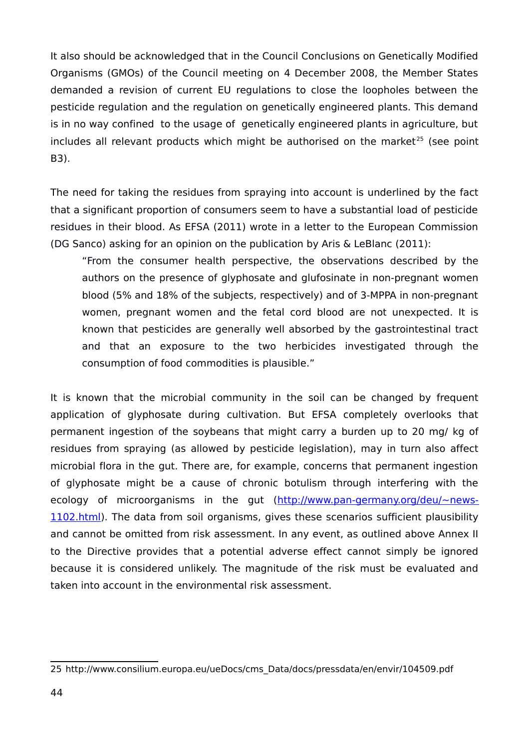It also should be acknowledged that in the Council Conclusions on Genetically Modified Organisms (GMOs) of the Council meeting on 4 December 2008, the Member States demanded a revision of current EU regulations to close the loopholes between the pesticide regulation and the regulation on genetically engineered plants. This demand is in no way confined to the usage of genetically engineered plants in agriculture, but includes all relevant products which might be authorised on the market<sup>[25](#page-43-0)</sup> (see point B3).

The need for taking the residues from spraying into account is underlined by the fact that a significant proportion of consumers seem to have a substantial load of pesticide residues in their blood. As EFSA (2011) wrote in a letter to the European Commission (DG Sanco) asking for an opinion on the publication by Aris & LeBlanc (2011):

"From the consumer health perspective, the observations described by the authors on the presence of glyphosate and glufosinate in non-pregnant women blood (5% and 18% of the subjects, respectively) and of 3-MPPA in non-pregnant women, pregnant women and the fetal cord blood are not unexpected. It is known that pesticides are generally well absorbed by the gastrointestinal tract and that an exposure to the two herbicides investigated through the consumption of food commodities is plausible."

It is known that the microbial community in the soil can be changed by frequent application of glyphosate during cultivation. But EFSA completely overlooks that permanent ingestion of the soybeans that might carry a burden up to 20 mg/ kg of residues from spraying (as allowed by pesticide legislation), may in turn also affect microbial flora in the gut. There are, for example, concerns that permanent ingestion of glyphosate might be a cause of chronic botulism through interfering with the ecology of microorganisms in the gut [\(http://www.pan-germany.org/deu/~news-](http://www.pan-germany.org/deu/~news-1102.html)[1102.html\)](http://www.pan-germany.org/deu/~news-1102.html). The data from soil organisms, gives these scenarios sufficient plausibility and cannot be omitted from risk assessment. In any event, as outlined above Annex II to the Directive provides that a potential adverse effect cannot simply be ignored because it is considered unlikely. The magnitude of the risk must be evaluated and taken into account in the environmental risk assessment.

<span id="page-43-0"></span><sup>25</sup> http://www.consilium.europa.eu/ueDocs/cms\_Data/docs/pressdata/en/envir/104509.pdf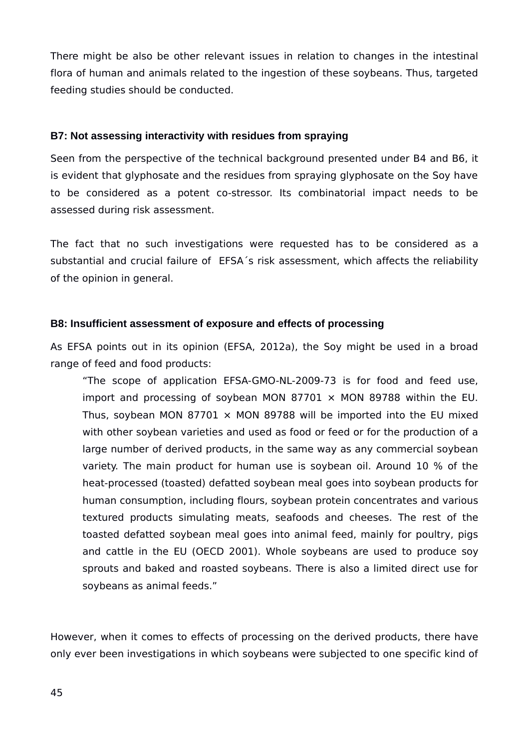There might be also be other relevant issues in relation to changes in the intestinal flora of human and animals related to the ingestion of these soybeans. Thus, targeted feeding studies should be conducted.

### <span id="page-44-1"></span>**B7: Not assessing interactivity with residues from spraying**

Seen from the perspective of the technical background presented under B4 and B6, it is evident that glyphosate and the residues from spraying glyphosate on the Soy have to be considered as a potent co-stressor. Its combinatorial impact needs to be assessed during risk assessment.

The fact that no such investigations were requested has to be considered as a substantial and crucial failure of EFSA's risk assessment, which affects the reliability of the opinion in general.

### <span id="page-44-0"></span>**B8: Insufficient assessment of exposure and effects of processing**

As EFSA points out in its opinion (EFSA, 2012a), the Soy might be used in a broad range of feed and food products:

"The scope of application EFSA-GMO-NL-2009-73 is for food and feed use, import and processing of soybean MON 87701  $\times$  MON 89788 within the EU. Thus, soybean MON 87701  $\times$  MON 89788 will be imported into the EU mixed with other soybean varieties and used as food or feed or for the production of a large number of derived products, in the same way as any commercial soybean variety. The main product for human use is soybean oil. Around 10 % of the heat-processed (toasted) defatted soybean meal goes into soybean products for human consumption, including flours, soybean protein concentrates and various textured products simulating meats, seafoods and cheeses. The rest of the toasted defatted soybean meal goes into animal feed, mainly for poultry, pigs and cattle in the EU (OECD 2001). Whole soybeans are used to produce soy sprouts and baked and roasted soybeans. There is also a limited direct use for soybeans as animal feeds."

However, when it comes to effects of processing on the derived products, there have only ever been investigations in which soybeans were subjected to one specific kind of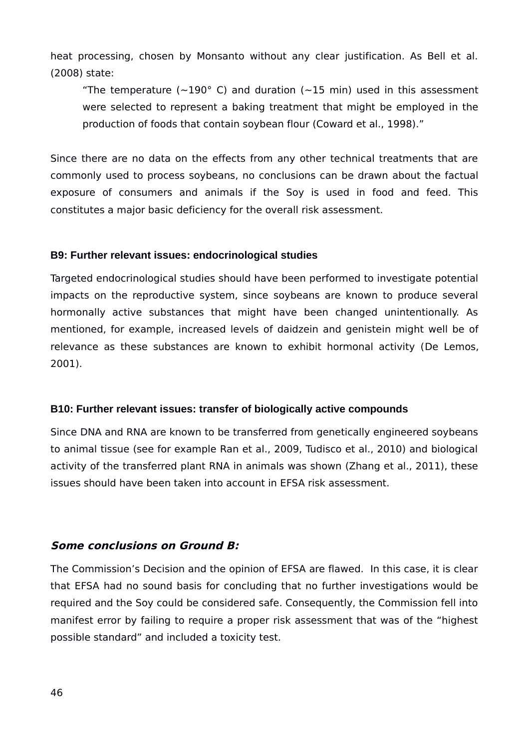heat processing, chosen by Monsanto without any clear justification. As Bell et al. (2008) state:

"The temperature ( $\sim$ 190° C) and duration ( $\sim$ 15 min) used in this assessment were selected to represent a baking treatment that might be employed in the production of foods that contain soybean flour (Coward et al., 1998)."

Since there are no data on the effects from any other technical treatments that are commonly used to process soybeans, no conclusions can be drawn about the factual exposure of consumers and animals if the Soy is used in food and feed. This constitutes a major basic deficiency for the overall risk assessment.

#### <span id="page-45-2"></span>**B9: Further relevant issues: endocrinological studies**

Targeted endocrinological studies should have been performed to investigate potential impacts on the reproductive system, since soybeans are known to produce several hormonally active substances that might have been changed unintentionally. As mentioned, for example, increased levels of daidzein and genistein might well be of relevance as these substances are known to exhibit hormonal activity (De Lemos, 2001).

#### <span id="page-45-1"></span>**B10: Further relevant issues: transfer of biologically active compounds**

Since DNA and RNA are known to be transferred from genetically engineered soybeans to animal tissue (see for example Ran et al., 2009, Tudisco et al., 2010) and biological activity of the transferred plant RNA in animals was shown (Zhang et al., 2011), these issues should have been taken into account in EFSA risk assessment.

#### <span id="page-45-0"></span>**Some conclusions on Ground B:**

The Commission's Decision and the opinion of EFSA are flawed. In this case, it is clear that EFSA had no sound basis for concluding that no further investigations would be required and the Soy could be considered safe. Consequently, the Commission fell into manifest error by failing to require a proper risk assessment that was of the "highest possible standard" and included a toxicity test.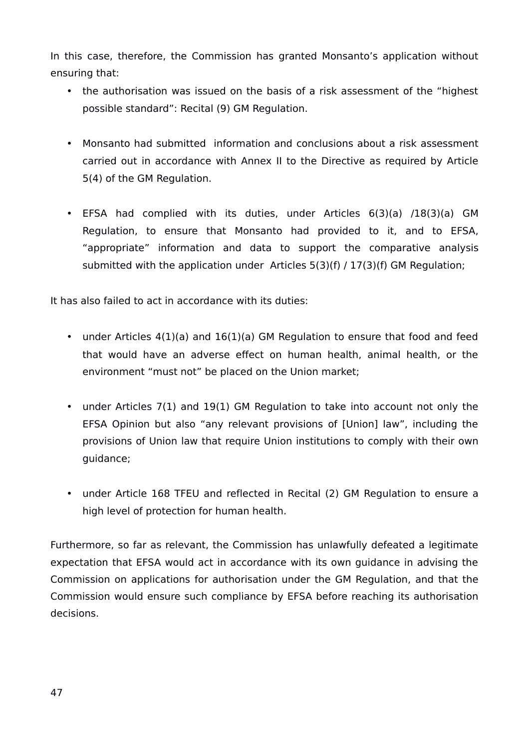In this case, therefore, the Commission has granted Monsanto's application without ensuring that:

- the authorisation was issued on the basis of a risk assessment of the "highest possible standard": Recital (9) GM Regulation.
- Monsanto had submitted information and conclusions about a risk assessment carried out in accordance with Annex II to the Directive as required by Article 5(4) of the GM Regulation.
- EFSA had complied with its duties, under Articles 6(3)(a) /18(3)(a) GM Regulation, to ensure that Monsanto had provided to it, and to EFSA, "appropriate" information and data to support the comparative analysis submitted with the application under Articles 5(3)(f) / 17(3)(f) GM Regulation;

It has also failed to act in accordance with its duties:

- under Articles 4(1)(a) and 16(1)(a) GM Regulation to ensure that food and feed that would have an adverse effect on human health, animal health, or the environment "must not" be placed on the Union market;
- under Articles 7(1) and 19(1) GM Regulation to take into account not only the EFSA Opinion but also "any relevant provisions of [Union] law", including the provisions of Union law that require Union institutions to comply with their own guidance;
- under Article 168 TFEU and reflected in Recital (2) GM Regulation to ensure a high level of protection for human health.

Furthermore, so far as relevant, the Commission has unlawfully defeated a legitimate expectation that EFSA would act in accordance with its own guidance in advising the Commission on applications for authorisation under the GM Regulation, and that the Commission would ensure such compliance by EFSA before reaching its authorisation decisions.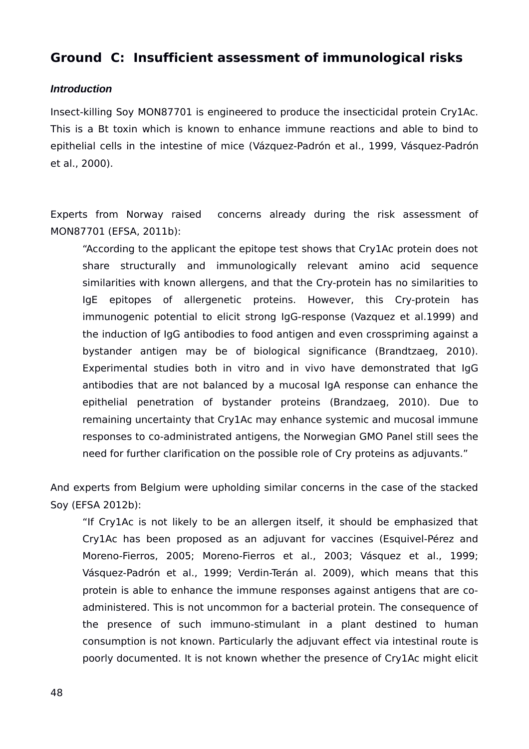# <span id="page-47-1"></span>**Ground C: Insufficient assessment of immunological risks**

#### <span id="page-47-0"></span>*Introduction*

Insect-killing Soy MON87701 is engineered to produce the insecticidal protein Cry1Ac. This is a Bt toxin which is known to enhance immune reactions and able to bind to epithelial cells in the intestine of mice (Vázquez‐Padrón et al., 1999, Vásquez‐Padrón et al., 2000).

Experts from Norway raised concerns already during the risk assessment of MON87701 (EFSA, 2011b):

"According to the applicant the epitope test shows that Cry1Ac protein does not share structurally and immunologically relevant amino acid sequence similarities with known allergens, and that the Cry-protein has no similarities to IgE epitopes of allergenetic proteins. However, this Cry-protein has immunogenic potential to elicit strong IgG-response (Vazquez et al.1999) and the induction of IgG antibodies to food antigen and even crosspriming against a bystander antigen may be of biological significance (Brandtzaeg, 2010). Experimental studies both in vitro and in vivo have demonstrated that IgG antibodies that are not balanced by a mucosal IgA response can enhance the epithelial penetration of bystander proteins (Brandzaeg, 2010). Due to remaining uncertainty that Cry1Ac may enhance systemic and mucosal immune responses to co-administrated antigens, the Norwegian GMO Panel still sees the need for further clarification on the possible role of Cry proteins as adjuvants."

And experts from Belgium were upholding similar concerns in the case of the stacked Soy (EFSA 2012b):

"If Cry1Ac is not likely to be an allergen itself, it should be emphasized that Cry1Ac has been proposed as an adjuvant for vaccines (Esquivel-Pérez and Moreno-Fierros, 2005; Moreno-Fierros et al., 2003; Vásquez et al., 1999; Vásquez-Padrón et al., 1999; Verdin-Terán al. 2009), which means that this protein is able to enhance the immune responses against antigens that are coadministered. This is not uncommon for a bacterial protein. The consequence of the presence of such immuno-stimulant in a plant destined to human consumption is not known. Particularly the adjuvant effect via intestinal route is poorly documented. It is not known whether the presence of Cry1Ac might elicit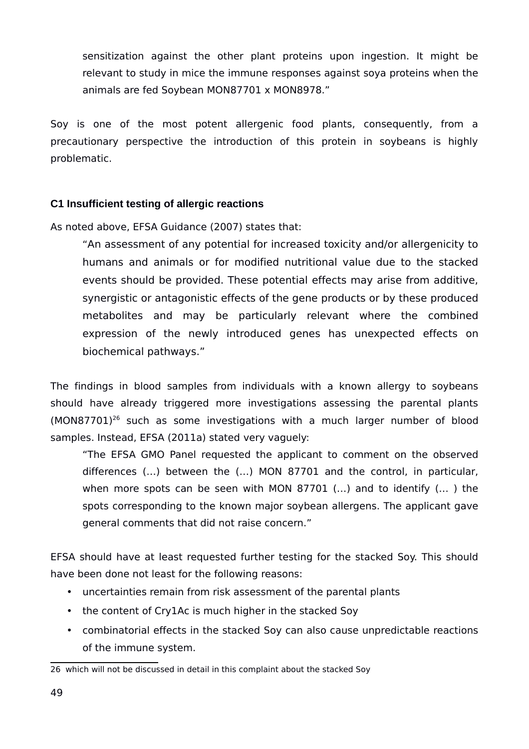sensitization against the other plant proteins upon ingestion. It might be relevant to study in mice the immune responses against soya proteins when the animals are fed Soybean MON87701 x MON8978."

Soy is one of the most potent allergenic food plants, consequently, from a precautionary perspective the introduction of this protein in soybeans is highly problematic.

## <span id="page-48-0"></span>**C1 Insufficient testing of allergic reactions**

As noted above, EFSA Guidance (2007) states that:

"An assessment of any potential for increased toxicity and/or allergenicity to humans and animals or for modified nutritional value due to the stacked events should be provided. These potential effects may arise from additive, synergistic or antagonistic effects of the gene products or by these produced metabolites and may be particularly relevant where the combined expression of the newly introduced genes has unexpected effects on biochemical pathways."

The findings in blood samples from individuals with a known allergy to soybeans should have already triggered more investigations assessing the parental plants (MON87701)[26](#page-48-1) such as some investigations with a much larger number of blood samples. Instead, EFSA (2011a) stated very vaguely:

"The EFSA GMO Panel requested the applicant to comment on the observed differences (…) between the (…) MON 87701 and the control, in particular, when more spots can be seen with MON 87701 (…) and to identify (… ) the spots corresponding to the known major soybean allergens. The applicant gave general comments that did not raise concern."

EFSA should have at least requested further testing for the stacked Soy. This should have been done not least for the following reasons:

- uncertainties remain from risk assessment of the parental plants
- the content of Cry1Ac is much higher in the stacked Soy
- combinatorial effects in the stacked Soy can also cause unpredictable reactions of the immune system.

<span id="page-48-1"></span><sup>26</sup> which will not be discussed in detail in this complaint about the stacked Soy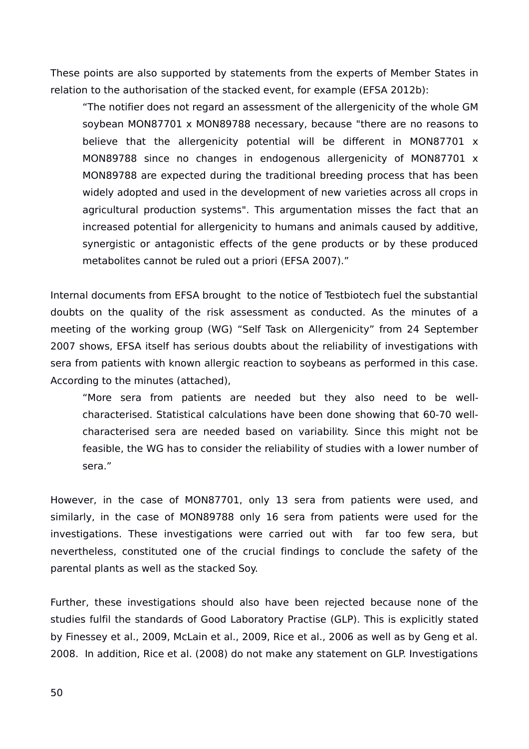These points are also supported by statements from the experts of Member States in relation to the authorisation of the stacked event, for example (EFSA 2012b):

"The notifier does not regard an assessment of the allergenicity of the whole GM soybean MON87701 x MON89788 necessary, because "there are no reasons to believe that the allergenicity potential will be different in MON87701 x MON89788 since no changes in endogenous allergenicity of MON87701 x MON89788 are expected during the traditional breeding process that has been widely adopted and used in the development of new varieties across all crops in agricultural production systems". This argumentation misses the fact that an increased potential for allergenicity to humans and animals caused by additive, synergistic or antagonistic effects of the gene products or by these produced metabolites cannot be ruled out a priori (EFSA 2007)."

Internal documents from EFSA brought to the notice of Testbiotech fuel the substantial doubts on the quality of the risk assessment as conducted. As the minutes of a meeting of the working group (WG) "Self Task on Allergenicity" from 24 September 2007 shows, EFSA itself has serious doubts about the reliability of investigations with sera from patients with known allergic reaction to soybeans as performed in this case. According to the minutes (attached),

"More sera from patients are needed but they also need to be wellcharacterised. Statistical calculations have been done showing that 60-70 wellcharacterised sera are needed based on variability. Since this might not be feasible, the WG has to consider the reliability of studies with a lower number of sera."

However, in the case of MON87701, only 13 sera from patients were used, and similarly, in the case of MON89788 only 16 sera from patients were used for the investigations. These investigations were carried out with far too few sera, but nevertheless, constituted one of the crucial findings to conclude the safety of the parental plants as well as the stacked Soy.

Further, these investigations should also have been rejected because none of the studies fulfil the standards of Good Laboratory Practise (GLP). This is explicitly stated by Finessey et al., 2009, McLain et al., 2009, Rice et al., 2006 as well as by Geng et al. 2008. In addition, Rice et al. (2008) do not make any statement on GLP. Investigations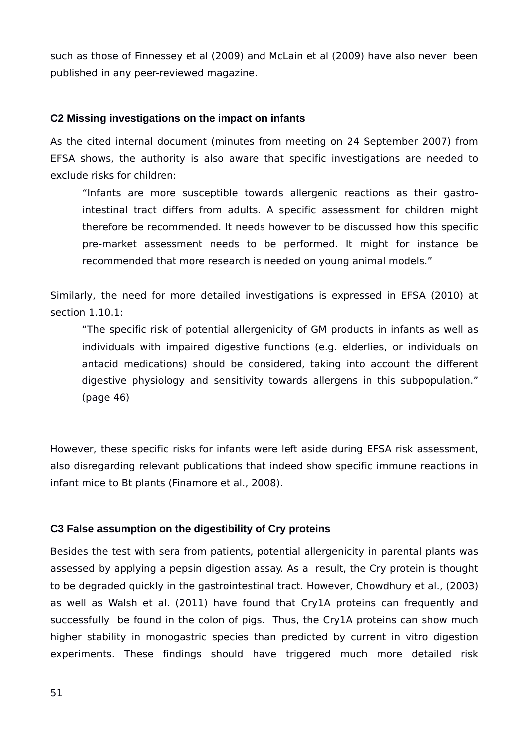such as those of Finnessey et al (2009) and McLain et al (2009) have also never been published in any peer-reviewed magazine.

#### <span id="page-50-1"></span>**C2 Missing investigations on the impact on infants**

As the cited internal document (minutes from meeting on 24 September 2007) from EFSA shows, the authority is also aware that specific investigations are needed to exclude risks for children:

"Infants are more susceptible towards allergenic reactions as their gastrointestinal tract differs from adults. A specific assessment for children might therefore be recommended. It needs however to be discussed how this specific pre-market assessment needs to be performed. It might for instance be recommended that more research is needed on young animal models."

Similarly, the need for more detailed investigations is expressed in EFSA (2010) at section 1.10.1:

"The specific risk of potential allergenicity of GM products in infants as well as individuals with impaired digestive functions (e.g. elderlies, or individuals on antacid medications) should be considered, taking into account the different digestive physiology and sensitivity towards allergens in this subpopulation." (page 46)

However, these specific risks for infants were left aside during EFSA risk assessment, also disregarding relevant publications that indeed show specific immune reactions in infant mice to Bt plants (Finamore et al., 2008).

## <span id="page-50-0"></span>**C3 False assumption on the digestibility of Cry proteins**

Besides the test with sera from patients, potential allergenicity in parental plants was assessed by applying a pepsin digestion assay. As a result, the Cry protein is thought to be degraded quickly in the gastrointestinal tract. However, Chowdhury et al., (2003) as well as Walsh et al. (2011) have found that Cry1A proteins can frequently and successfully be found in the colon of pigs. Thus, the Cry1A proteins can show much higher stability in monogastric species than predicted by current in vitro digestion experiments. These findings should have triggered much more detailed risk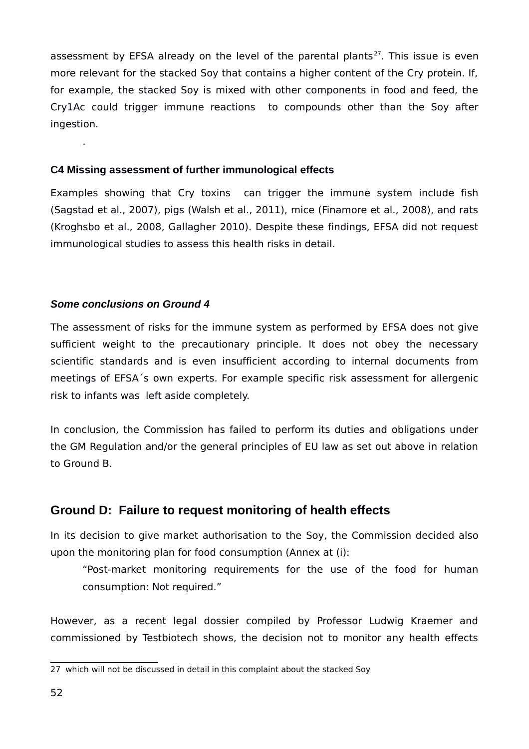assessment by EFSA already on the level of the parental plants<sup>[27](#page-51-3)</sup>. This issue is even more relevant for the stacked Soy that contains a higher content of the Cry protein. If, for example, the stacked Soy is mixed with other components in food and feed, the Cry1Ac could trigger immune reactions to compounds other than the Soy after ingestion.

### <span id="page-51-2"></span>**C4 Missing assessment of further immunological effects**

Examples showing that Cry toxins can trigger the immune system include fish (Sagstad et al., 2007), pigs (Walsh et al., 2011), mice (Finamore et al., 2008), and rats (Kroghsbo et al., 2008, Gallagher 2010). Despite these findings, EFSA did not request immunological studies to assess this health risks in detail.

## <span id="page-51-1"></span>*Some conclusions on Ground 4*

.

The assessment of risks for the immune system as performed by EFSA does not give sufficient weight to the precautionary principle. It does not obey the necessary scientific standards and is even insufficient according to internal documents from meetings of EFSA´s own experts. For example specific risk assessment for allergenic risk to infants was left aside completely.

In conclusion, the Commission has failed to perform its duties and obligations under the GM Regulation and/or the general principles of EU law as set out above in relation to Ground B.

# <span id="page-51-0"></span>**Ground D: Failure to request monitoring of health effects**

In its decision to give market authorisation to the Soy, the Commission decided also upon the monitoring plan for food consumption (Annex at (i):

"Post-market monitoring requirements for the use of the food for human consumption: Not required."

However, as a recent legal dossier compiled by Professor Ludwig Kraemer and commissioned by Testbiotech shows, the decision not to monitor any health effects

<span id="page-51-3"></span><sup>27</sup> which will not be discussed in detail in this complaint about the stacked Soy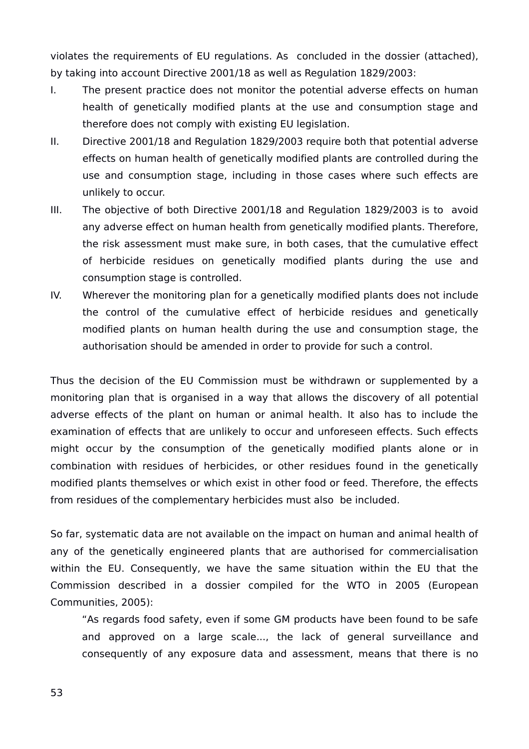violates the requirements of EU regulations. As concluded in the dossier (attached), by taking into account Directive 2001/18 as well as Regulation 1829/2003:

- I. The present practice does not monitor the potential adverse effects on human health of genetically modified plants at the use and consumption stage and therefore does not comply with existing EU legislation.
- II. Directive 2001/18 and Regulation 1829/2003 require both that potential adverse effects on human health of genetically modified plants are controlled during the use and consumption stage, including in those cases where such effects are unlikely to occur.
- III. The objective of both Directive 2001/18 and Regulation 1829/2003 is to avoid any adverse effect on human health from genetically modified plants. Therefore, the risk assessment must make sure, in both cases, that the cumulative effect of herbicide residues on genetically modified plants during the use and consumption stage is controlled.
- IV. Wherever the monitoring plan for a genetically modified plants does not include the control of the cumulative effect of herbicide residues and genetically modified plants on human health during the use and consumption stage, the authorisation should be amended in order to provide for such a control.

Thus the decision of the EU Commission must be withdrawn or supplemented by a monitoring plan that is organised in a way that allows the discovery of all potential adverse effects of the plant on human or animal health. It also has to include the examination of effects that are unlikely to occur and unforeseen effects. Such effects might occur by the consumption of the genetically modified plants alone or in combination with residues of herbicides, or other residues found in the genetically modified plants themselves or which exist in other food or feed. Therefore, the effects from residues of the complementary herbicides must also be included.

So far, systematic data are not available on the impact on human and animal health of any of the genetically engineered plants that are authorised for commercialisation within the EU. Consequently, we have the same situation within the EU that the Commission described in a dossier compiled for the WTO in 2005 (European Communities, 2005):

"As regards food safety, even if some GM products have been found to be safe and approved on a large scale..., the lack of general surveillance and consequently of any exposure data and assessment, means that there is no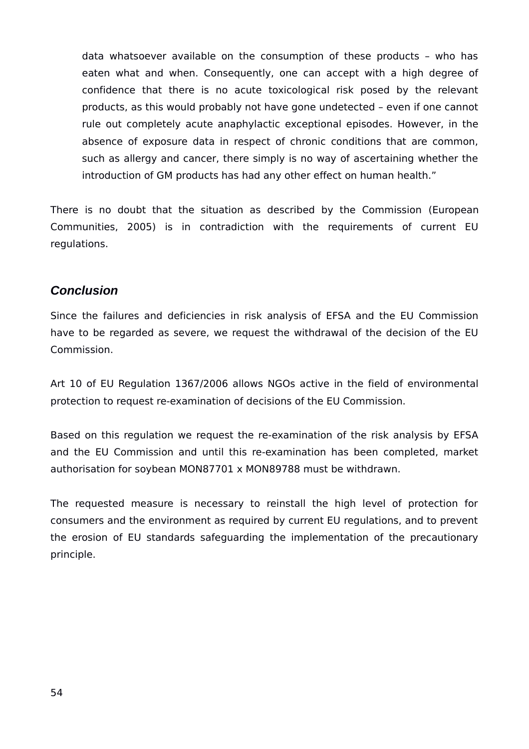data whatsoever available on the consumption of these products – who has eaten what and when. Consequently, one can accept with a high degree of confidence that there is no acute toxicological risk posed by the relevant products, as this would probably not have gone undetected – even if one cannot rule out completely acute anaphylactic exceptional episodes. However, in the absence of exposure data in respect of chronic conditions that are common, such as allergy and cancer, there simply is no way of ascertaining whether the introduction of GM products has had any other effect on human health."

There is no doubt that the situation as described by the Commission (European Communities, 2005) is in contradiction with the requirements of current EU regulations.

# <span id="page-53-0"></span>*Conclusion*

Since the failures and deficiencies in risk analysis of EFSA and the EU Commission have to be regarded as severe, we request the withdrawal of the decision of the EU Commission.

Art 10 of EU Regulation 1367/2006 allows NGOs active in the field of environmental protection to request re-examination of decisions of the EU Commission.

Based on this regulation we request the re-examination of the risk analysis by EFSA and the EU Commission and until this re-examination has been completed, market authorisation for soybean MON87701 x MON89788 must be withdrawn.

The requested measure is necessary to reinstall the high level of protection for consumers and the environment as required by current EU regulations, and to prevent the erosion of EU standards safeguarding the implementation of the precautionary principle.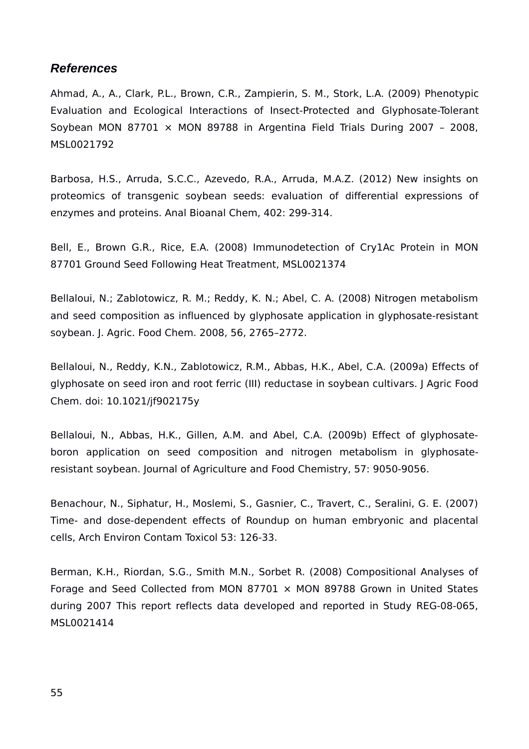# <span id="page-54-0"></span>*References*

Ahmad, A., A., Clark, P.L., Brown, C.R., Zampierin, S. M., Stork, L.A. (2009) Phenotypic Evaluation and Ecological Interactions of Insect-Protected and Glyphosate-Tolerant Soybean MON 87701  $\times$  MON 89788 in Argentina Field Trials During 2007 - 2008, MSL0021792

Barbosa, H.S., Arruda, S.C.C., Azevedo, R.A., Arruda, M.A.Z. (2012) New insights on proteomics of transgenic soybean seeds: evaluation of differential expressions of enzymes and proteins. Anal Bioanal Chem, 402: 299-314.

Bell, E., Brown G.R., Rice, E.A. (2008) Immunodetection of Cry1Ac Protein in MON 87701 Ground Seed Following Heat Treatment, MSL0021374

Bellaloui, N.; Zablotowicz, R. M.; Reddy, K. N.; Abel, C. A. (2008) Nitrogen metabolism and seed composition as influenced by glyphosate application in glyphosate-resistant soybean. J. Agric. Food Chem. 2008, 56, 2765–2772.

Bellaloui, N., Reddy, K.N., Zablotowicz, R.M., Abbas, H.K., Abel, C.A. (2009a) Effects of glyphosate on seed iron and root ferric (III) reductase in soybean cultivars. J Agric Food Chem. doi: 10.1021/jf902175y

Bellaloui, N., Abbas, H.K., Gillen, A.M. and Abel, C.A. (2009b) Effect of glyphosateboron application on seed composition and nitrogen metabolism in glyphosateresistant soybean. Journal of Agriculture and Food Chemistry, 57: 9050-9056.

Benachour, N., Siphatur, H., Moslemi, S., Gasnier, C., Travert, C., Seralini, G. E. (2007) Time- and dose-dependent effects of Roundup on human embryonic and placental cells, Arch Environ Contam Toxicol 53: 126-33.

Berman, K.H., Riordan, S.G., Smith M.N., Sorbet R. (2008) Compositional Analyses of Forage and Seed Collected from MON 87701  $\times$  MON 89788 Grown in United States during 2007 This report reflects data developed and reported in Study REG-08-065, MSL0021414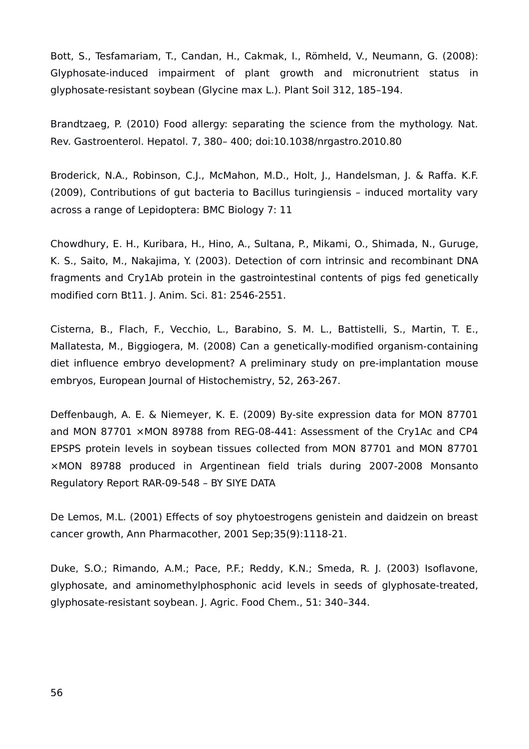Bott, S., Tesfamariam, T., Candan, H., Cakmak, I., Römheld, V., Neumann, G. (2008): Glyphosate-induced impairment of plant growth and micronutrient status in glyphosate-resistant soybean (Glycine max L.). Plant Soil 312, 185–194.

Brandtzaeg, P. (2010) Food allergy: separating the science from the mythology. Nat. Rev. Gastroenterol. Hepatol. 7, 380– 400; doi:10.1038/nrgastro.2010.80

Broderick, N.A., Robinson, C.J., McMahon, M.D., Holt, J., Handelsman, J. & Raffa. K.F. (2009), Contributions of gut bacteria to Bacillus turingiensis – induced mortality vary across a range of Lepidoptera: BMC Biology 7: 11

Chowdhury, E. H., Kuribara, H., Hino, A., Sultana, P., Mikami, O., Shimada, N., Guruge, K. S., Saito, M., Nakajima, Y. (2003). Detection of corn intrinsic and recombinant DNA fragments and Cry1Ab protein in the gastrointestinal contents of pigs fed genetically modified corn Bt11. J. Anim. Sci. 81: 2546-2551.

Cisterna, B., Flach, F., Vecchio, L., Barabino, S. M. L., Battistelli, S., Martin, T. E., Mallatesta, M., Biggiogera, M. (2008) Can a genetically-modified organism-containing diet influence embryo development? A preliminary study on pre-implantation mouse embryos, European Journal of Histochemistry, 52, 263-267.

Deffenbaugh, A. E. & Niemeyer, K. E. (2009) By-site expression data for MON 87701 and MON 87701 ×MON 89788 from REG-08-441: Assessment of the Cry1Ac and CP4 EPSPS protein levels in soybean tissues collected from MON 87701 and MON 87701 ×MON 89788 produced in Argentinean field trials during 2007-2008 Monsanto Regulatory Report RAR-09-548 – BY SIYE DATA

De Lemos, M.L. (2001) Effects of soy phytoestrogens genistein and daidzein on breast cancer growth, Ann Pharmacother, 2001 Sep;35(9):1118-21.

Duke, S.O.; Rimando, A.M.; Pace, P.F.; Reddy, K.N.; Smeda, R. J. (2003) Isoflavone, glyphosate, and aminomethylphosphonic acid levels in seeds of glyphosate-treated, glyphosate-resistant soybean. J. Agric. Food Chem., 51: 340–344.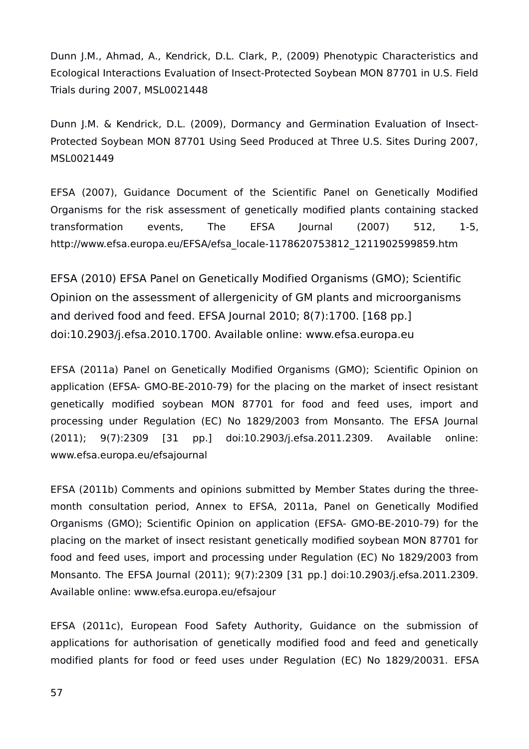Dunn J.M., Ahmad, A., Kendrick, D.L. Clark, P., (2009) Phenotypic Characteristics and Ecological Interactions Evaluation of Insect-Protected Soybean MON 87701 in U.S. Field Trials during 2007, MSL0021448

Dunn J.M. & Kendrick, D.L. (2009), Dormancy and Germination Evaluation of Insect-Protected Soybean MON 87701 Using Seed Produced at Three U.S. Sites During 2007, MSL0021449

EFSA (2007), Guidance Document of the Scientific Panel on Genetically Modified Organisms for the risk assessment of genetically modified plants containing stacked transformation events, The EFSA Journal (2007) 512, 1-5, http://www.efsa.europa.eu/EFSA/efsa\_locale-1178620753812\_1211902599859.htm

EFSA (2010) EFSA Panel on Genetically Modified Organisms (GMO); Scientific Opinion on the assessment of allergenicity of GM plants and microorganisms and derived food and feed. EFSA Journal 2010; 8(7):1700. [168 pp.] doi:10.2903/j.efsa.2010.1700. Available online: www.efsa.europa.eu

EFSA (2011a) Panel on Genetically Modified Organisms (GMO); Scientific Opinion on application (EFSA- GMO-BE-2010-79) for the placing on the market of insect resistant genetically modified soybean MON 87701 for food and feed uses, import and processing under Regulation (EC) No 1829/2003 from Monsanto. The EFSA Journal (2011); 9(7):2309 [31 pp.] doi:10.2903/j.efsa.2011.2309. Available online: www.efsa.europa.eu/efsajournal

EFSA (2011b) Comments and opinions submitted by Member States during the threemonth consultation period, Annex to EFSA, 2011a, Panel on Genetically Modified Organisms (GMO); Scientific Opinion on application (EFSA- GMO-BE-2010-79) for the placing on the market of insect resistant genetically modified soybean MON 87701 for food and feed uses, import and processing under Regulation (EC) No 1829/2003 from Monsanto. The EFSA Journal (2011); 9(7):2309 [31 pp.] doi:10.2903/j.efsa.2011.2309. Available online: www.efsa.europa.eu/efsajour

EFSA (2011c), European Food Safety Authority, Guidance on the submission of applications for authorisation of genetically modified food and feed and genetically modified plants for food or feed uses under Regulation (EC) No 1829/20031. EFSA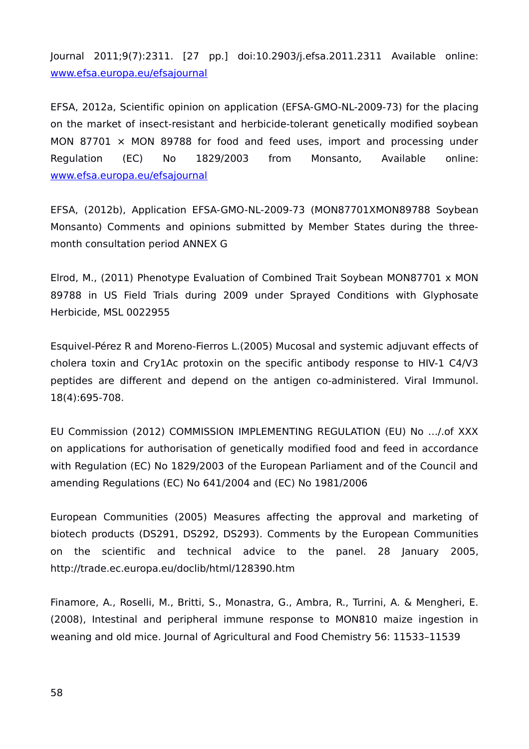Journal 2011;9(7):2311. [27 pp.] doi:10.2903/j.efsa.2011.2311 Available online: [www.efsa.europa.eu/efsajournal](file:///h)

EFSA, 2012a, Scientific opinion on application (EFSA-GMO-NL-2009-73) for the placing on the market of insect-resistant and herbicide-tolerant genetically modified soybean MON 87701  $\times$  MON 89788 for food and feed uses, import and processing under Regulation (EC) No 1829/2003 from Monsanto, Available online: [www.efsa.europa.eu/efsajournal](http://www.efsa.europa.eu/efsajournal)

EFSA, (2012b), Application EFSA-GMO-NL-2009-73 (MON87701XMON89788 Soybean Monsanto) Comments and opinions submitted by Member States during the threemonth consultation period ANNEX G

Elrod, M., (2011) Phenotype Evaluation of Combined Trait Soybean MON87701 x MON 89788 in US Field Trials during 2009 under Sprayed Conditions with Glyphosate Herbicide, MSL 0022955

Esquivel-Pérez R and Moreno-Fierros L.(2005) Mucosal and systemic adjuvant effects of cholera toxin and Cry1Ac protoxin on the specific antibody response to HIV-1 C4/V3 peptides are different and depend on the antigen co-administered. Viral Immunol. 18(4):695-708.

EU Commission (2012) COMMISSION IMPLEMENTING REGULATION (EU) No …/.of XXX on applications for authorisation of genetically modified food and feed in accordance with Regulation (EC) No 1829/2003 of the European Parliament and of the Council and amending Regulations (EC) No 641/2004 and (EC) No 1981/2006

European Communities (2005) Measures affecting the approval and marketing of biotech products (DS291, DS292, DS293). Comments by the European Communities on the scientific and technical advice to the panel. 28 January 2005, http://trade.ec.europa.eu/doclib/html/128390.htm

Finamore, A., Roselli, M., Britti, S., Monastra, G., Ambra, R., Turrini, A. & Mengheri, E. (2008), Intestinal and peripheral immune response to MON810 maize ingestion in weaning and old mice. Journal of Agricultural and Food Chemistry 56: 11533–11539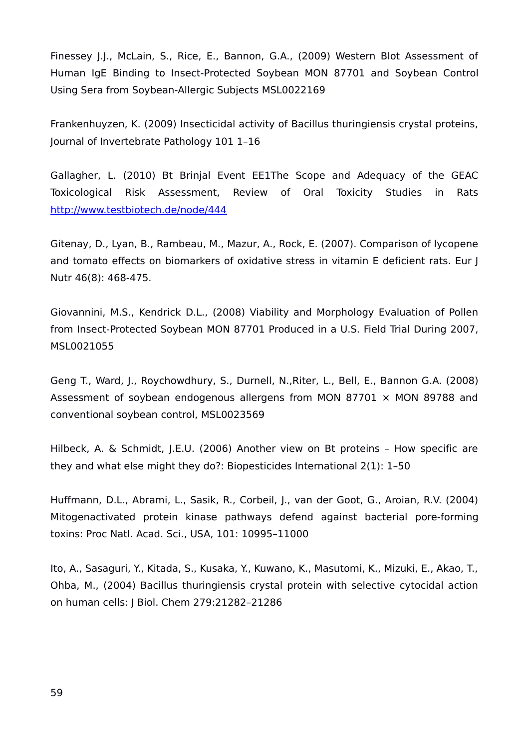Finessey J.J., McLain, S., Rice, E., Bannon, G.A., (2009) Western Blot Assessment of Human IgE Binding to Insect-Protected Soybean MON 87701 and Soybean Control Using Sera from Soybean-Allergic Subjects MSL0022169

Frankenhuyzen, K. (2009) Insecticidal activity of Bacillus thuringiensis crystal proteins, Journal of Invertebrate Pathology 101 1–16

Gallagher, L. (2010) Bt Brinjal Event EE1The Scope and Adequacy of the GEAC Toxicological Risk Assessment, Review of Oral Toxicity Studies in Rats <http://www.testbiotech.de/node/444>

Gitenay, D., Lyan, B., Rambeau, M., Mazur, A., Rock, E. (2007). Comparison of lycopene and tomato effects on biomarkers of oxidative stress in vitamin E deficient rats. Eur J Nutr 46(8): 468-475.

Giovannini, M.S., Kendrick D.L., (2008) Viability and Morphology Evaluation of Pollen from Insect-Protected Soybean MON 87701 Produced in a U.S. Field Trial During 2007, MSL0021055

Geng T., Ward, J., Roychowdhury, S., Durnell, N.,Riter, L., Bell, E., Bannon G.A. (2008) Assessment of soybean endogenous allergens from MON 87701  $\times$  MON 89788 and conventional soybean control, MSL0023569

Hilbeck, A. & Schmidt, J.E.U. (2006) Another view on Bt proteins – How specific are they and what else might they do?: Biopesticides International 2(1): 1–50

Huffmann, D.L., Abrami, L., Sasik, R., Corbeil, J., van der Goot, G., Aroian, R.V. (2004) Mitogenactivated protein kinase pathways defend against bacterial pore-forming toxins: Proc Natl. Acad. Sci., USA, 101: 10995–11000

Ito, A., Sasaguri, Y., Kitada, S., Kusaka, Y., Kuwano, K., Masutomi, K., Mizuki, E., Akao, T., Ohba, M., (2004) Bacillus thuringiensis crystal protein with selective cytocidal action on human cells: J Biol. Chem 279:21282–21286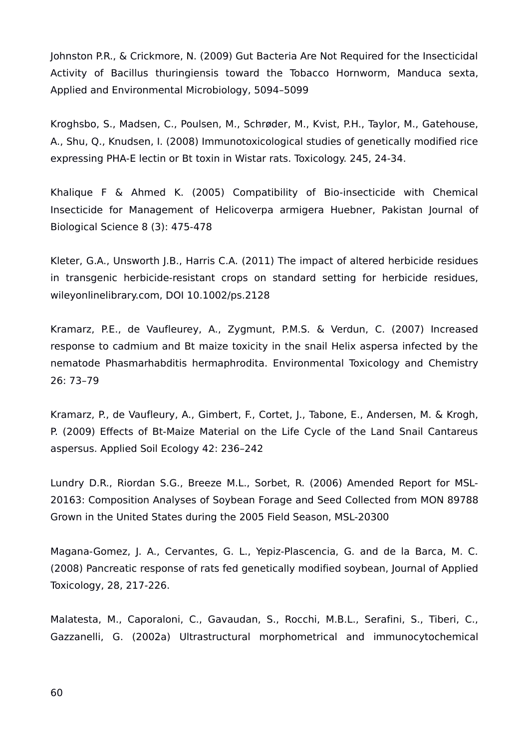Johnston P.R., & Crickmore, N. (2009) Gut Bacteria Are Not Required for the Insecticidal Activity of Bacillus thuringiensis toward the Tobacco Hornworm, Manduca sexta, Applied and Environmental Microbiology, 5094–5099

Kroghsbo, S., Madsen, C., Poulsen, M., Schrøder, M., Kvist, P.H., Taylor, M., Gatehouse, A., Shu, Q., Knudsen, I. (2008) Immunotoxicological studies of genetically modified rice expressing PHA-E lectin or Bt toxin in Wistar rats. Toxicology. 245, 24-34.

Khalique F & Ahmed K. (2005) Compatibility of Bio-insecticide with Chemical Insecticide for Management of Helicoverpa armigera Huebner, Pakistan Journal of Biological Science 8 (3): 475-478

Kleter, G.A., Unsworth J.B., Harris C.A. (2011) The impact of altered herbicide residues in transgenic herbicide-resistant crops on standard setting for herbicide residues, wileyonlinelibrary.com, DOI 10.1002/ps.2128

Kramarz, P.E., de Vaufleurey, A., Zygmunt, P.M.S. & Verdun, C. (2007) Increased response to cadmium and Bt maize toxicity in the snail Helix aspersa infected by the nematode Phasmarhabditis hermaphrodita. Environmental Toxicology and Chemistry 26: 73–79

Kramarz, P., de Vaufleury, A., Gimbert, F., Cortet, J., Tabone, E., Andersen, M. & Krogh, P. (2009) Effects of Bt-Maize Material on the Life Cycle of the Land Snail Cantareus aspersus. Applied Soil Ecology 42: 236–242

Lundry D.R., Riordan S.G., Breeze M.L., Sorbet, R. (2006) Amended Report for MSL-20163: Composition Analyses of Soybean Forage and Seed Collected from MON 89788 Grown in the United States during the 2005 Field Season, MSL-20300

Magana-Gomez, J. A., Cervantes, G. L., Yepiz-Plascencia, G. and de la Barca, M. C. (2008) Pancreatic response of rats fed genetically modified soybean, Journal of Applied Toxicology, 28, 217-226.

Malatesta, M., Caporaloni, C., Gavaudan, S., Rocchi, M.B.L., Serafini, S., Tiberi, C., Gazzanelli, G. (2002a) Ultrastructural morphometrical and immunocytochemical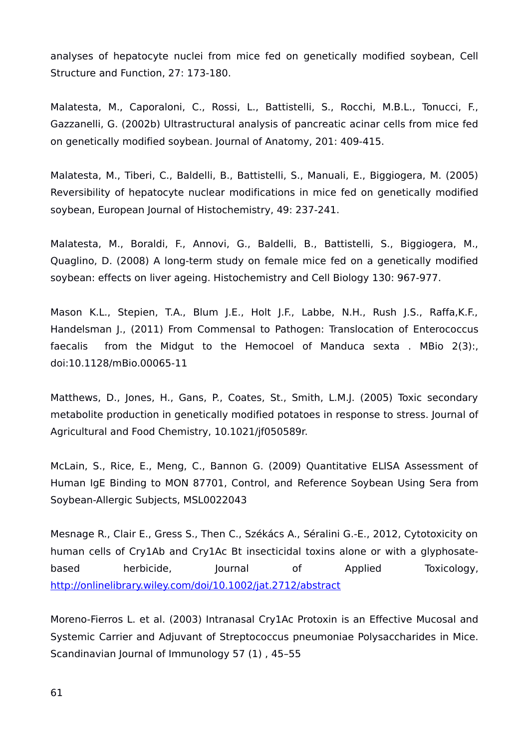analyses of hepatocyte nuclei from mice fed on genetically modified soybean, Cell Structure and Function, 27: 173-180.

Malatesta, M., Caporaloni, C., Rossi, L., Battistelli, S., Rocchi, M.B.L., Tonucci, F., Gazzanelli, G. (2002b) Ultrastructural analysis of pancreatic acinar cells from mice fed on genetically modified soybean. Journal of Anatomy, 201: 409-415.

Malatesta, M., Tiberi, C., Baldelli, B., Battistelli, S., Manuali, E., Biggiogera, M. (2005) Reversibility of hepatocyte nuclear modifications in mice fed on genetically modified soybean, European Journal of Histochemistry, 49: 237-241.

Malatesta, M., Boraldi, F., Annovi, G., Baldelli, B., Battistelli, S., Biggiogera, M., Quaglino, D. (2008) A long-term study on female mice fed on a genetically modified soybean: effects on liver ageing. Histochemistry and Cell Biology 130: 967-977.

Mason K.L., Stepien, T.A., Blum J.E., Holt J.F., Labbe, N.H., Rush J.S., Raffa,K.F., Handelsman J., (2011) From Commensal to Pathogen: Translocation of Enterococcus faecalis from the Midgut to the Hemocoel of Manduca sexta . MBio 2(3):, doi:10.1128/mBio.00065-11

Matthews, D., Jones, H., Gans, P., Coates, St., Smith, L.M.J. (2005) Toxic secondary metabolite production in genetically modified potatoes in response to stress. Journal of Agricultural and Food Chemistry, 10.1021/jf050589r.

McLain, S., Rice, E., Meng, C., Bannon G. (2009) Quantitative ELISA Assessment of Human IgE Binding to MON 87701, Control, and Reference Soybean Using Sera from Soybean-Allergic Subjects, MSL0022043

Mesnage R., Clair E., Gress S., Then C., Székács A., Séralini G.-E., 2012, Cytotoxicity on human cells of Cry1Ab and Cry1Ac Bt insecticidal toxins alone or with a glyphosatebased herbicide, Journal of Applied Toxicology, <http://onlinelibrary.wiley.com/doi/10.1002/jat.2712/abstract>

Moreno-Fierros L. et al. (2003) Intranasal Cry1Ac Protoxin is an Effective Mucosal and Systemic Carrier and Adjuvant of Streptococcus pneumoniae Polysaccharides in Mice. Scandinavian Journal of Immunology 57 (1) , 45–55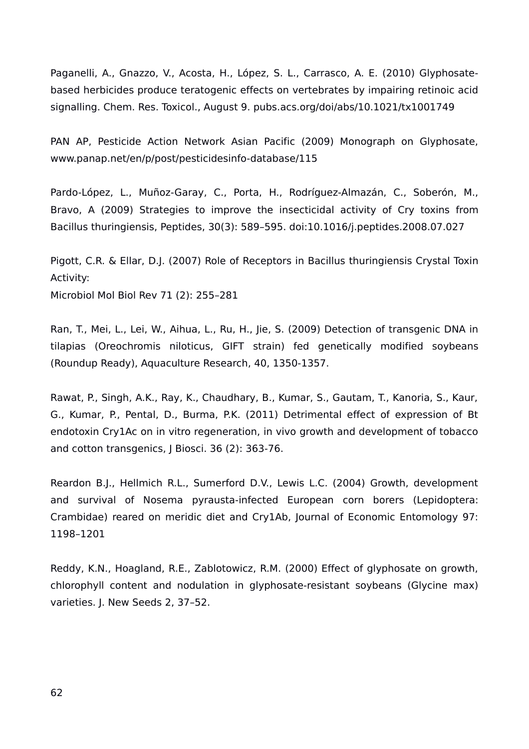Paganelli, A., Gnazzo, V., Acosta, H., López, S. L., Carrasco, A. E. (2010) Glyphosatebased herbicides produce teratogenic effects on vertebrates by impairing retinoic acid signalling. Chem. Res. Toxicol., August 9. pubs.acs.org/doi/abs/10.1021/tx1001749

PAN AP, Pesticide Action Network Asian Pacific (2009) Monograph on Glyphosate, www.panap.net/en/p/post/pesticidesinfo-database/115

Pardo-López, L., Muñoz-Garay, C., Porta, H., Rodríguez-Almazán, C., Soberón, M., Bravo, A (2009) Strategies to improve the insecticidal activity of Cry toxins from Bacillus thuringiensis, Peptides, 30(3): 589–595. doi:10.1016/j.peptides.2008.07.027

Pigott, C.R. & Ellar, D.J. (2007) Role of Receptors in Bacillus thuringiensis Crystal Toxin Activity: Microbiol Mol Biol Rev 71 (2): 255–281

Ran, T., Mei, L., Lei, W., Aihua, L., Ru, H., Jie, S. (2009) Detection of transgenic DNA in tilapias (Oreochromis niloticus, GIFT strain) fed genetically modified soybeans (Roundup Ready), Aquaculture Research, 40, 1350-1357.

Rawat, P., Singh, A.K., Ray, K., Chaudhary, B., Kumar, S., Gautam, T., Kanoria, S., Kaur, G., Kumar, P., Pental, D., Burma, P.K. (2011) Detrimental effect of expression of Bt endotoxin Cry1Ac on in vitro regeneration, in vivo growth and development of tobacco and cotton transgenics, J Biosci. 36 (2): 363-76.

Reardon B.J., Hellmich R.L., Sumerford D.V., Lewis L.C. (2004) Growth, development and survival of Nosema pyrausta-infected European corn borers (Lepidoptera: Crambidae) reared on meridic diet and Cry1Ab, Journal of Economic Entomology 97: 1198–1201

Reddy, K.N., Hoagland, R.E., Zablotowicz, R.M. (2000) Effect of glyphosate on growth, chlorophyll content and nodulation in glyphosate-resistant soybeans (Glycine max) varieties. J. New Seeds 2, 37–52.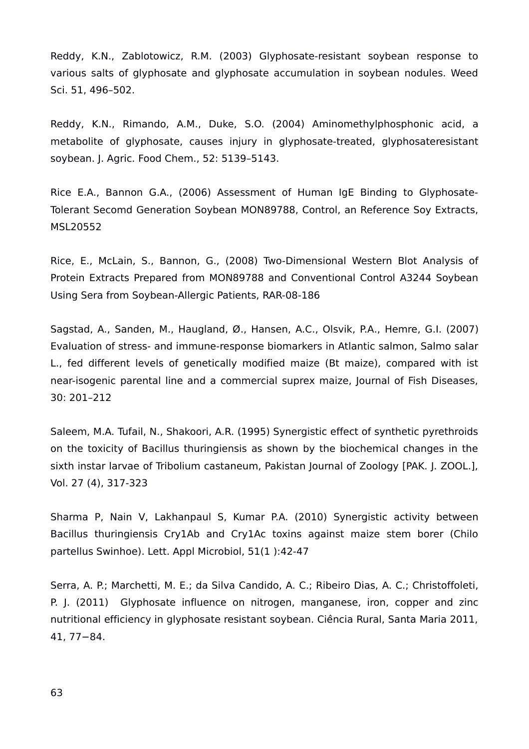Reddy, K.N., Zablotowicz, R.M. (2003) Glyphosate-resistant soybean response to various salts of glyphosate and glyphosate accumulation in soybean nodules. Weed Sci. 51, 496–502.

Reddy, K.N., Rimando, A.M., Duke, S.O. (2004) Aminomethylphosphonic acid, a metabolite of glyphosate, causes injury in glyphosate-treated, glyphosateresistant soybean. J. Agric. Food Chem., 52: 5139–5143.

Rice E.A., Bannon G.A., (2006) Assessment of Human IgE Binding to Glyphosate-Tolerant Secomd Generation Soybean MON89788, Control, an Reference Soy Extracts, MSL20552

Rice, E., McLain, S., Bannon, G., (2008) Two-Dimensional Western Blot Analysis of Protein Extracts Prepared from MON89788 and Conventional Control A3244 Soybean Using Sera from Soybean-Allergic Patients, RAR-08-186

Sagstad, A., [Sanden, M.](http://www.ncbi.nlm.nih.gov/pubmed?term=), [Haugland, Ø.](http://www.ncbi.nlm.nih.gov/pubmed?term=), [Hansen, A.C.](http://www.ncbi.nlm.nih.gov/pubmed?term=), [Olsvik, P.A.](http://www.ncbi.nlm.nih.gov/pubmed?term=), [Hemre, G.I.](http://www.ncbi.nlm.nih.gov/pubmed?term=) (2007) Evaluation of stress- and immune-response biomarkers in Atlantic salmon, Salmo salar L., fed different levels of genetically modified maize (Bt maize), compared with ist near-isogenic parental line and a commercial suprex maize, Journal of Fish Diseases, 30: 201–212

Saleem, M.A. Tufail, N., Shakoori, A.R. (1995) Synergistic effect of synthetic pyrethroids on the toxicity of Bacillus thuringiensis as shown by the biochemical changes in the sixth instar larvae of Tribolium castaneum, Pakistan Journal of Zoology [PAK. J. ZOOL.], Vol. 27 (4), 317-323

Sharma P, Nain V, Lakhanpaul S, Kumar P.A. (2010) Synergistic activity between Bacillus thuringiensis Cry1Ab and Cry1Ac toxins against maize stem borer (Chilo partellus Swinhoe). Lett. Appl Microbiol, 51(1 ):42-47

Serra, A. P.; Marchetti, M. E.; da Silva Candido, A. C.; Ribeiro Dias, A. C.; Christoffoleti, P. J. (2011) Glyphosate influence on nitrogen, manganese, iron, copper and zinc nutritional efficiency in glyphosate resistant soybean. Ciência Rural, Santa Maria 2011, 41, 77−84.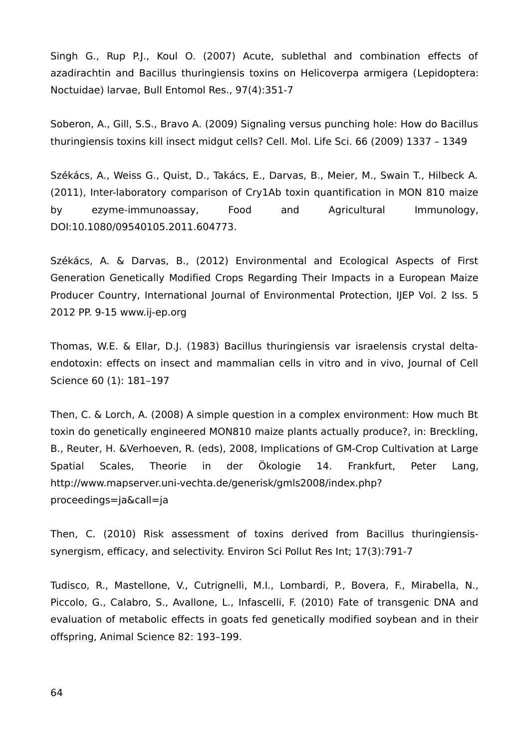Singh G., Rup P.J., Koul O. (2007) Acute, sublethal and combination effects of azadirachtin and Bacillus thuringiensis toxins on Helicoverpa armigera (Lepidoptera: Noctuidae) larvae, Bull Entomol Res., 97(4):351-7

Soberon, A., Gill, S.S., Bravo A. (2009) Signaling versus punching hole: How do Bacillus thuringiensis toxins kill insect midgut cells? Cell. Mol. Life Sci. 66 (2009) 1337 – 1349

Székács, A., Weiss G., Quist, D., Takács, E., Darvas, B., Meier, M., Swain T., Hilbeck A. (2011), Inter-laboratory comparison of Cry1Ab toxin quantification in MON 810 maize by ezyme-immunoassay, Food and Agricultural Immunology, DOI:10.1080/09540105.2011.604773.

Székács, A. & Darvas, B., (2012) Environmental and Ecological Aspects of First Generation Genetically Modified Crops Regarding Their Impacts in a European Maize Producer Country, International Journal of Environmental Protection, IJEP Vol. 2 Iss. 5 2012 PP. 9-15 www.ij-ep.org

Thomas, W.E. & Ellar, D.J. (1983) Bacillus thuringiensis var israelensis crystal deltaendotoxin: effects on insect and mammalian cells in vitro and in vivo, Journal of Cell Science 60 (1): 181–197

Then, C. & Lorch, A. (2008) A simple question in a complex environment: How much Bt toxin do genetically engineered MON810 maize plants actually produce?, in: Breckling, B., Reuter, H. &Verhoeven, R. (eds), 2008, Implications of GM-Crop Cultivation at Large Spatial Scales, Theorie in der Ökologie 14. Frankfurt, Peter Lang, http://www.mapserver.uni-vechta.de/generisk/gmls2008/index.php? proceedings=ja&call=ja

Then, C. (2010) Risk assessment of toxins derived from Bacillus thuringiensissynergism, efficacy, and selectivity. Environ Sci Pollut Res Int; 17(3):791-7

Tudisco, R., Mastellone, V., Cutrignelli, M.I., Lombardi, P., Bovera, F., Mirabella, N., Piccolo, G., Calabro, S., Avallone, L., Infascelli, F. (2010) Fate of transgenic DNA and evaluation of metabolic effects in goats fed genetically modified soybean and in their offspring, Animal Science 82: 193–199.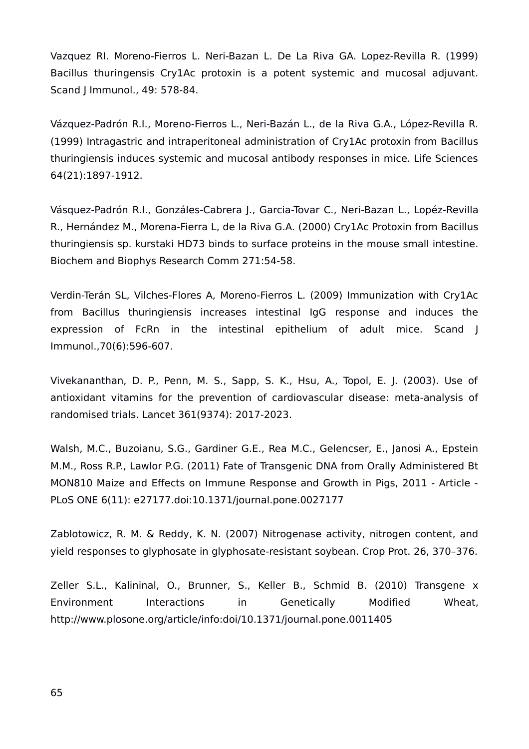Vazquez RI. Moreno-Fierros L. Neri-Bazan L. De La Riva GA. Lopez-Revilla R. (1999) Bacillus thuringensis Cry1Ac protoxin is a potent systemic and mucosal adjuvant. Scand J Immunol., 49: 578-84.

Vázquez‐Padrón R.I., Moreno‐Fierros L., Neri‐Bazán L., de la Riva G.A., López‐Revilla R. (1999) Intragastric and intraperitoneal administration of Cry1Ac protoxin from Bacillus thuringiensis induces systemic and mucosal antibody responses in mice. Life Sciences 64(21):1897‐1912.

Vásquez‐Padrón R.I., Gonzáles‐Cabrera J., Garcia‐Tovar C., Neri‐Bazan L., Lopéz‐Revilla R., Hernández M., Morena‐Fierra L, de la Riva G.A. (2000) Cry1Ac Protoxin from Bacillus thuringiensis sp. kurstaki HD73 binds to surface proteins in the mouse small intestine. Biochem and Biophys Research Comm 271:54‐58.

Verdin-Terán SL, Vilches-Flores A, Moreno-Fierros L. (2009) Immunization with Cry1Ac from Bacillus thuringiensis increases intestinal IgG response and induces the expression of FcRn in the intestinal epithelium of adult mice. Scand J Immunol.,70(6):596-607.

Vivekananthan, D. P., Penn, M. S., Sapp, S. K., Hsu, A., Topol, E. J. (2003). Use of antioxidant vitamins for the prevention of cardiovascular disease: meta-analysis of randomised trials. Lancet 361(9374): 2017-2023.

Walsh, M.C., Buzoianu, S.G., Gardiner G.E., Rea M.C., Gelencser, E., Janosi A., Epstein M.M., Ross R.P., Lawlor P.G. (2011) Fate of Transgenic DNA from Orally Administered Bt MON810 Maize and Effects on Immune Response and Growth in Pigs, 2011 - Article - PLoS ONE 6(11): e27177.doi:10.1371/journal.pone.0027177

Zablotowicz, R. M. & Reddy, K. N. (2007) Nitrogenase activity, nitrogen content, and yield responses to glyphosate in glyphosate-resistant soybean. Crop Prot. 26, 370–376.

Zeller S.L., Kalininal, O., Brunner, S., Keller B., Schmid B. (2010) Transgene x Environment Interactions in Genetically Modified Wheat, http://www.plosone.org/article/info:doi/10.1371/journal.pone.0011405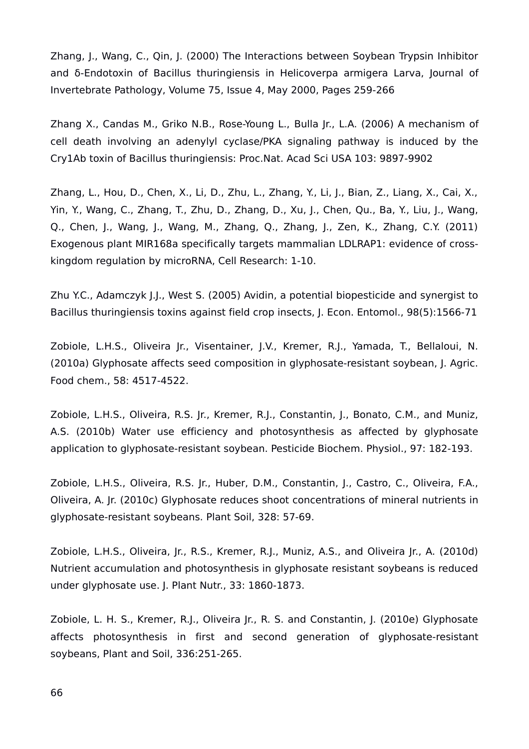Zhang, J., Wang, C., Qin, J. (2000) The Interactions between Soybean Trypsin Inhibitor and δ-Endotoxin of Bacillus thuringiensis in Helicoverpa armigera Larva, Journal of Invertebrate Pathology, Volume 75, Issue 4, May 2000, Pages 259-266

Zhang X., Candas M., Griko N.B., Rose-Young L., Bulla Jr., L.A. (2006) A mechanism of cell death involving an adenylyl cyclase/PKA signaling pathway is induced by the Cry1Ab toxin of Bacillus thuringiensis: Proc.Nat. Acad Sci USA 103: 9897-9902

Zhang, L., Hou, D., Chen, X., Li, D., Zhu, L., Zhang, Y., Li, J., Bian, Z., Liang, X., Cai, X., Yin, Y., Wang, C., Zhang, T., Zhu, D., Zhang, D., Xu, J., Chen, Qu., Ba, Y., Liu, J., Wang, Q., Chen, J., Wang, J., Wang, M., Zhang, Q., Zhang, J., Zen, K., Zhang, C.Y. (2011) Exogenous plant MIR168a specifically targets mammalian LDLRAP1: evidence of crosskingdom regulation by microRNA, Cell Research: 1-10.

Zhu Y.C., Adamczyk J.J., West S. (2005) Avidin, a potential biopesticide and synergist to Bacillus thuringiensis toxins against field crop insects, J. Econ. Entomol., 98(5):1566-71

Zobiole, L.H.S., Oliveira Jr., Visentainer, J.V., Kremer, R.J., Yamada, T., Bellaloui, N. (2010a) Glyphosate affects seed composition in glyphosate-resistant soybean, J. Agric. Food chem., 58: 4517-4522.

Zobiole, L.H.S., Oliveira, R.S. Jr., Kremer, R.J., Constantin, J., Bonato, C.M., and Muniz, A.S. (2010b) Water use efficiency and photosynthesis as affected by glyphosate application to glyphosate-resistant soybean. Pesticide Biochem. Physiol., 97: 182-193.

Zobiole, L.H.S., Oliveira, R.S. Jr., Huber, D.M., Constantin, J., Castro, C., Oliveira, F.A., Oliveira, A. Jr. (2010c) Glyphosate reduces shoot concentrations of mineral nutrients in glyphosate-resistant soybeans. Plant Soil, 328: 57-69.

Zobiole, L.H.S., Oliveira, Jr., R.S., Kremer, R.J., Muniz, A.S., and Oliveira Jr., A. (2010d) Nutrient accumulation and photosynthesis in glyphosate resistant soybeans is reduced under glyphosate use. J. Plant Nutr., 33: 1860-1873.

Zobiole, L. H. S., Kremer, R.J., Oliveira Jr., R. S. and Constantin, J. (2010e) Glyphosate affects photosynthesis in first and second generation of glyphosate-resistant soybeans, Plant and Soil, 336:251-265.